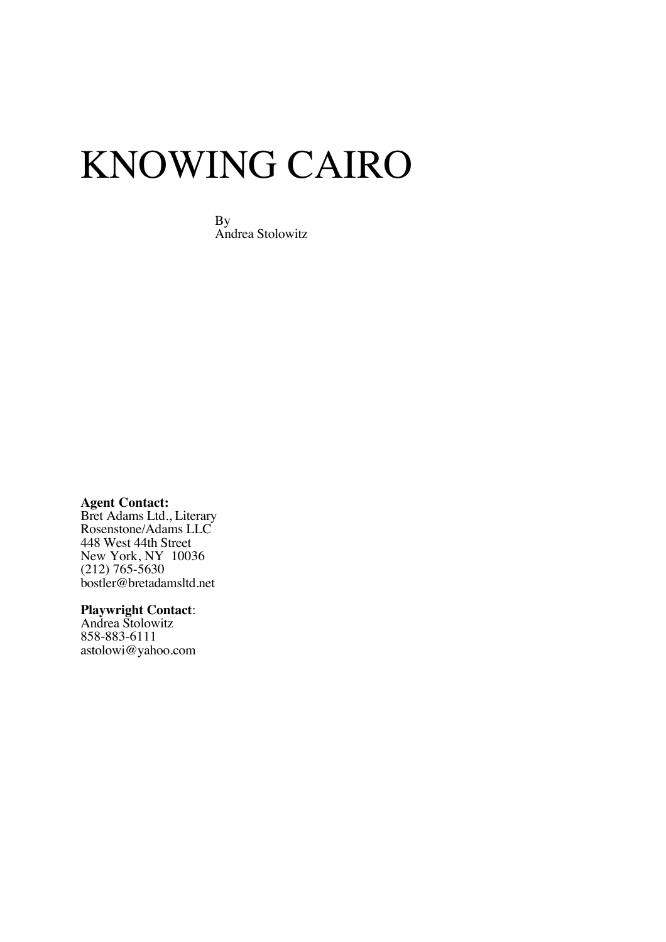# KNOWING CAIRO

By Andrea Stolowitz

**Agent Contact:**

Bret Adams Ltd., Literary Rosenstone/Adams LLC 448 West 44th Street New York, NY 10036 (212) 765-5630 bostler@bretadamsltd.net

#### **Playwright Contact**:

Andrea Stolowitz 858-883-6111 astolowi@yahoo.com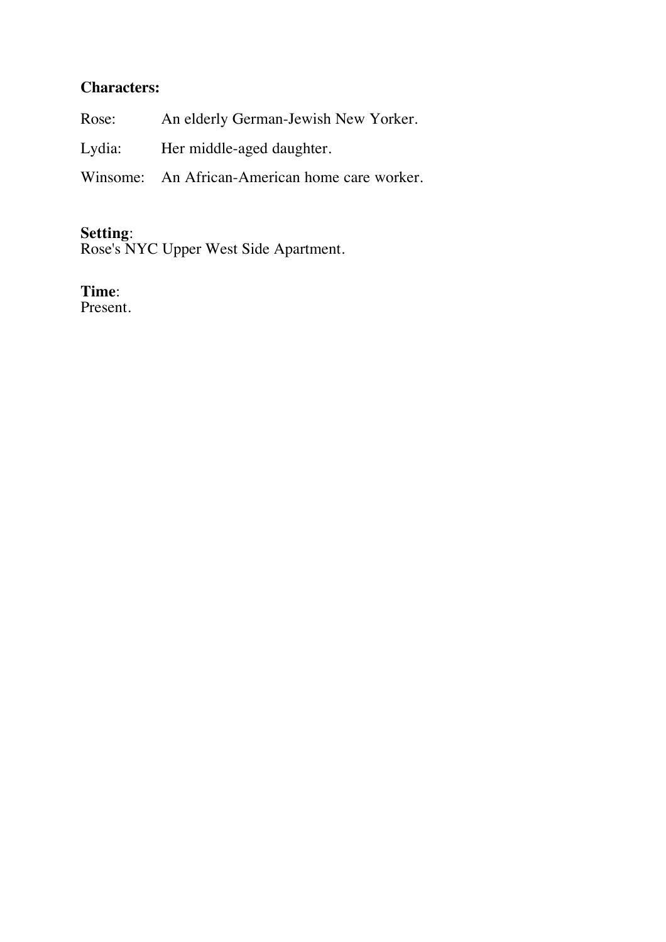# **Characters:**

| Rose: | An elderly German-Jewish New Yorker.           |
|-------|------------------------------------------------|
|       | Lydia: Her middle-aged daughter.               |
|       | Winsome: An African-American home care worker. |

# **Setting**:

Rose's NYC Upper West Side Apartment.

# **Time**:

Present.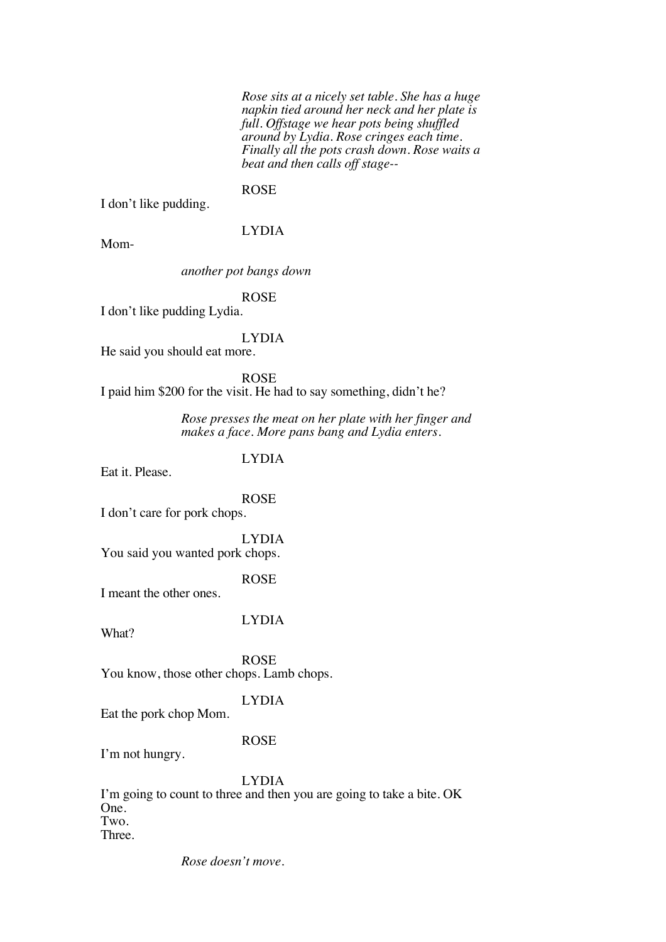*Rose sits at a nicely set table. She has a huge napkin tied around her neck and her plate is full. Offstage we hear pots being shuffled around by Lydia. Rose cringes each time. Finally all the pots crash down. Rose waits a beat and then calls off stage--*

#### ROSE

I don't like pudding.

#### LYDIA

Mom-

#### *another pot bangs down*

ROSE

I don't like pudding Lydia.

#### LYDIA

He said you should eat more.

ROSE I paid him \$200 for the visit. He had to say something, didn't he?

> *Rose presses the meat on her plate with her finger and makes a face. More pans bang and Lydia enters.*

### LYDIA

Eat it. Please.

ROSE

I don't care for pork chops.

LYDIA You said you wanted pork chops.

#### ROSE

I meant the other ones.

LYDIA

What?

ROSE You know, those other chops. Lamb chops.

#### LYDIA

Eat the pork chop Mom.

#### ROSE

I'm not hungry.

#### LYDIA

I'm going to count to three and then you are going to take a bite. OK One. Two. Three.

*Rose doesn't move.*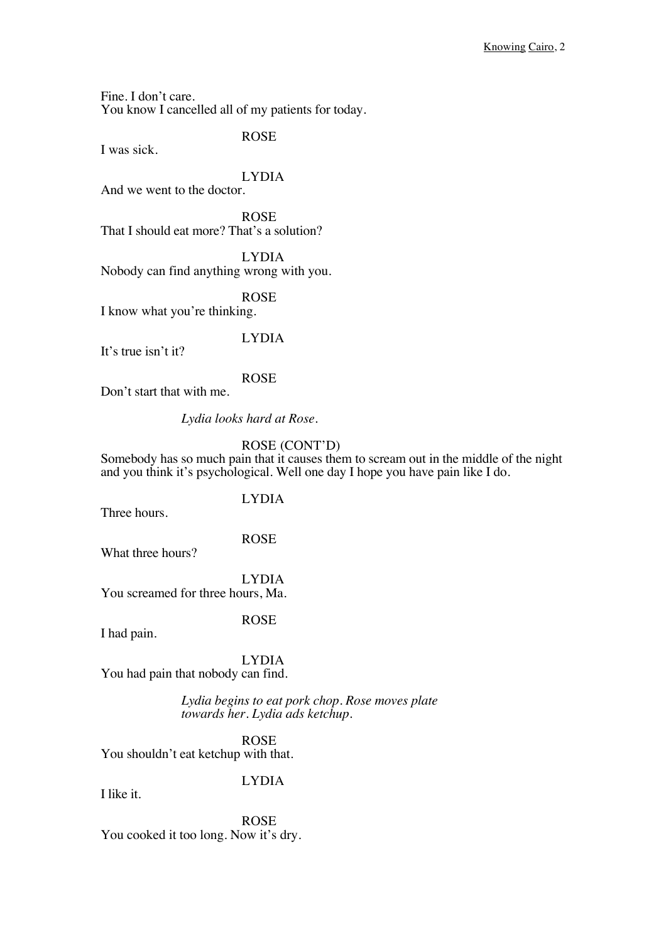Fine. I don't care. You know I cancelled all of my patients for today.

I was sick.

ROSE

LYDIA And we went to the doctor.

ROSE That I should eat more? That's a solution?

LYDIA Nobody can find anything wrong with you.

ROSE I know what you're thinking.

LYDIA

It's true isn't it?

ROSE

Don't start that with me.

*Lydia looks hard at Rose.*

#### ROSE (CONT'D)

Somebody has so much pain that it causes them to scream out in the middle of the night and you think it's psychological. Well one day I hope you have pain like I do.

### LYDIA

Three hours.

ROSE

What three hours?

LYDIA You screamed for three hours, Ma.

ROSE

I had pain.

LYDIA You had pain that nobody can find.

> *Lydia begins to eat pork chop. Rose moves plate towards her. Lydia ads ketchup.*

ROSE You shouldn't eat ketchup with that.

#### LYDIA

I like it.

ROSE You cooked it too long. Now it's dry.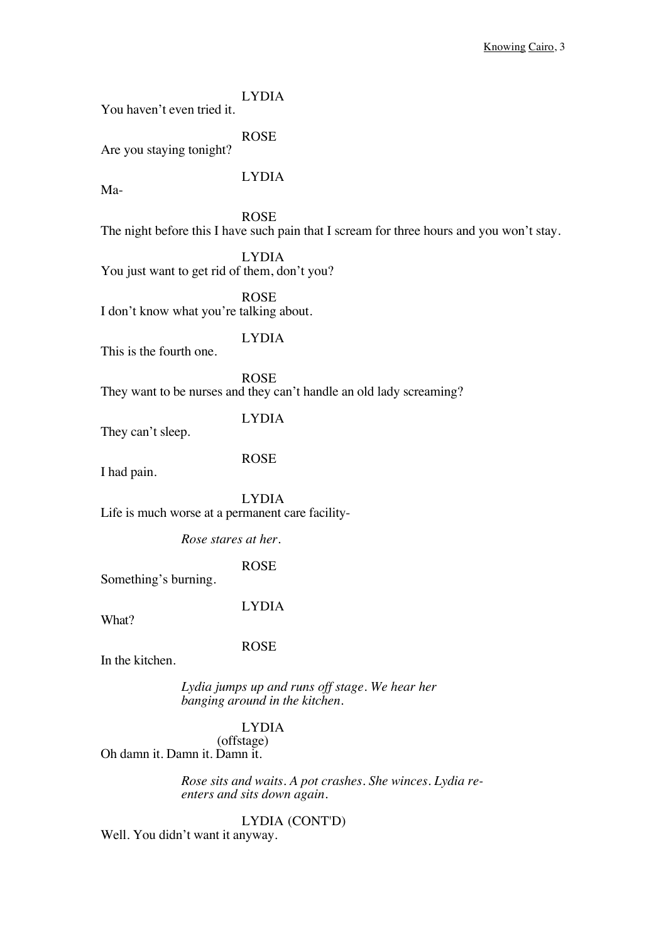LYDIA You haven't even tried it. ROSE Are you staying tonight? LYDIA Ma-ROSE The night before this I have such pain that I scream for three hours and you won't stay. LYDIA You just want to get rid of them, don't you? ROSE I don't know what you're talking about. LYDIA This is the fourth one. ROSE They want to be nurses and they can't handle an old lady screaming? LYDIA They can't sleep. ROSE I had pain. LYDIA Life is much worse at a permanent care facility-*Rose stares at her.* ROSE Something's burning. LYDIA What? ROSE In the kitchen. *Lydia jumps up and runs off stage. We hear her banging around in the kitchen.* LYDIA (offstage)

Oh damn it. Damn it. Damn it.

*Rose sits and waits. A pot crashes. She winces. Lydia reenters and sits down again.*

LYDIA (CONT'D) Well. You didn't want it anyway.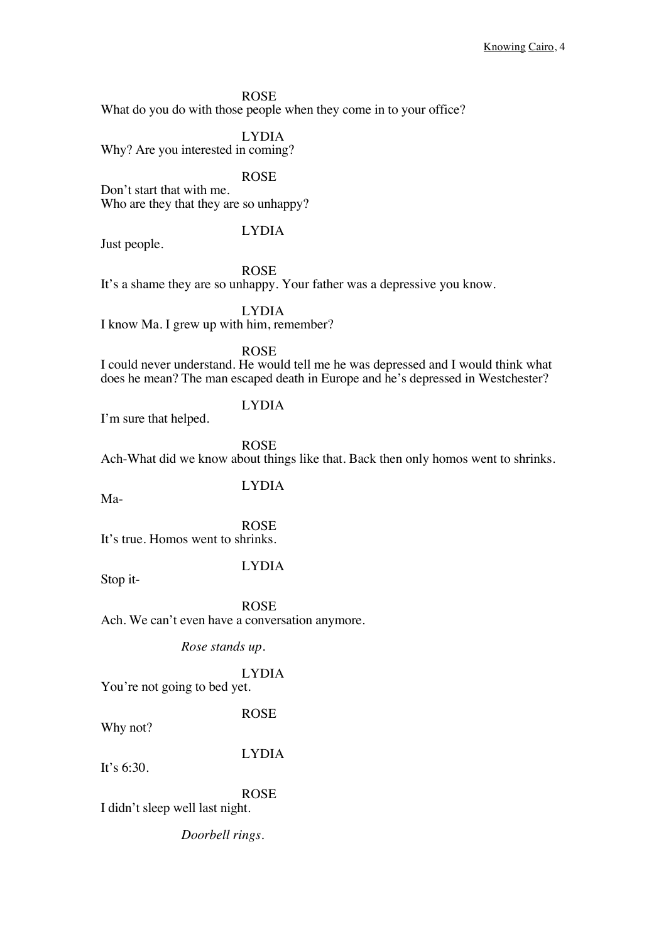#### ROSE

What do you do with those people when they come in to your office?

LYDIA Why? Are you interested in coming?

ROSE

Don't start that with me. Who are they that they are so unhappy?

LYDIA

Just people.

ROSE It's a shame they are so unhappy. Your father was a depressive you know.

LYDIA

I know Ma. I grew up with him, remember?

ROSE

I could never understand. He would tell me he was depressed and I would think what does he mean? The man escaped death in Europe and he's depressed in Westchester?

#### LYDIA

I'm sure that helped.

ROSE

Ach-What did we know about things like that. Back then only homos went to shrinks.

LYDIA

Ma-

ROSE It's true. Homos went to shrinks.

Stop it-

#### LYDIA

ROSE Ach. We can't even have a conversation anymore.

*Rose stands up.* 

LYDIA

You're not going to bed yet.

ROSE

Why not?

LYDIA

It's  $6:30$ .

ROSE

I didn't sleep well last night.

*Doorbell rings.*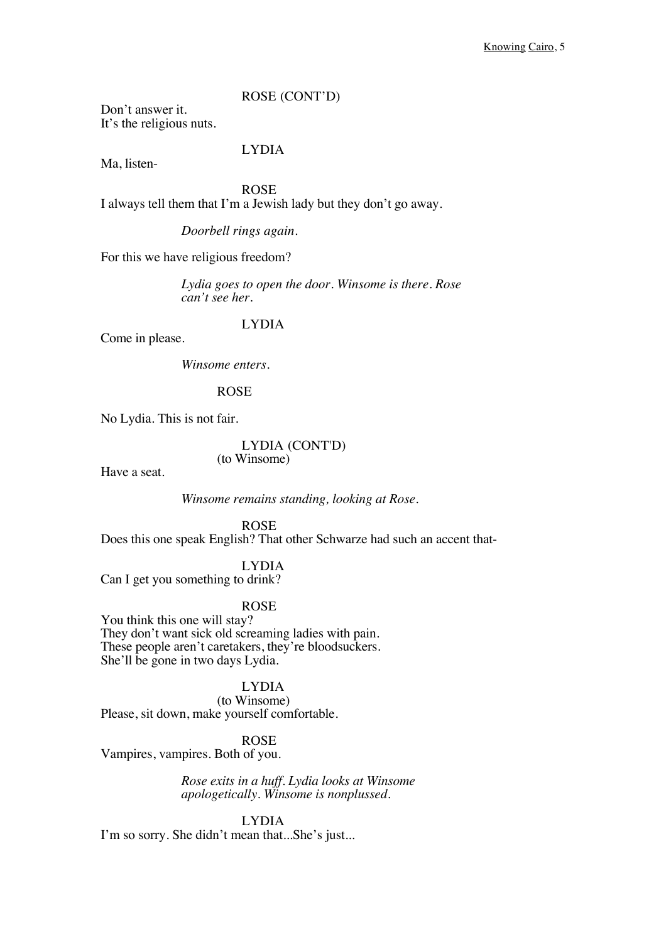ROSE (CONT'D)

Don't answer it. It's the religious nuts.

#### LYDIA

Ma, listen-

ROSE I always tell them that I'm a Jewish lady but they don't go away.

*Doorbell rings again.*

For this we have religious freedom?

*Lydia goes to open the door. Winsome is there. Rose can't see her.*

#### LYDIA

Come in please.

*Winsome enters.*

ROSE

No Lydia. This is not fair.

LYDIA (CONT'D) (to Winsome)

Have a seat.

*Winsome remains standing, looking at Rose.*

ROSE Does this one speak English? That other Schwarze had such an accent that-

LYDIA

Can I get you something to drink?

ROSE

You think this one will stay? They don't want sick old screaming ladies with pain. These people aren't caretakers, they're bloodsuckers. She'll be gone in two days Lydia.

LYDIA (to Winsome) Please, sit down, make yourself comfortable.

ROSE Vampires, vampires. Both of you.

> *Rose exits in a huff. Lydia looks at Winsome apologetically. Winsome is nonplussed.*

LYDIA I'm so sorry. She didn't mean that...She's just...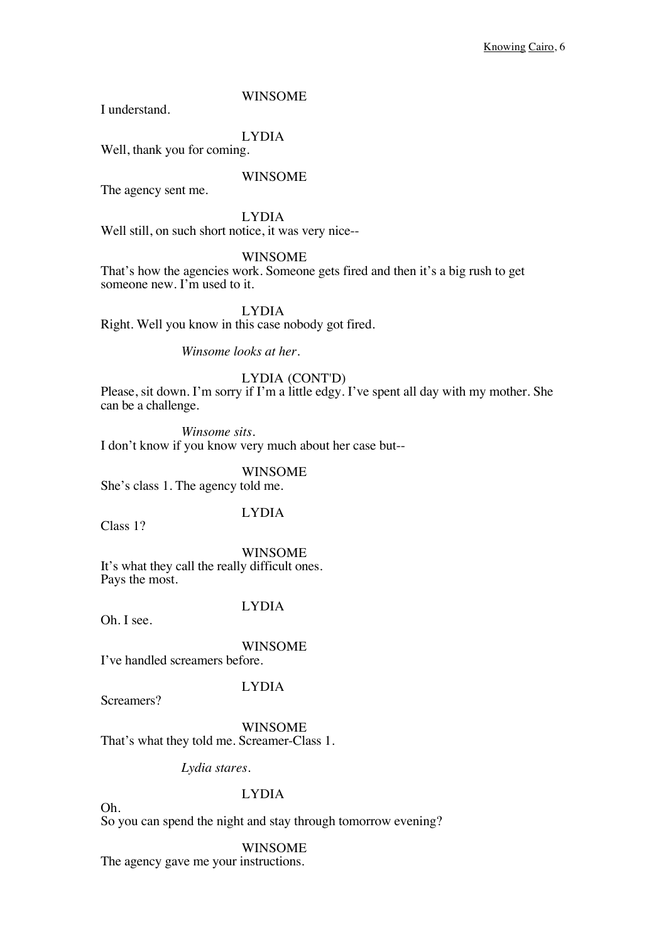I understand.

LYDIA

Well, thank you for coming.

#### WINSOME

The agency sent me.

LYDIA

Well still, on such short notice, it was very nice--

#### WINSOME

That's how the agencies work. Someone gets fired and then it's a big rush to get someone new. I'm used to it.

LYDIA

Right. Well you know in this case nobody got fired.

*Winsome looks at her.*

#### LYDIA (CONT'D)

Please, sit down. I'm sorry if I'm a little edgy. I've spent all day with my mother. She can be a challenge.

*Winsome sits.* I don't know if you know very much about her case but--

WINSOME She's class 1. The agency told me.

LYDIA

Class 1?

WINSOME It's what they call the really difficult ones. Pays the most.

Oh. I see.

### LYDIA

WINSOME I've handled screamers before.

Screamers?

Oh.

LYDIA

WINSOME

That's what they told me. Screamer-Class 1.

*Lydia stares.*

#### LYDIA

So you can spend the night and stay through tomorrow evening?

WINSOME

The agency gave me your instructions.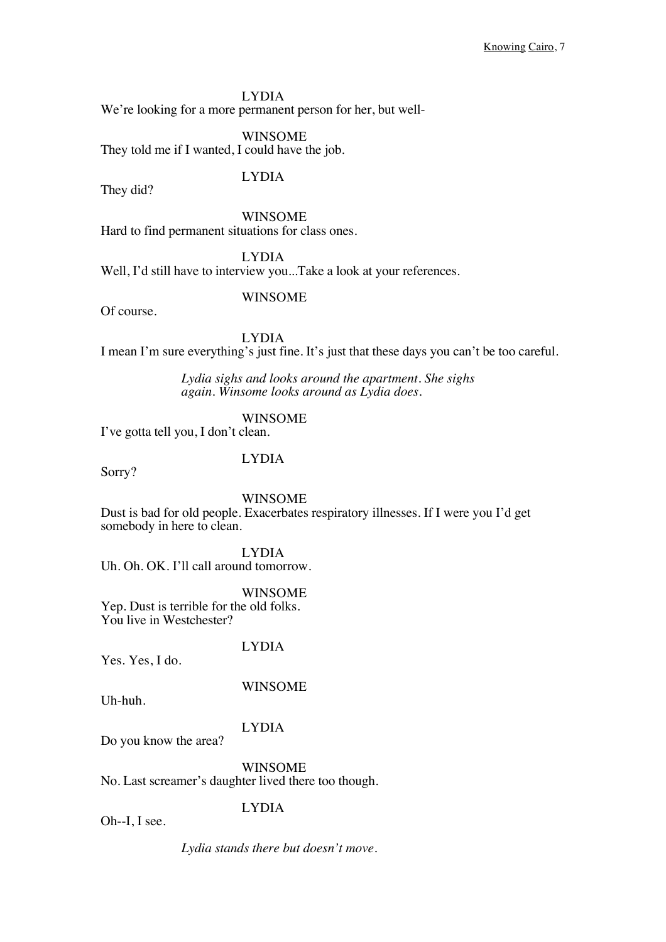We're looking for a more permanent person for her, but well-

#### WINSOME

They told me if I wanted, I could have the job.

They did?

LYDIA

WINSOME Hard to find permanent situations for class ones.

LYDIA

Well, I'd still have to interview you...Take a look at your references.

#### WINSOME

Of course.

LYDIA I mean I'm sure everything's just fine. It's just that these days you can't be too careful.

> *Lydia sighs and looks around the apartment. She sighs again. Winsome looks around as Lydia does.*

#### WINSOME

I've gotta tell you, I don't clean.

#### LYDIA

Sorry?

#### WINSOME

Dust is bad for old people. Exacerbates respiratory illnesses. If I were you I'd get somebody in here to clean.

LYDIA

Uh. Oh. OK. I'll call around tomorrow.

#### WINSOME

Yep. Dust is terrible for the old folks. You live in Westchester?

Yes. Yes, I do.

# LYDIA

Uh-huh.

### WINSOME

#### LYDIA

Do you know the area?

### WINSOME

No. Last screamer's daughter lived there too though.

#### LYDIA

Oh--I, I see.

*Lydia stands there but doesn't move.*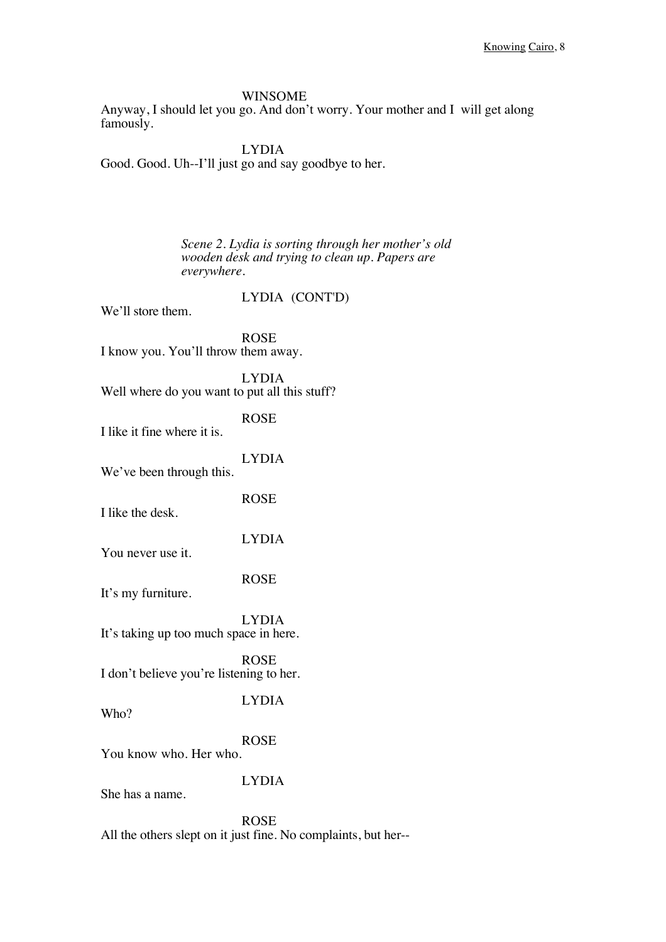Anyway, I should let you go. And don't worry. Your mother and I will get along famously.

LYDIA Good. Good. Uh--I'll just go and say goodbye to her.

> *Scene 2. Lydia is sorting through her mother's old wooden desk and trying to clean up. Papers are everywhere.*

> > LYDIA (CONT'D)

We'll store them.

ROSE I know you. You'll throw them away.

LYDIA Well where do you want to put all this stuff?

ROSE I like it fine where it is.

We've been through this.

ROSE

LYDIA

I like the desk.

LYDIA

You never use it.

ROSE

It's my furniture.

LYDIA It's taking up too much space in here.

ROSE I don't believe you're listening to her.

LYDIA

Who?

ROSE

You know who. Her who.

#### LYDIA

She has a name.

ROSE All the others slept on it just fine. No complaints, but her--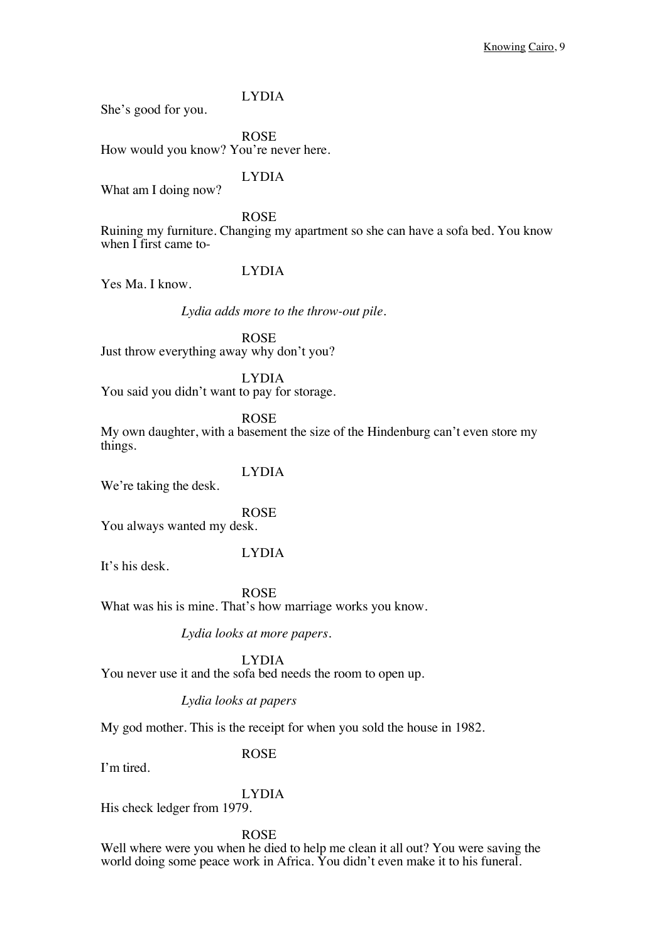She's good for you.

ROSE How would you know? You're never here.

LYDIA What am I doing now?

ROSE Ruining my furniture. Changing my apartment so she can have a sofa bed. You know when I first came to-

### LYDIA

Yes Ma. I know.

*Lydia adds more to the throw-out pile.*

ROSE Just throw everything away why don't you?

LYDIA You said you didn't want to pay for storage.

ROSE

My own daughter, with a basement the size of the Hindenburg can't even store my things.

LYDIA We're taking the desk.

ROSE You always wanted my desk.

#### LYDIA

It's his desk.

ROSE What was his is mine. That's how marriage works you know.

*Lydia looks at more papers.*

LYDIA You never use it and the sofa bed needs the room to open up.

*Lydia looks at papers*

My god mother. This is the receipt for when you sold the house in 1982.

#### ROSE

I'm tired.

#### LYDIA

His check ledger from 1979.

ROSE

Well where were you when he died to help me clean it all out? You were saving the world doing some peace work in Africa. You didn't even make it to his funeral.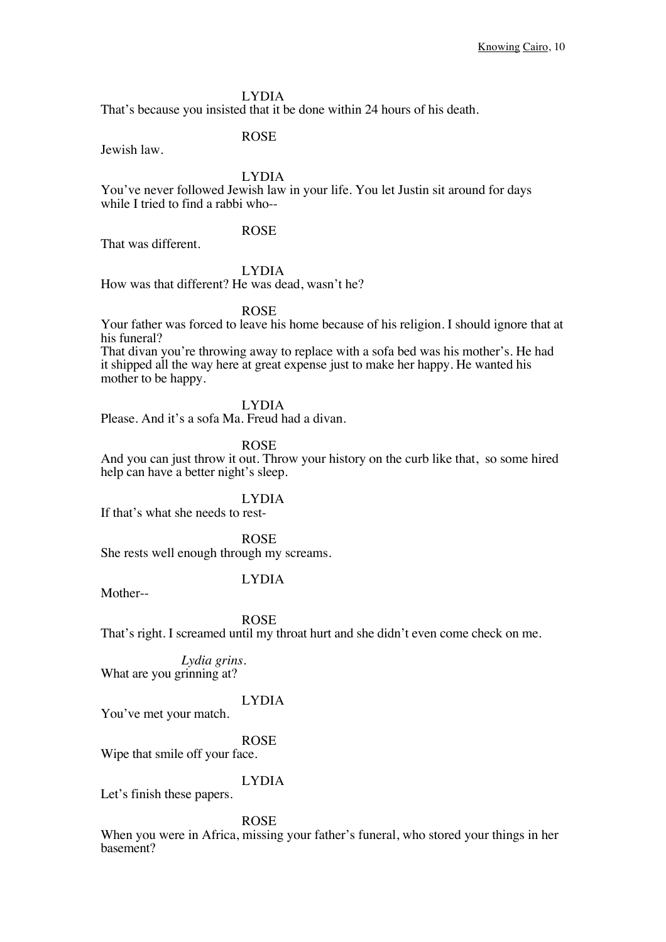That's because you insisted that it be done within 24 hours of his death.

Jewish law.

ROSE

LYDIA

You've never followed Jewish law in your life. You let Justin sit around for days while I tried to find a rabbi who--

#### ROSE

That was different.

#### LYDIA

How was that different? He was dead, wasn't he?

#### ROSE

Your father was forced to leave his home because of his religion. I should ignore that at his funeral?

That divan you're throwing away to replace with a sofa bed was his mother's. He had it shipped all the way here at great expense just to make her happy. He wanted his mother to be happy.

#### LYDIA

Please. And it's a sofa Ma. Freud had a divan.

ROSE

And you can just throw it out. Throw your history on the curb like that, so some hired help can have a better night's sleep.

#### LYDIA

If that's what she needs to rest-

ROSE She rests well enough through my screams.

#### LYDIA

Mother--

ROSE

That's right. I screamed until my throat hurt and she didn't even come check on me.

*Lydia grins.* What are you grinning at?

#### LYDIA

You've met your match.

#### ROSE

Wipe that smile off your face.

#### LYDIA

Let's finish these papers.

#### ROSE

When you were in Africa, missing your father's funeral, who stored your things in her basement?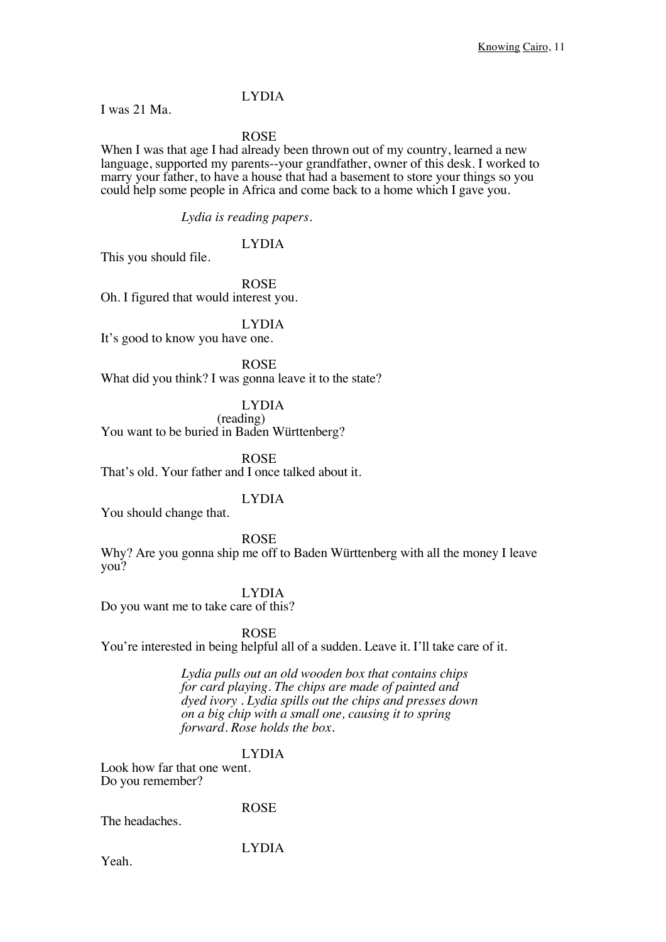I was 21 Ma.

ROSE

When I was that age I had already been thrown out of my country, learned a new language, supported my parents--your grandfather, owner of this desk. I worked to marry your father, to have a house that had a basement to store your things so you could help some people in Africa and come back to a home which I gave you.

*Lydia is reading papers.*

LYDIA

This you should file.

ROSE

Oh. I figured that would interest you.

LYDIA

It's good to know you have one.

ROSE What did you think? I was gonna leave it to the state?

LYDIA

(reading) You want to be buried in Baden Württenberg?

ROSE That's old. Your father and I once talked about it.

#### LYDIA

You should change that.

ROSE

Why? Are you gonna ship me off to Baden Württenberg with all the money I leave you?

LYDIA

Do you want me to take care of this?

ROSE

You're interested in being helpful all of a sudden. Leave it. I'll take care of it.

*Lydia pulls out an old wooden box that contains chips for card playing. The chips are made of painted and dyed ivory . Lydia spills out the chips and presses down on a big chip with a small one, causing it to spring forward. Rose holds the box.*

#### LYDIA

Look how far that one went. Do you remember?

The headaches.

ROSE

LYDIA

Yeah.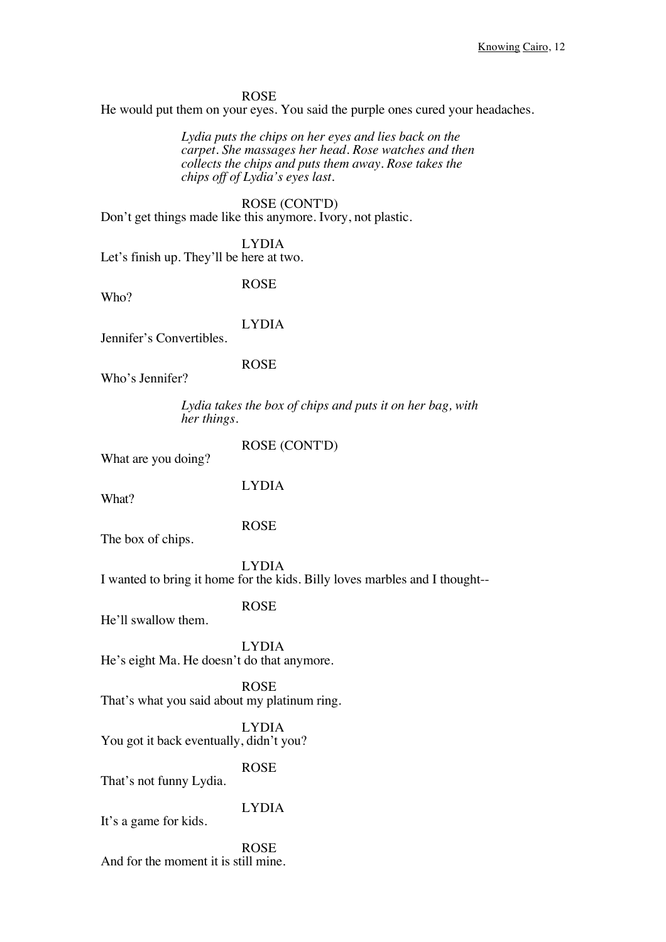#### ROSE

He would put them on your eyes. You said the purple ones cured your headaches.

*Lydia puts the chips on her eyes and lies back on the carpet. She massages her head. Rose watches and then collects the chips and puts them away. Rose takes the chips off of Lydia's eyes last.*

ROSE (CONT'D) Don't get things made like this anymore. Ivory, not plastic.

LYDIA Let's finish up. They'll be here at two.

ROSE

LYDIA

Jennifer's Convertibles.

ROSE

Who's Jennifer?

*Lydia takes the box of chips and puts it on her bag, with her things.*

What are you doing?

ROSE (CONT'D)

LYDIA

What?

Who?

ROSE

The box of chips.

LYDIA

ROSE

I wanted to bring it home for the kids. Billy loves marbles and I thought--

He'll swallow them.

LYDIA He's eight Ma. He doesn't do that anymore.

ROSE That's what you said about my platinum ring.

LYDIA You got it back eventually, didn't you?

ROSE

That's not funny Lydia.

LYDIA It's a game for kids.

ROSE And for the moment it is still mine.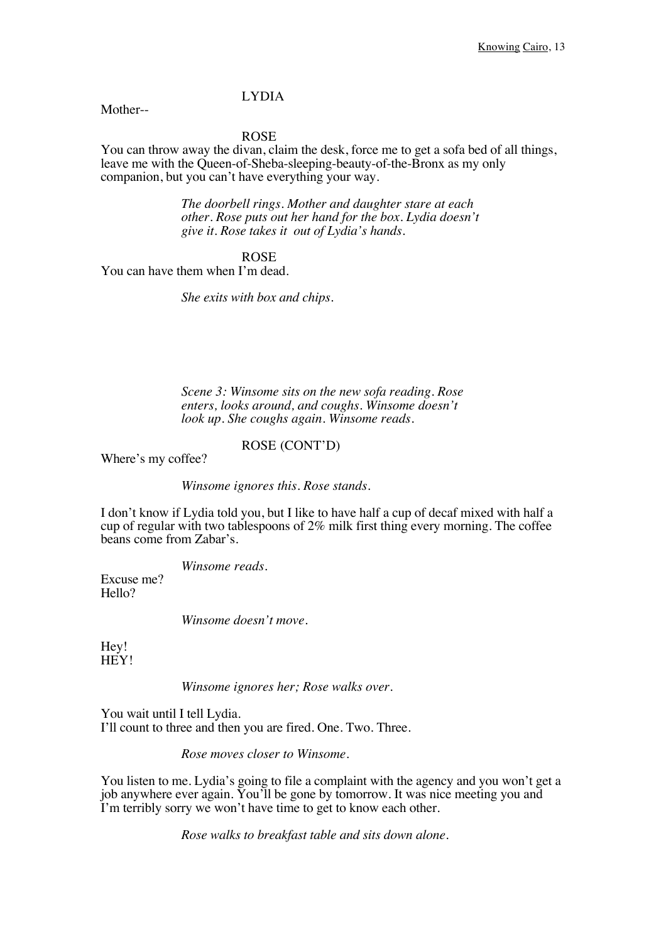Mother--

ROSE

You can throw away the divan, claim the desk, force me to get a sofa bed of all things, leave me with the Queen-of-Sheba-sleeping-beauty-of-the-Bronx as my only companion, but you can't have everything your way.

> *The doorbell rings. Mother and daughter stare at each other. Rose puts out her hand for the box. Lydia doesn't give it. Rose takes it out of Lydia's hands.*

> > ROSE

You can have them when I'm dead.

*She exits with box and chips.* 

*Scene 3: Winsome sits on the new sofa reading. Rose enters, looks around, and coughs. Winsome doesn't look up. She coughs again. Winsome reads.* 

#### ROSE (CONT'D)

Where's my coffee?

*Winsome ignores this. Rose stands.*

I don't know if Lydia told you, but I like to have half a cup of decaf mixed with half a cup of regular with two tablespoons of 2% milk first thing every morning. The coffee beans come from Zabar's.

*Winsome reads.*

Excuse me? Hello?

*Winsome doesn't move.*

Hey! HEY!

*Winsome ignores her; Rose walks over.*

You wait until I tell Lydia. I'll count to three and then you are fired. One. Two. Three.

*Rose moves closer to Winsome.*

You listen to me. Lydia's going to file a complaint with the agency and you won't get a job anywhere ever again. You'll be gone by tomorrow. It was nice meeting you and I'm terribly sorry we won't have time to get to know each other.

*Rose walks to breakfast table and sits down alone.*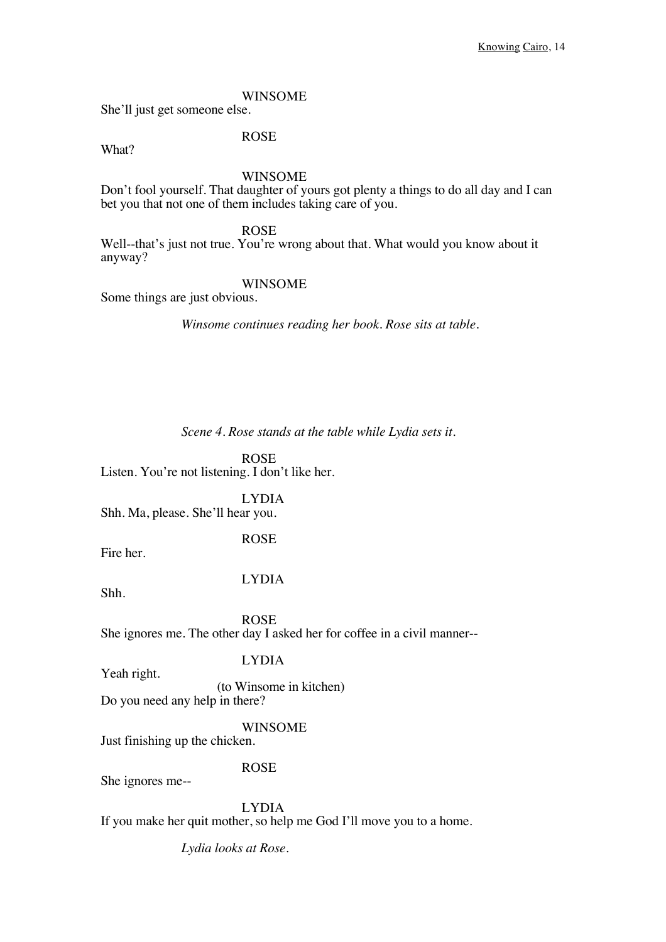She'll just get someone else.

What?

ROSE

WINSOME

Don't fool yourself. That daughter of yours got plenty a things to do all day and I can bet you that not one of them includes taking care of you.

ROSE

Well--that's just not true. You're wrong about that. What would you know about it anyway?

WINSOME

Some things are just obvious.

*Winsome continues reading her book. Rose sits at table.*

*Scene 4. Rose stands at the table while Lydia sets it.*

ROSE Listen. You're not listening. I don't like her.

LYDIA Shh. Ma, please. She'll hear you.

ROSE

Fire her.

LYDIA

Shh.

ROSE She ignores me. The other day I asked her for coffee in a civil manner--

LYDIA

Yeah right.

(to Winsome in kitchen)

Do you need any help in there?

WINSOME

Just finishing up the chicken.

She ignores me--

ROSE

LYDIA If you make her quit mother, so help me God I'll move you to a home.

*Lydia looks at Rose.*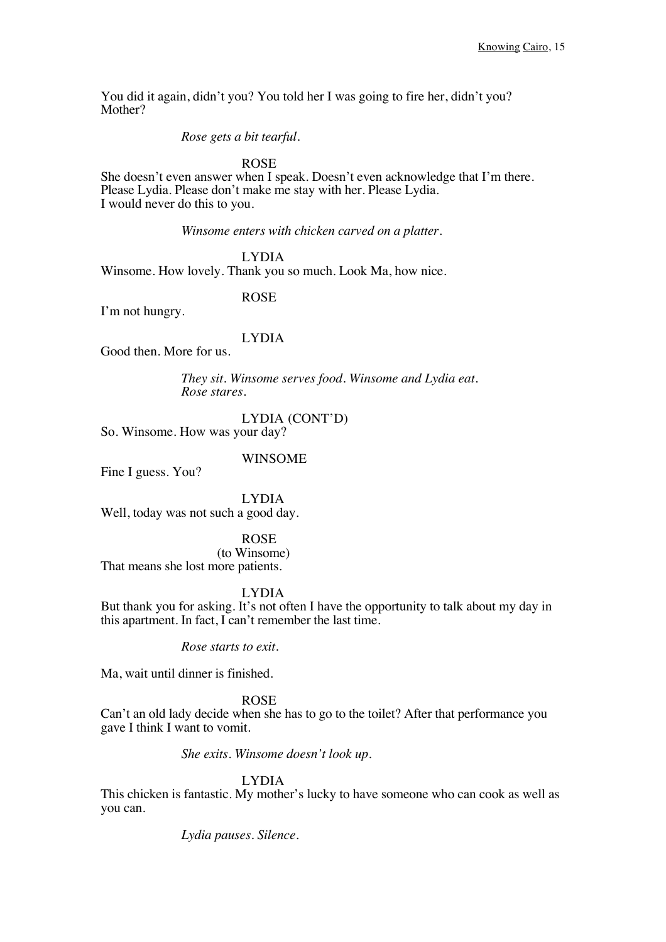You did it again, didn't you? You told her I was going to fire her, didn't you? Mother?

*Rose gets a bit tearful.*

ROSE

She doesn't even answer when I speak. Doesn't even acknowledge that I'm there. Please Lydia. Please don't make me stay with her. Please Lydia. I would never do this to you.

*Winsome enters with chicken carved on a platter.*

LYDIA Winsome. How lovely. Thank you so much. Look Ma, how nice.

ROSE

I'm not hungry.

LYDIA

Good then. More for us.

*They sit. Winsome serves food. Winsome and Lydia eat. Rose stares.*

LYDIA (CONT'D)

So. Winsome. How was your day?

WINSOME

Fine I guess. You?

LYDIA Well, today was not such a good day.

ROSE (to Winsome) That means she lost more patients.

LYDIA

But thank you for asking. It's not often I have the opportunity to talk about my day in this apartment. In fact, I can't remember the last time.

*Rose starts to exit.*

Ma, wait until dinner is finished.

ROSE

Can't an old lady decide when she has to go to the toilet? After that performance you gave I think I want to vomit.

*She exits. Winsome doesn't look up.*

LYDIA

This chicken is fantastic. My mother's lucky to have someone who can cook as well as you can.

*Lydia pauses. Silence.*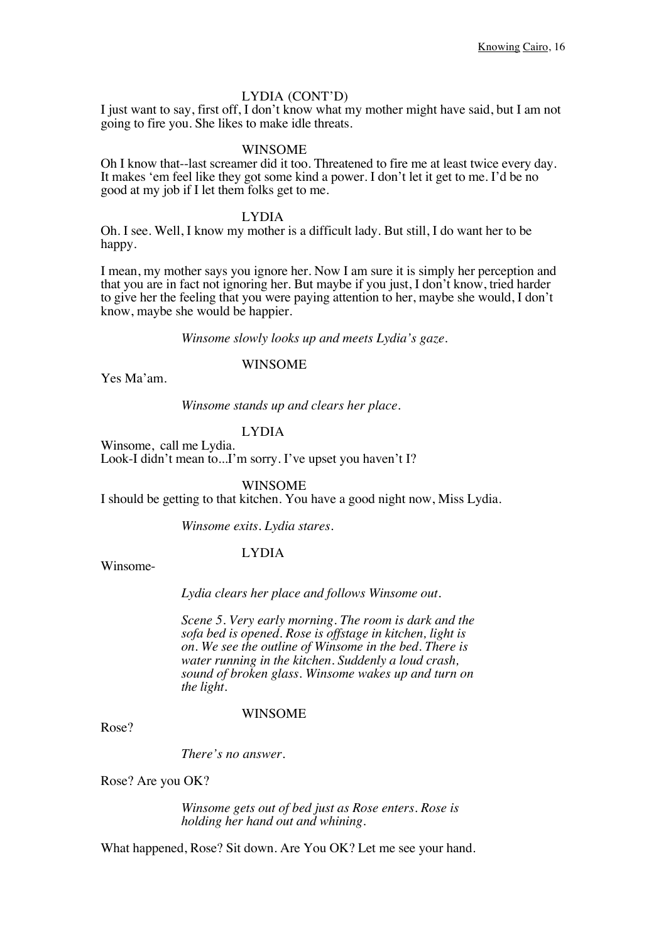#### LYDIA (CONT'D)

I just want to say, first off, I don't know what my mother might have said, but I am not going to fire you. She likes to make idle threats.

#### WINSOME

Oh I know that--last screamer did it too. Threatened to fire me at least twice every day. It makes 'em feel like they got some kind a power. I don't let it get to me. I'd be no good at my job if I let them folks get to me.

LYDIA

Oh. I see. Well, I know my mother is a difficult lady. But still, I do want her to be happy.

I mean, my mother says you ignore her. Now I am sure it is simply her perception and that you are in fact not ignoring her. But maybe if you just, I don't know, tried harder to give her the feeling that you were paying attention to her, maybe she would, I don't know, maybe she would be happier.

*Winsome slowly looks up and meets Lydia's gaze.*

#### WINSOME

Yes Ma'am.

*Winsome stands up and clears her place.*

#### LYDIA

Winsome, call me Lydia. Look-I didn't mean to...I'm sorry. I've upset you haven't I?

WINSOME

I should be getting to that kitchen. You have a good night now, Miss Lydia.

*Winsome exits. Lydia stares.*

#### LYDIA

Winsome-

*Lydia clears her place and follows Winsome out.*

*Scene 5. Very early morning. The room is dark and the sofa bed is opened. Rose is offstage in kitchen, light is on. We see the outline of Winsome in the bed. There is water running in the kitchen. Suddenly a loud crash, sound of broken glass. Winsome wakes up and turn on the light.*

#### WINSOME

Rose?

*There's no answer.* 

Rose? Are you OK?

*Winsome gets out of bed just as Rose enters. Rose is holding her hand out and whining.*

What happened, Rose? Sit down. Are You OK? Let me see your hand.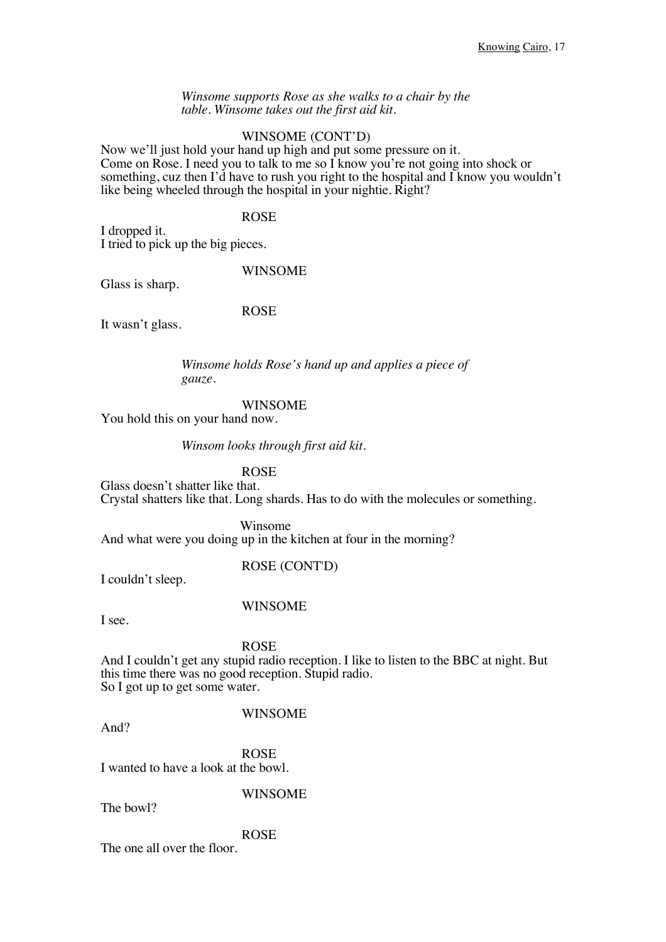*Winsome supports Rose as she walks to a chair by the table. Winsome takes out the first aid kit.*

#### WINSOME (CONT'D)

Now we'll just hold your hand up high and put some pressure on it. Come on Rose. I need you to talk to me so I know you're not going into shock or something, cuz then I'd have to rush you right to the hospital and I know you wouldn't like being wheeled through the hospital in your nightie. Right?

#### ROSE

I dropped it. I tried to pick up the big pieces.

#### WINSOME

Glass is sharp.

ROSE

It wasn't glass.

*Winsome holds Rose's hand up and applies a piece of gauze.* 

#### WINSOME

You hold this on your hand now.

#### *Winsom looks through first aid kit.*

ROSE

Glass doesn't shatter like that. Crystal shatters like that. Long shards. Has to do with the molecules or something.

 Winsome And what were you doing up in the kitchen at four in the morning?

#### ROSE (CONT'D)

I couldn't sleep.

#### WINSOME

I see.

#### ROSE

And I couldn't get any stupid radio reception. I like to listen to the BBC at night. But this time there was no good reception. Stupid radio. So I got up to get some water.

#### WINSOME

And?

ROSE

I wanted to have a look at the bowl.

WINSOME

The bowl?

#### ROSE

The one all over the floor.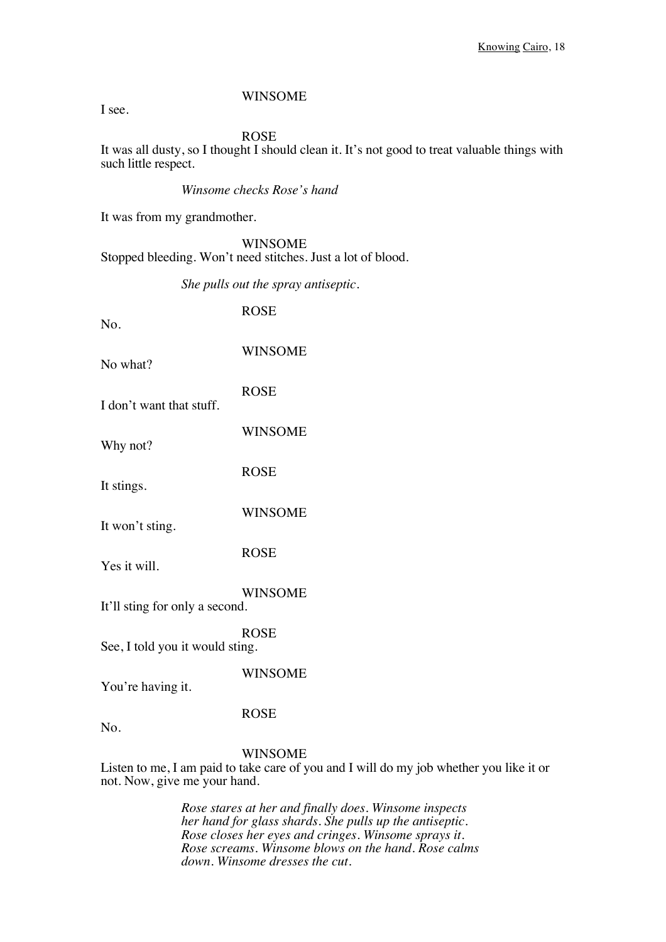I see.

ROSE

It was all dusty, so I thought I should clean it. It's not good to treat valuable things with such little respect.

#### *Winsome checks Rose's hand*

It was from my grandmother.

WINSOME Stopped bleeding. Won't need stitches. Just a lot of blood.

*She pulls out the spray antiseptic.*

| No.                             | <b>ROSE</b>                                                                                               |
|---------------------------------|-----------------------------------------------------------------------------------------------------------|
| No what?                        | <b>WINSOME</b>                                                                                            |
| I don't want that stuff.        | <b>ROSE</b>                                                                                               |
| Why not?                        | <b>WINSOME</b>                                                                                            |
| It stings.                      | <b>ROSE</b>                                                                                               |
| It won't sting.                 | <b>WINSOME</b>                                                                                            |
| Yes it will.                    | <b>ROSE</b>                                                                                               |
| It'll sting for only a second.  | <b>WINSOME</b>                                                                                            |
| See, I told you it would sting. | <b>ROSE</b>                                                                                               |
| You're having it.               | <b>WINSOME</b>                                                                                            |
| No.                             | <b>ROSE</b>                                                                                               |
| not. Now, give me your hand.    | <b>WINSOME</b><br>Listen to me, I am paid to take care of you and I will do my job whether you like it or |

*Rose stares at her and finally does. Winsome inspects her hand for glass shards. She pulls up the antiseptic. Rose closes her eyes and cringes. Winsome sprays it. Rose screams. Winsome blows on the hand. Rose calms down. Winsome dresses the cut.*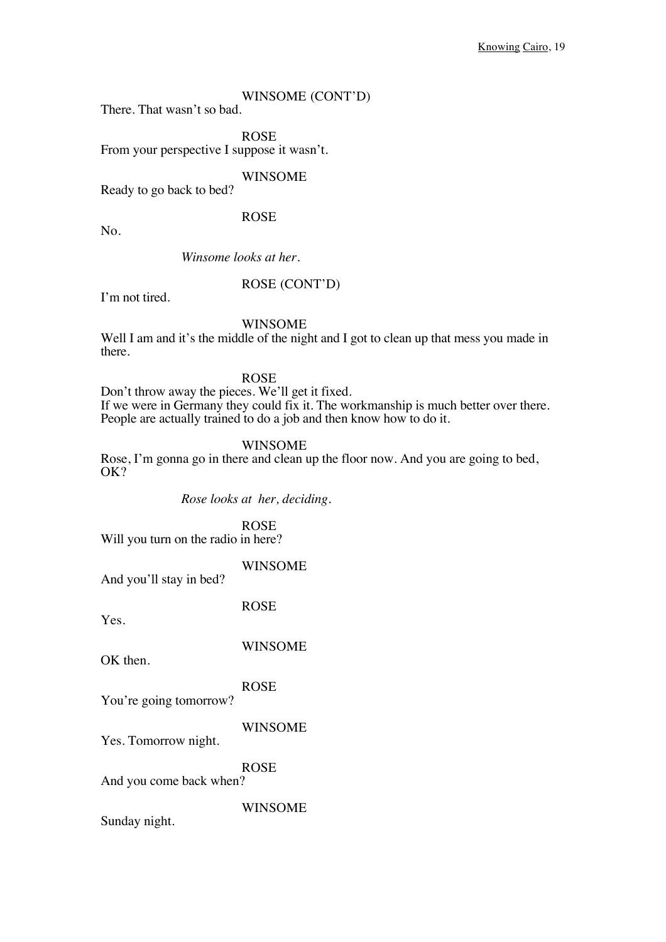#### WINSOME (CONT'D)

There. That wasn't so bad.

ROSE

From your perspective I suppose it wasn't.

WINSOME

Ready to go back to bed?

ROSE

No.

*Winsome looks at her.*

#### ROSE (CONT'D)

I'm not tired.

#### WINSOME

Well I am and it's the middle of the night and I got to clean up that mess you made in there.

ROSE

Don't throw away the pieces. We'll get it fixed. If we were in Germany they could fix it. The workmanship is much better over there. People are actually trained to do a job and then know how to do it.

#### WINSOME

Rose, I'm gonna go in there and clean up the floor now. And you are going to bed, OK?

*Rose looks at her, deciding.*

ROSE Will you turn on the radio in here?

WINSOME

And you'll stay in bed?

Yes.

WINSOME

ROSE

OK then.

ROSE You're going tomorrow?

WINSOME Yes. Tomorrow night.

ROSE And you come back when?

WINSOME

Sunday night.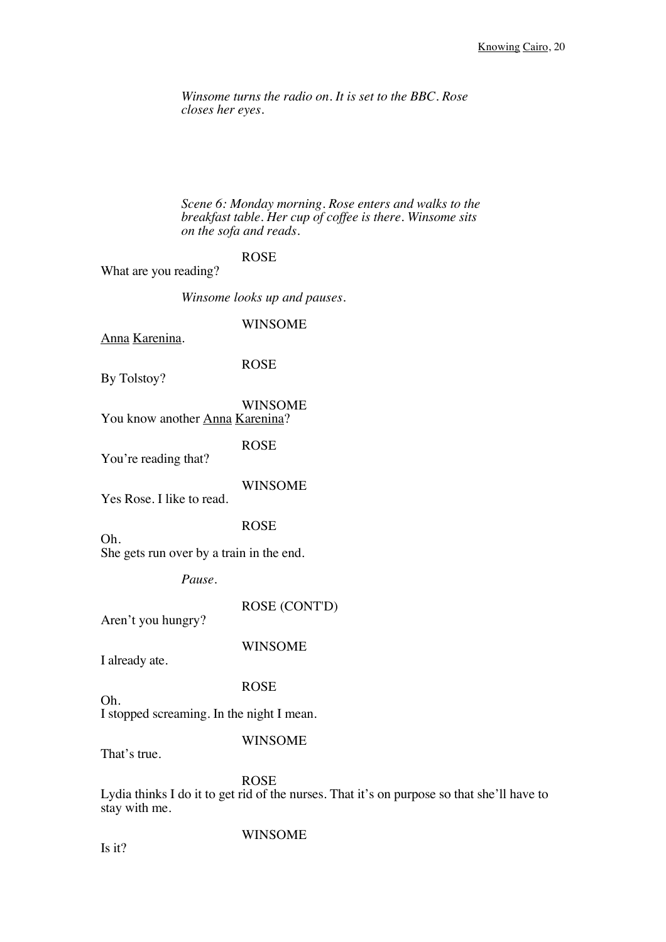*Winsome turns the radio on. It is set to the BBC. Rose closes her eyes.*

*Scene 6: Monday morning. Rose enters and walks to the breakfast table. Her cup of coffee is there. Winsome sits on the sofa and reads.* 

### ROSE

What are you reading?

*Winsome looks up and pauses.*

#### WINSOME

Anna Karenina.

#### ROSE

By Tolstoy?

# WINSOME

You know another Anna Karenina?

ROSE

You're reading that?

#### WINSOME

Yes Rose. I like to read.

ROSE

She gets run over by a train in the end.

*Pause.*

ROSE (CONT'D)

Aren't you hungry?

WINSOME

I already ate.

Oh.

#### ROSE

I stopped screaming. In the night I mean.

#### WINSOME

That's true.

Oh.

#### ROSE

Lydia thinks I do it to get rid of the nurses. That it's on purpose so that she'll have to stay with me.

Is it?

#### WINSOME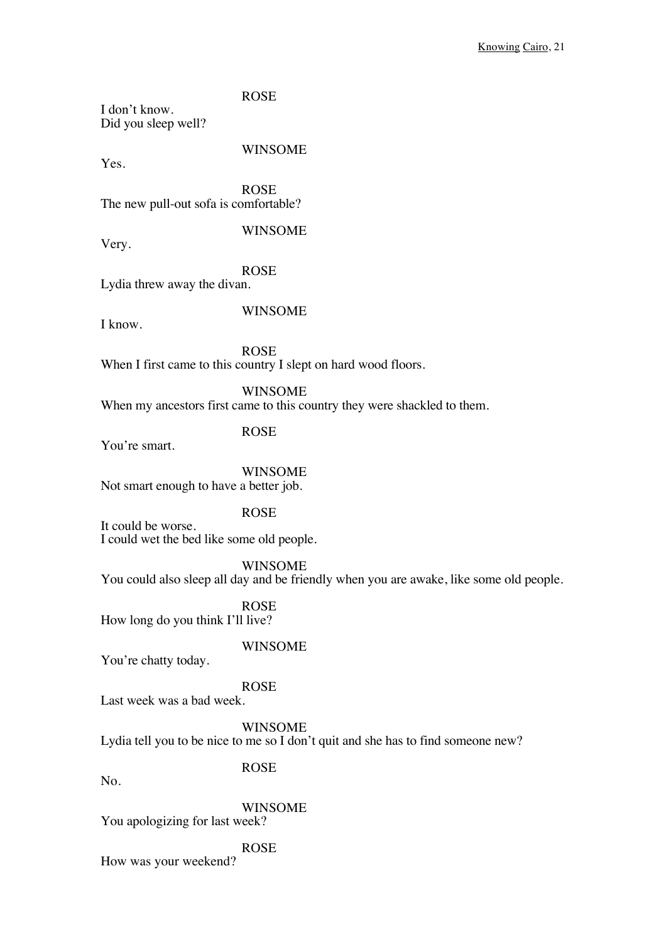ROSE

I don't know. Did you sleep well?

Yes.

### WINSOME

ROSE The new pull-out sofa is comfortable?

WINSOME

Very.

ROSE Lydia threw away the divan.

I know.

WINSOME

ROSE When I first came to this country I slept on hard wood floors.

WINSOME When my ancestors first came to this country they were shackled to them.

ROSE

You're smart.

# WINSOME

Not smart enough to have a better job.

ROSE

It could be worse. I could wet the bed like some old people.

WINSOME

You could also sleep all day and be friendly when you are awake, like some old people.

ROSE

How long do you think I'll live?

#### WINSOME

You're chatty today.

ROSE

Last week was a bad week.

WINSOME

Lydia tell you to be nice to me so I don't quit and she has to find someone new?

No.

ROSE

WINSOME You apologizing for last week?

ROSE How was your weekend?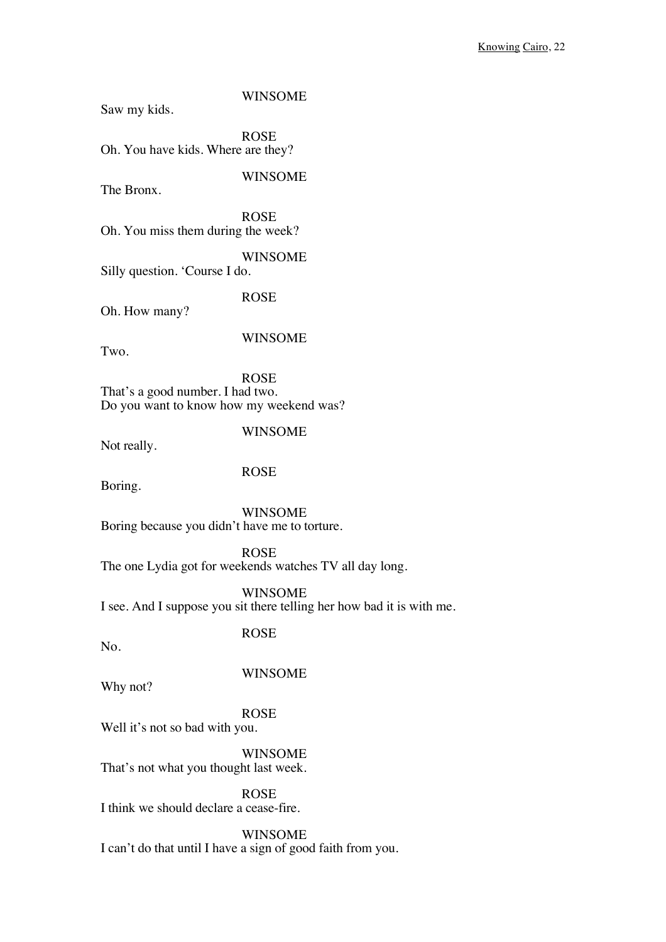Saw my kids.

WINSOME

ROSE Oh. You have kids. Where are they?

WINSOME

The Bronx.

ROSE Oh. You miss them during the week?

WINSOME Silly question. 'Course I do.

ROSE

Oh. How many?

WINSOME

Two.

ROSE That's a good number. I had two. Do you want to know how my weekend was?

WINSOME

Not really.

ROSE

Boring.

WINSOME Boring because you didn't have me to torture.

ROSE The one Lydia got for weekends watches TV all day long.

WINSOME I see. And I suppose you sit there telling her how bad it is with me.

ROSE

No.

WINSOME

Why not?

ROSE

Well it's not so bad with you.

**WINSOME** That's not what you thought last week.

ROSE I think we should declare a cease-fire.

WINSOME I can't do that until I have a sign of good faith from you.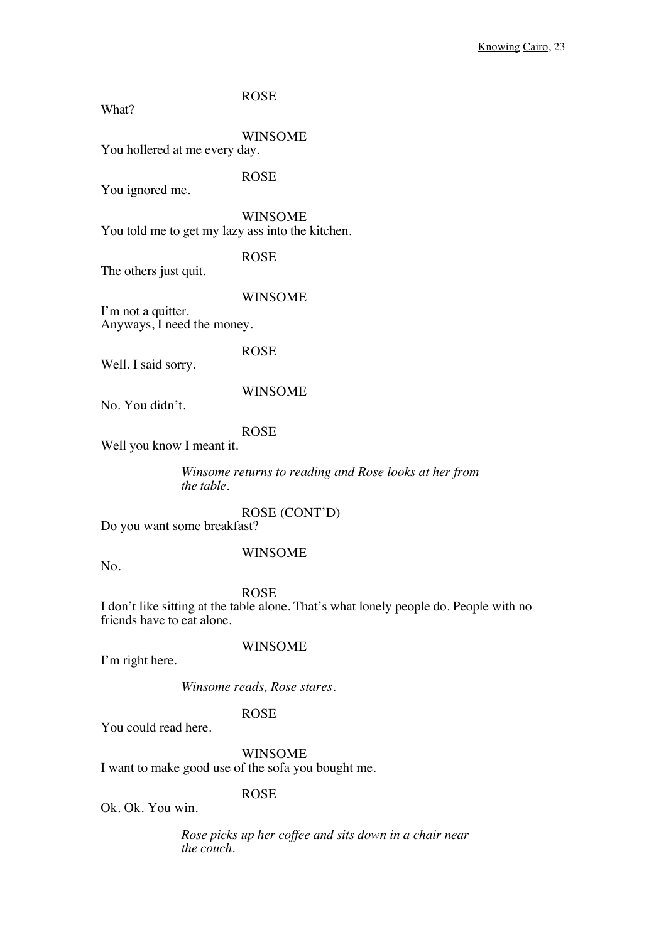| What?                                            | <b>ROSE</b>    |
|--------------------------------------------------|----------------|
| You hollered at me every day.                    | <b>WINSOME</b> |
| You ignored me.                                  | <b>ROSE</b>    |
| You told me to get my lazy ass into the kitchen. | WINSOME        |
| The others just quit.                            | <b>ROSE</b>    |
| I'm not a quitter.<br>Anyways, I need the money. | <b>WINSOME</b> |
| Well. I said sorry.                              | <b>ROSE</b>    |
| No. You didn't.                                  | <b>WINSOME</b> |
| Well you know I meant it.                        | <b>ROSE</b>    |

*Winsome returns to reading and Rose looks at her from the table.*

ROSE (CONT'D) Do you want some breakfast?

WINSOME

No.

ROSE I don't like sitting at the table alone. That's what lonely people do. People with no friends have to eat alone.

I'm right here.

WINSOME

*Winsome reads, Rose stares.*

#### ROSE

You could read here.

WINSOME I want to make good use of the sofa you bought me.

ROSE

Ok. Ok. You win.

*Rose picks up her coffee and sits down in a chair near the couch.*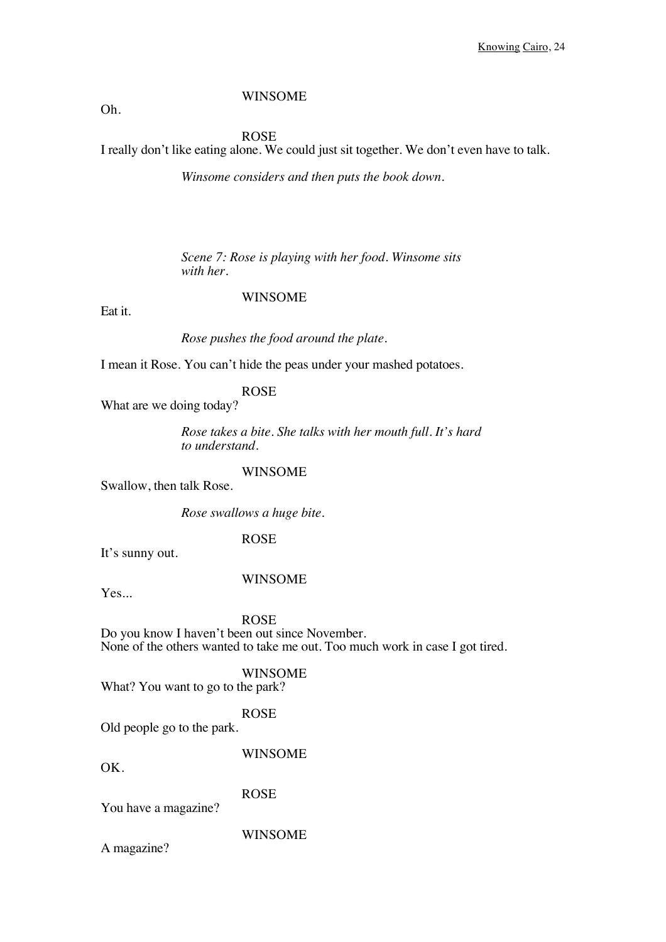#### Oh.

#### ROSE

I really don't like eating alone. We could just sit together. We don't even have to talk.

*Winsome considers and then puts the book down.* 

*Scene 7: Rose is playing with her food. Winsome sits with her.*

#### WINSOME

Eat it.

*Rose pushes the food around the plate.*

I mean it Rose. You can't hide the peas under your mashed potatoes.

ROSE

What are we doing today?

*Rose takes a bite. She talks with her mouth full. It's hard to understand.*

WINSOME

Swallow, then talk Rose.

*Rose swallows a huge bite.*

ROSE

It's sunny out.

#### WINSOME

Yes...

ROSE

Do you know I haven't been out since November. None of the others wanted to take me out. Too much work in case I got tired.

WINSOME What? You want to go to the park?

ROSE

Old people go to the park.

WINSOME

 $\overline{OK}$ 

ROSE

You have a magazine?

WINSOME

A magazine?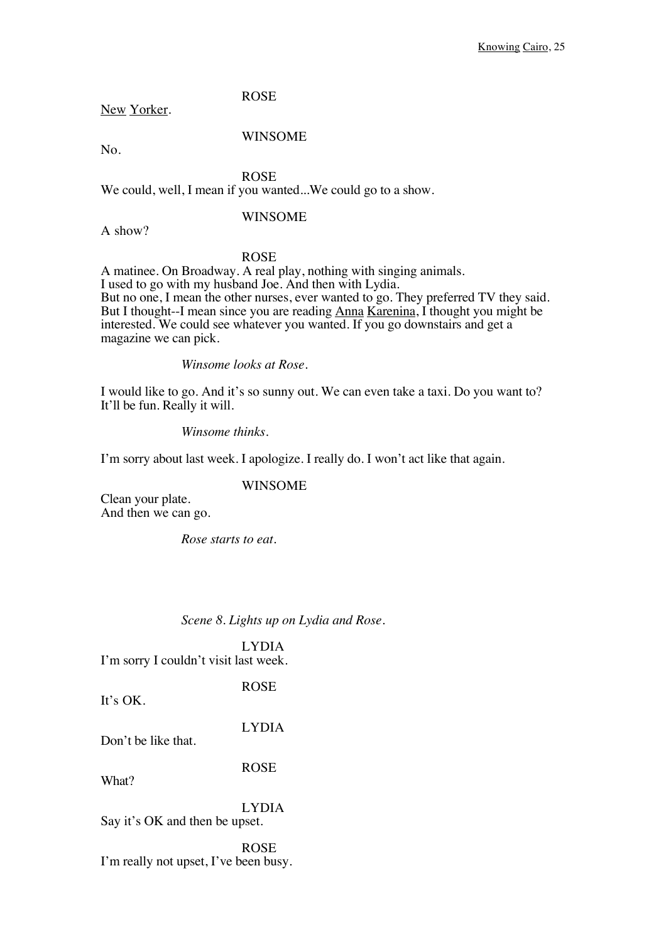ROSE

New Yorker.

WINSOME

No.

ROSE

We could, well, I mean if you wanted...We could go to a show.

#### WINSOME

A show?

#### ROSE

A matinee. On Broadway. A real play, nothing with singing animals. I used to go with my husband Joe. And then with Lydia. But no one, I mean the other nurses, ever wanted to go. They preferred TV they said. But I thought--I mean since you are reading Anna Karenina, I thought you might be interested. We could see whatever you wanted. If you go downstairs and get a magazine we can pick.

*Winsome looks at Rose.*

I would like to go. And it's so sunny out. We can even take a taxi. Do you want to? It'll be fun. Really it will.

*Winsome thinks.*

I'm sorry about last week. I apologize. I really do. I won't act like that again.

#### WINSOME

Clean your plate. And then we can go.

*Rose starts to eat.* 

#### *Scene 8. Lights up on Lydia and Rose.*

#### LYDIA I'm sorry I couldn't visit last week.

ROSE It's OK.

LYDIA Don't be like that.

ROSE

What?

LYDIA Say it's OK and then be upset.

ROSE I'm really not upset, I've been busy.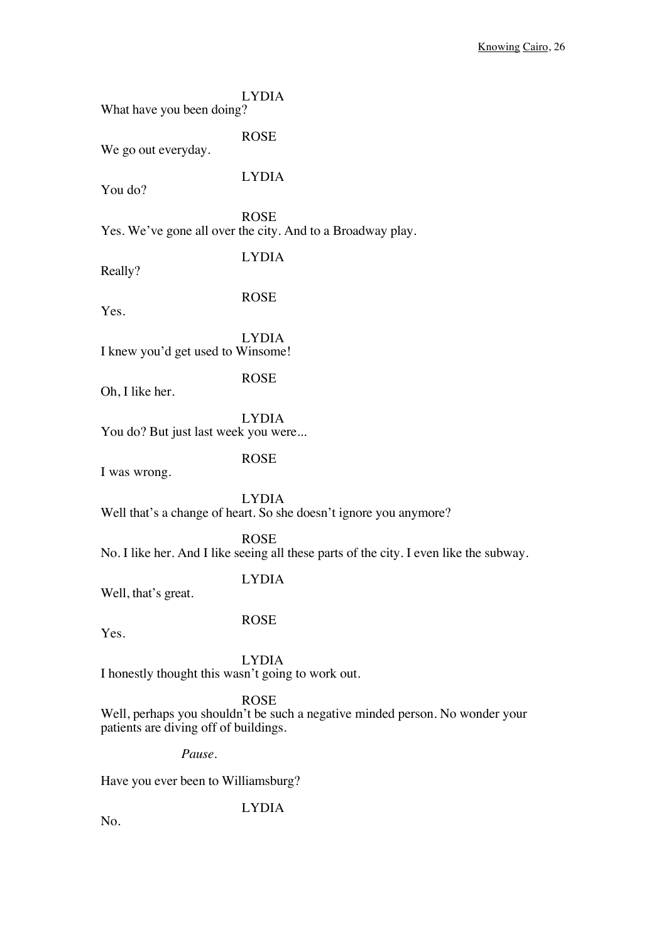| What have you been doing?                         | <b>LYDIA</b>                                                                                          |  |
|---------------------------------------------------|-------------------------------------------------------------------------------------------------------|--|
| We go out everyday.                               | <b>ROSE</b>                                                                                           |  |
| You do?                                           | <b>LYDIA</b>                                                                                          |  |
|                                                   | <b>ROSE</b><br>Yes. We've gone all over the city. And to a Broadway play.                             |  |
| Really?                                           | <b>LYDIA</b>                                                                                          |  |
| Yes.                                              | <b>ROSE</b>                                                                                           |  |
| I knew you'd get used to Winsome!                 | <b>LYDIA</b>                                                                                          |  |
| Oh, I like her.                                   | <b>ROSE</b>                                                                                           |  |
| You do? But just last week you were               | <b>LYDIA</b>                                                                                          |  |
| I was wrong.                                      | <b>ROSE</b>                                                                                           |  |
|                                                   | <b>LYDIA</b><br>Well that's a change of heart. So she doesn't ignore you anymore?                     |  |
|                                                   | <b>ROSE</b><br>No. I like her. And I like seeing all these parts of the city. I even like the subway. |  |
| Well, that's great.                               | <b>LYDIA</b>                                                                                          |  |
| Yes.                                              | <b>ROSE</b>                                                                                           |  |
| I honestly thought this wasn't going to work out. | <b>LYDIA</b>                                                                                          |  |
| patients are diving off of buildings.             | <b>ROSE</b><br>Well, perhaps you shouldn't be such a negative minded person. No wonder your           |  |
| Pause.                                            |                                                                                                       |  |
| Have you ever been to Williamsburg?               |                                                                                                       |  |
|                                                   | <b>LYDIA</b>                                                                                          |  |

No.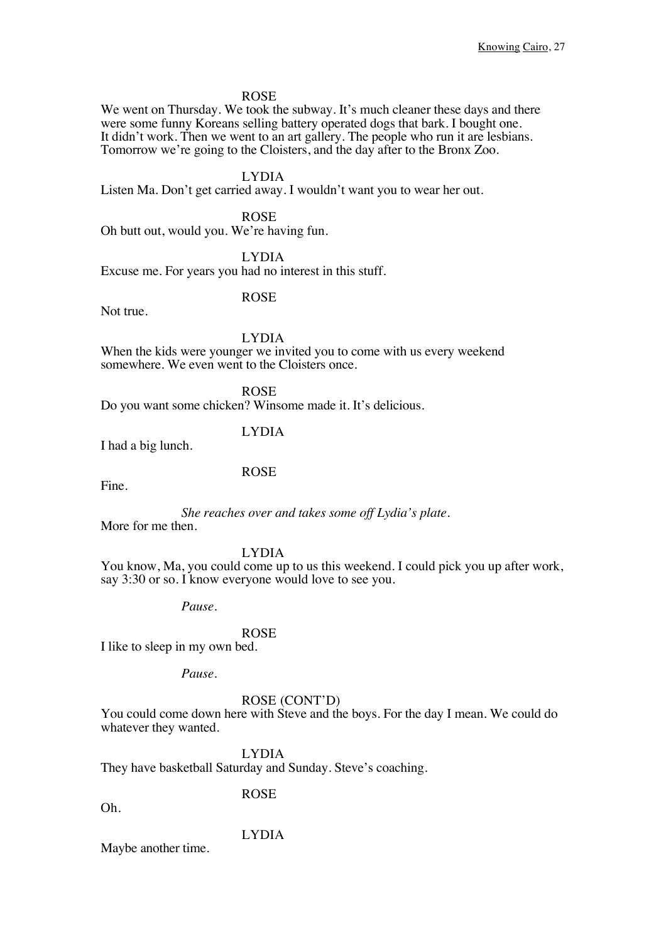ROSE

We went on Thursday. We took the subway. It's much cleaner these days and there were some funny Koreans selling battery operated dogs that bark. I bought one. It didn't work. Then we went to an art gallery. The people who run it are lesbians. Tomorrow we're going to the Cloisters, and the day after to the Bronx Zoo.

LYDIA

Listen Ma. Don't get carried away. I wouldn't want you to wear her out.

ROSE Oh butt out, would you. We're having fun.

LYDIA

Excuse me. For years you had no interest in this stuff.

ROSE

Not true.

LYDIA

When the kids were younger we invited you to come with us every weekend somewhere. We even went to the Cloisters once.

ROSE Do you want some chicken? Winsome made it. It's delicious.

ROSE

LYDIA I had a big lunch.

Fine.

*She reaches over and takes some off Lydia's plate.* More for me then.

LYDIA

You know, Ma, you could come up to us this weekend. I could pick you up after work, say 3:30 or so. I know everyone would love to see you.

*Pause.*

#### ROSE

I like to sleep in my own bed.

*Pause.*

#### ROSE (CONT'D)

You could come down here with Steve and the boys. For the day I mean. We could do whatever they wanted.

LYDIA

They have basketball Saturday and Sunday. Steve's coaching.

Oh.

ROSE

LYDIA

Maybe another time.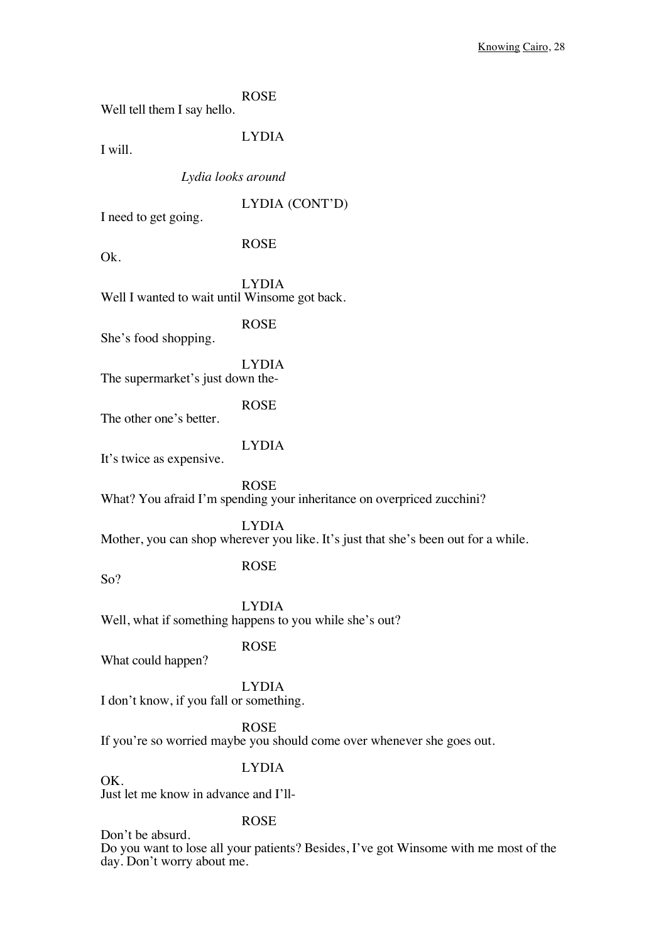ROSE Well tell them I say hello.

I will.

LYDIA

*Lydia looks around*

LYDIA (CONT'D)

I need to get going.

ROSE

Ok.

LYDIA Well I wanted to wait until Winsome got back.

ROSE

She's food shopping.

LYDIA The supermarket's just down the-

ROSE

The other one's better.

LYDIA

It's twice as expensive.

ROSE What? You afraid I'm spending your inheritance on overpriced zucchini?

LYDIA Mother, you can shop wherever you like. It's just that she's been out for a while.

So?

OK.

ROSE

LYDIA Well, what if something happens to you while she's out?

What could happen?

ROSE

LYDIA I don't know, if you fall or something.

ROSE

If you're so worried maybe you should come over whenever she goes out.

LYDIA

Just let me know in advance and I'll-

ROSE

Don't be absurd.

Do you want to lose all your patients? Besides, I've got Winsome with me most of the day. Don't worry about me.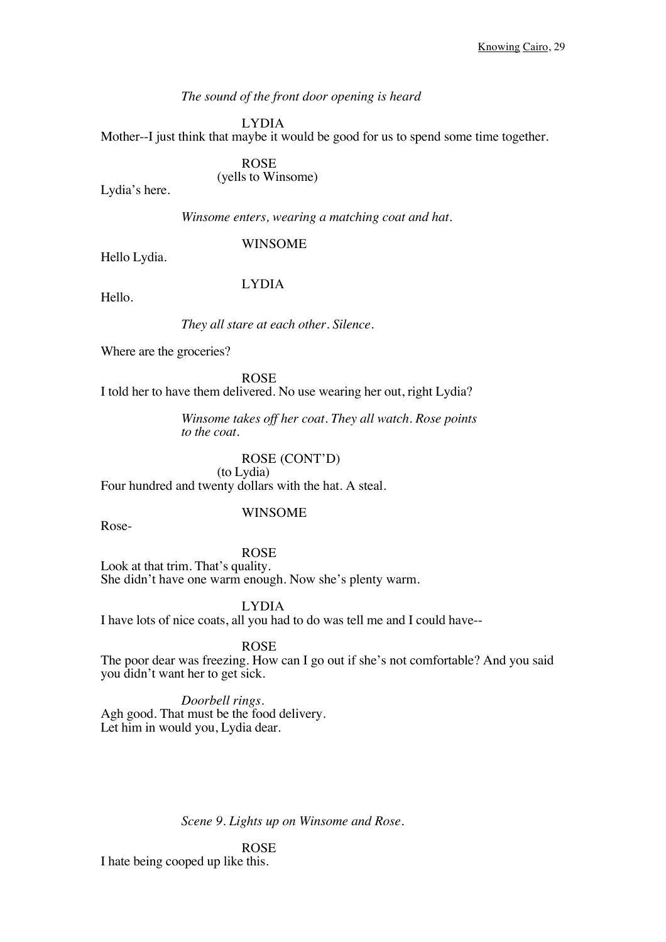#### *The sound of the front door opening is heard*

LYDIA

Mother--I just think that maybe it would be good for us to spend some time together.

# ROSE

(yells to Winsome)

Lydia's here.

*Winsome enters, wearing a matching coat and hat.* 

WINSOME

Hello Lydia.

#### LYDIA

Hello.

#### *They all stare at each other. Silence.*

Where are the groceries?

ROSE I told her to have them delivered. No use wearing her out, right Lydia?

> *Winsome takes off her coat. They all watch. Rose points to the coat.*

#### ROSE (CONT'D)

(to Lydia) Four hundred and twenty dollars with the hat. A steal.

WINSOME

Rose-

ROSE Look at that trim. That's quality. She didn't have one warm enough. Now she's plenty warm.

LYDIA

I have lots of nice coats, all you had to do was tell me and I could have--

#### ROSE

The poor dear was freezing. How can I go out if she's not comfortable? And you said you didn't want her to get sick.

*Doorbell rings.* Agh good. That must be the food delivery. Let him in would you, Lydia dear.

*Scene 9. Lights up on Winsome and Rose.* 

ROSE I hate being cooped up like this.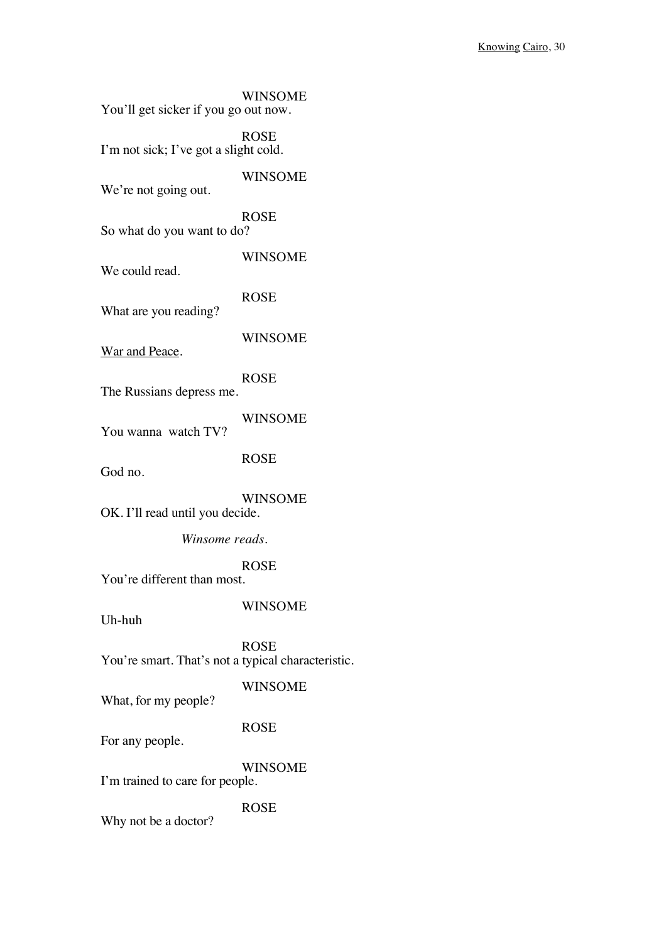| You'll get sicker if you go out now.               | <b>WINSOME</b> |
|----------------------------------------------------|----------------|
| I'm not sick; I've got a slight cold.              | <b>ROSE</b>    |
| We're not going out.                               | <b>WINSOME</b> |
| So what do you want to do?                         | <b>ROSE</b>    |
| We could read.                                     | <b>WINSOME</b> |
| What are you reading?                              | <b>ROSE</b>    |
| War and Peace.                                     | <b>WINSOME</b> |
| The Russians depress me.                           | <b>ROSE</b>    |
| You wanna watch TV?                                | <b>WINSOME</b> |
| God no.                                            | <b>ROSE</b>    |
| OK. I'll read until you decide.                    | <b>WINSOME</b> |
| Winsome reads.                                     |                |
| You're different than most.                        | <b>ROSE</b>    |
| Uh-huh                                             | <b>WINSOME</b> |
| You're smart. That's not a typical characteristic. | <b>ROSE</b>    |
| What, for my people?                               | <b>WINSOME</b> |
| For any people.                                    | <b>ROSE</b>    |
| I'm trained to care for people.                    | <b>WINSOME</b> |
| Why not be a doctor?                               | <b>ROSE</b>    |
|                                                    |                |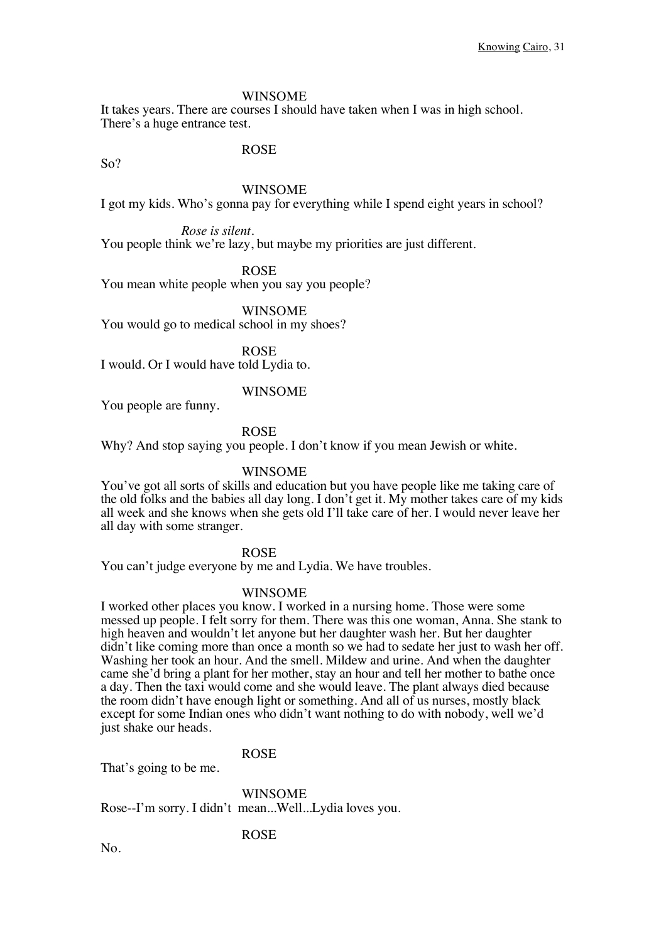It takes years. There are courses I should have taken when I was in high school. There's a huge entrance test.

ROSE

So?

#### WINSOME

I got my kids. Who's gonna pay for everything while I spend eight years in school?

*Rose is silent.*

You people think we're lazy, but maybe my priorities are just different.

ROSE

You mean white people when you say you people?

WINSOME

You would go to medical school in my shoes?

ROSE I would. Or I would have told Lydia to.

#### WINSOME

You people are funny.

#### ROSE

Why? And stop saying you people. I don't know if you mean Jewish or white.

#### WINSOME

You've got all sorts of skills and education but you have people like me taking care of the old folks and the babies all day long. I don't get it. My mother takes care of my kids all week and she knows when she gets old I'll take care of her. I would never leave her all day with some stranger.

#### ROSE

You can't judge everyone by me and Lydia. We have troubles.

#### WINSOME

I worked other places you know. I worked in a nursing home. Those were some messed up people. I felt sorry for them. There was this one woman, Anna. She stank to high heaven and wouldn't let anyone but her daughter wash her. But her daughter didn't like coming more than once a month so we had to sedate her just to wash her off. Washing her took an hour. And the smell. Mildew and urine. And when the daughter came she'd bring a plant for her mother, stay an hour and tell her mother to bathe once a day. Then the taxi would come and she would leave. The plant always died because the room didn't have enough light or something. And all of us nurses, mostly black except for some Indian ones who didn't want nothing to do with nobody, well we'd just shake our heads.

#### ROSE

That's going to be me.

WINSOME Rose--I'm sorry. I didn't mean...Well...Lydia loves you.

#### ROSE

No.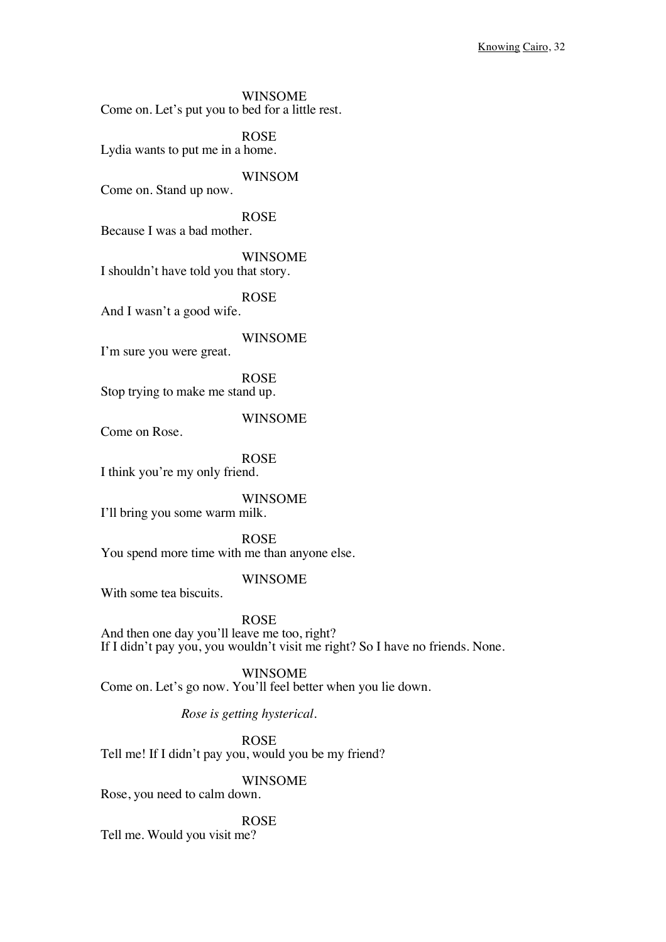WINSOME Come on. Let's put you to bed for a little rest.

ROSE Lydia wants to put me in a home.

WINSOM Come on. Stand up now.

ROSE Because I was a bad mother.

WINSOME I shouldn't have told you that story.

ROSE

And I wasn't a good wife.

WINSOME

I'm sure you were great.

ROSE Stop trying to make me stand up.

WINSOME

Come on Rose.

ROSE I think you're my only friend.

WINSOME

I'll bring you some warm milk.

ROSE You spend more time with me than anyone else.

#### WINSOME

With some tea biscuits.

ROSE

And then one day you'll leave me too, right? If I didn't pay you, you wouldn't visit me right? So I have no friends. None.

WINSOME Come on. Let's go now. You'll feel better when you lie down.

*Rose is getting hysterical.*

ROSE Tell me! If I didn't pay you, would you be my friend?

WINSOME

Rose, you need to calm down.

ROSE Tell me. Would you visit me?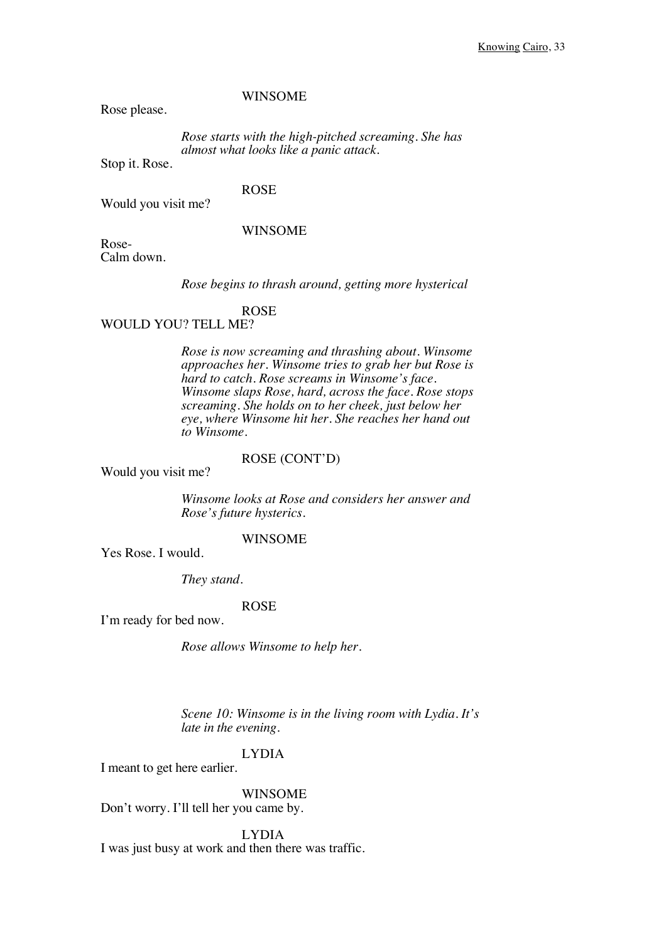Rose please.

*Rose starts with the high-pitched screaming. She has almost what looks like a panic attack.*

Stop it. Rose.

#### ROSE

Would you visit me?

#### WINSOME

Rose-Calm down.

*Rose begins to thrash around, getting more hysterical*

#### ROSE

#### WOULD YOU? TELL ME?

*Rose is now screaming and thrashing about. Winsome approaches her. Winsome tries to grab her but Rose is hard to catch. Rose screams in Winsome's face. Winsome slaps Rose, hard, across the face. Rose stops screaming. She holds on to her cheek, just below her eye, where Winsome hit her. She reaches her hand out to Winsome.*

## ROSE (CONT'D)

Would you visit me?

*Winsome looks at Rose and considers her answer and Rose's future hysterics.*

#### WINSOME

Yes Rose. I would.

*They stand.*

#### ROSE

I'm ready for bed now.

*Rose allows Winsome to help her.* 

*Scene 10: Winsome is in the living room with Lydia. It's late in the evening.*

#### LYDIA

I meant to get here earlier.

WINSOME Don't worry. I'll tell her you came by.

LYDIA I was just busy at work and then there was traffic.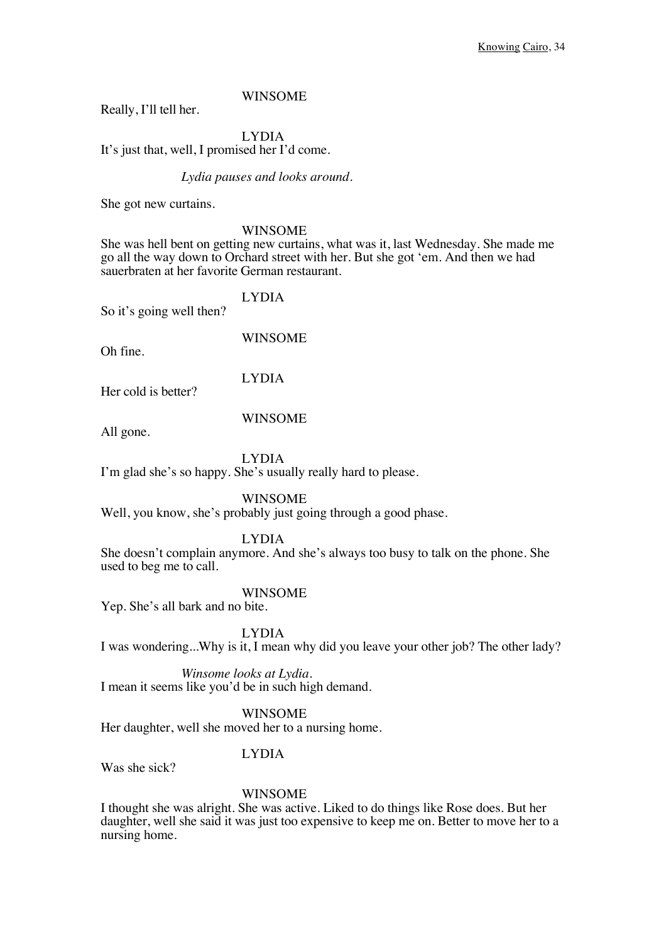Really, I'll tell her.

# LYDIA

It's just that, well, I promised her I'd come.

#### *Lydia pauses and looks around.*

She got new curtains.

#### WINSOME

She was hell bent on getting new curtains, what was it, last Wednesday. She made me go all the way down to Orchard street with her. But she got 'em. And then we had sauerbraten at her favorite German restaurant.

LYDIA So it's going well then?

WINSOME

Oh fine.

LYDIA

Her cold is better?

#### WINSOME

All gone.

LYDIA I'm glad she's so happy. She's usually really hard to please.

WINSOME

Well, you know, she's probably just going through a good phase.

#### LYDIA

She doesn't complain anymore. And she's always too busy to talk on the phone. She used to beg me to call.

#### WINSOME

Yep. She's all bark and no bite.

LYDIA

I was wondering...Why is it, I mean why did you leave your other job? The other lady?

*Winsome looks at Lydia.* I mean it seems like you'd be in such high demand.

WINSOME

Her daughter, well she moved her to a nursing home.

### LYDIA

Was she sick?

#### WINSOME

I thought she was alright. She was active. Liked to do things like Rose does. But her daughter, well she said it was just too expensive to keep me on. Better to move her to a nursing home.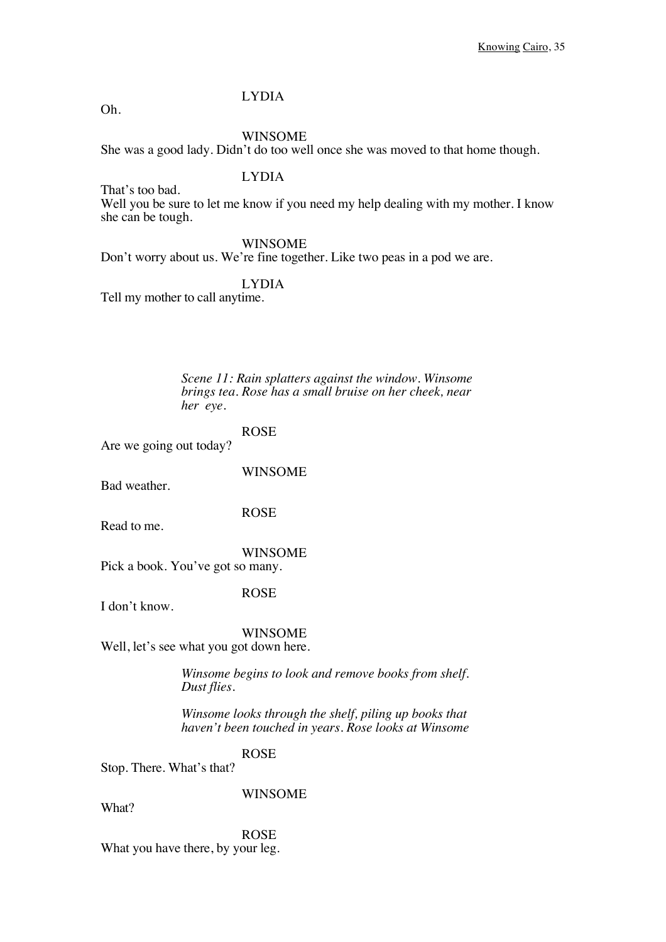### LYDIA

Oh.

That's too bad.

WINSOME

She was a good lady. Didn't do too well once she was moved to that home though.

### LYDIA

Well you be sure to let me know if you need my help dealing with my mother. I know she can be tough.

WINSOME

Don't worry about us. We're fine together. Like two peas in a pod we are.

LYDIA

Tell my mother to call anytime.

*Scene 11: Rain splatters against the window. Winsome brings tea. Rose has a small bruise on her cheek, near her eye.*

ROSE Are we going out today?

WINSOME

Bad weather.

ROSE

Read to me.

WINSOME Pick a book. You've got so many.

ROSE

I don't know.

WINSOME Well, let's see what you got down here.

> *Winsome begins to look and remove books from shelf. Dust flies.*

*Winsome looks through the shelf, piling up books that haven't been touched in years. Rose looks at Winsome*

ROSE

Stop. There. What's that?

WINSOME

What?

ROSE What you have there, by your leg.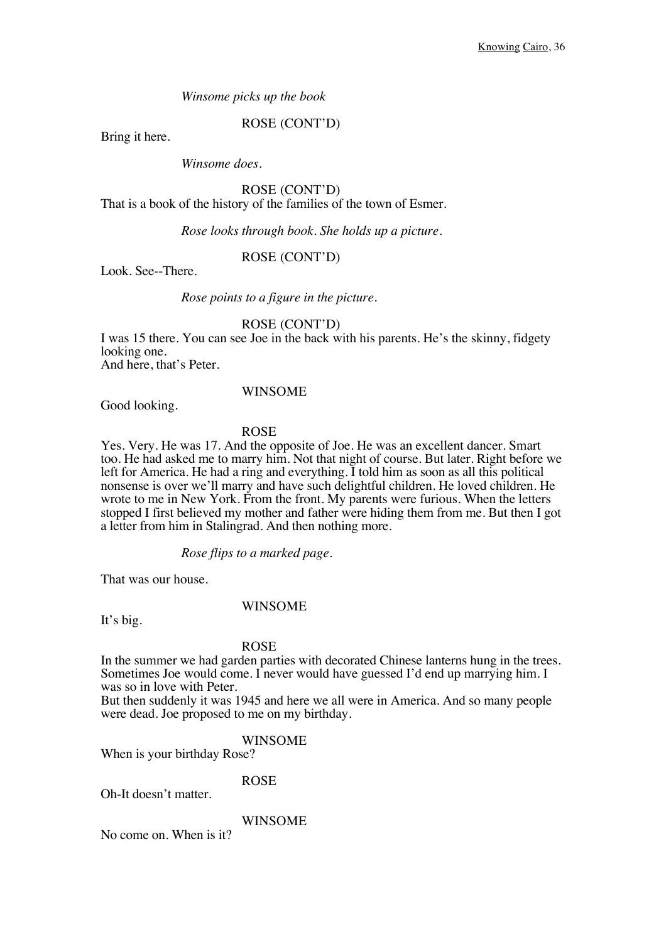*Winsome picks up the book*

ROSE (CONT'D)

Bring it here.

*Winsome does.*

ROSE (CONT'D) That is a book of the history of the families of the town of Esmer.

*Rose looks through book. She holds up a picture.*

#### ROSE (CONT'D)

Look. See--There.

*Rose points to a figure in the picture.*

ROSE (CONT'D)

I was 15 there. You can see Joe in the back with his parents. He's the skinny, fidgety looking one.

And here, that's Peter.

#### WINSOME

Good looking.

#### ROSE

Yes. Very. He was 17. And the opposite of Joe. He was an excellent dancer. Smart too. He had asked me to marry him. Not that night of course. But later. Right before we left for America. He had a ring and everything. I told him as soon as all this political nonsense is over we'll marry and have such delightful children. He loved children. He wrote to me in New York. From the front. My parents were furious. When the letters stopped I first believed my mother and father were hiding them from me. But then I got a letter from him in Stalingrad. And then nothing more.

*Rose flips to a marked page.*

That was our house.

### WINSOME

It's big.

#### ROSE

In the summer we had garden parties with decorated Chinese lanterns hung in the trees. Sometimes Joe would come. I never would have guessed I'd end up marrying him. I was so in love with Peter.

But then suddenly it was 1945 and here we all were in America. And so many people were dead. Joe proposed to me on my birthday.

### WINSOME

When is your birthday Rose?

ROSE

Oh-It doesn't matter.

WINSOME

No come on. When is it?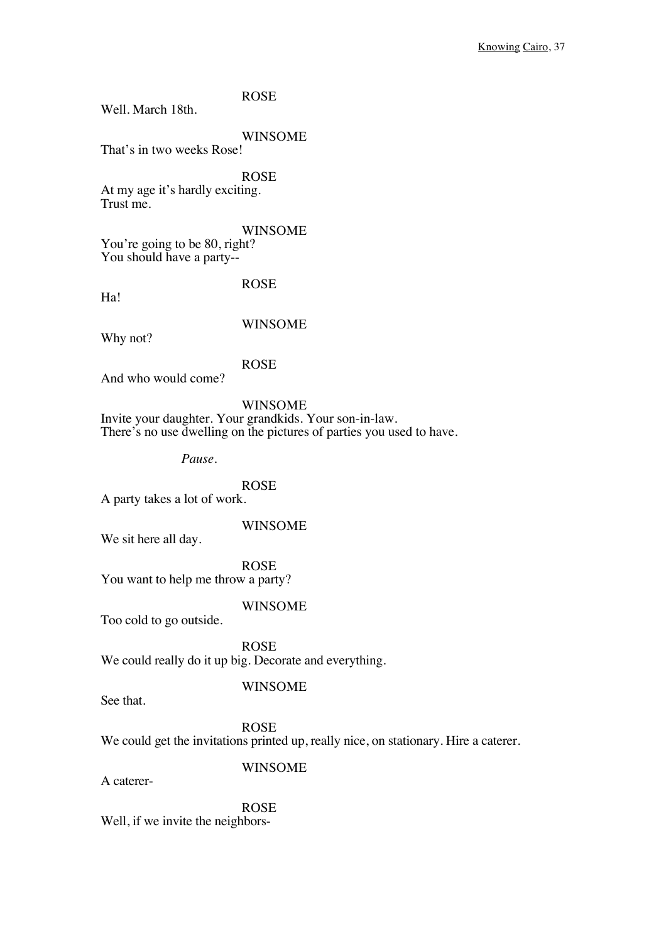Well. March 18th.

WINSOME

That's in two weeks Rose!

ROSE At my age it's hardly exciting. Trust me.

WINSOME

You're going to be 80, right? You should have a party--

Ha!

ROSE

Why not?

WINSOME

ROSE

And who would come?

WINSOME

Invite your daughter. Your grandkids. Your son-in-law. There's no use dwelling on the pictures of parties you used to have.

*Pause.*

ROSE

A party takes a lot of work.

WINSOME

We sit here all day.

ROSE You want to help me throw a party?

WINSOME

Too cold to go outside.

ROSE We could really do it up big. Decorate and everything.

See that.

WINSOME

ROSE

We could get the invitations printed up, really nice, on stationary. Hire a caterer.

A caterer-

WINSOME

ROSE Well, if we invite the neighbors-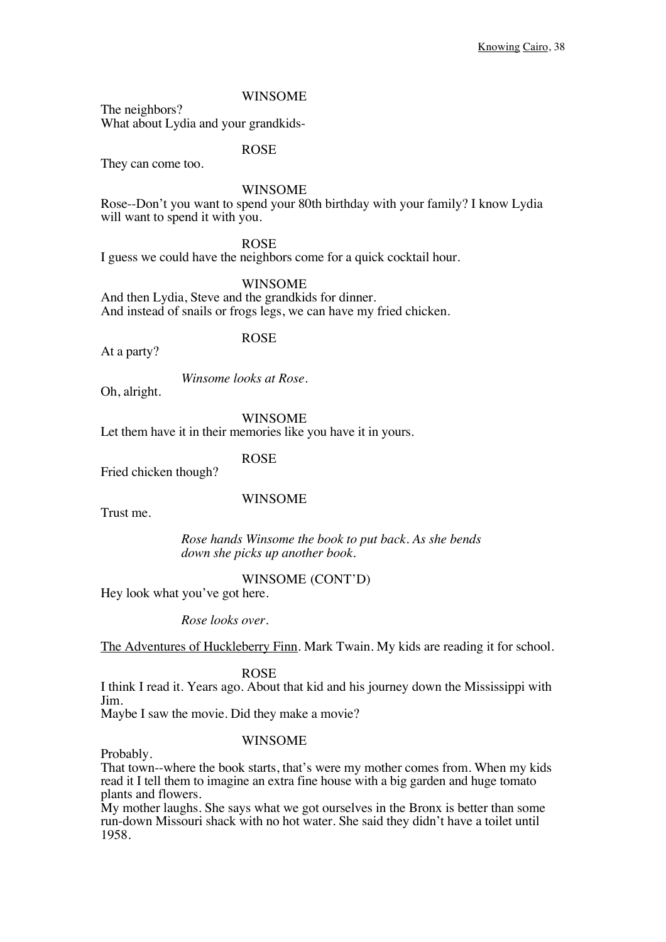### WINSOME

The neighbors? What about Lydia and your grandkids-

ROSE

They can come too.

### WINSOME

Rose--Don't you want to spend your 80th birthday with your family? I know Lydia will want to spend it with you.

ROSE

I guess we could have the neighbors come for a quick cocktail hour.

WINSOME

And then Lydia, Steve and the grandkids for dinner. And instead of snails or frogs legs, we can have my fried chicken.

### ROSE

At a party?

*Winsome looks at Rose.*

Oh, alright.

WINSOME Let them have it in their memories like you have it in yours.

### ROSE

Fried chicken though?

#### WINSOME

Trust me.

*Rose hands Winsome the book to put back. As she bends down she picks up another book.*

#### WINSOME (CONT'D)

Hey look what you've got here.

*Rose looks over.*

The Adventures of Huckleberry Finn. Mark Twain. My kids are reading it for school.

ROSE

I think I read it. Years ago. About that kid and his journey down the Mississippi with Jim.

Maybe I saw the movie. Did they make a movie?

#### WINSOME

Probably.

That town--where the book starts, that's were my mother comes from. When my kids read it I tell them to imagine an extra fine house with a big garden and huge tomato plants and flowers.

My mother laughs. She says what we got ourselves in the Bronx is better than some run-down Missouri shack with no hot water. She said they didn't have a toilet until 1958.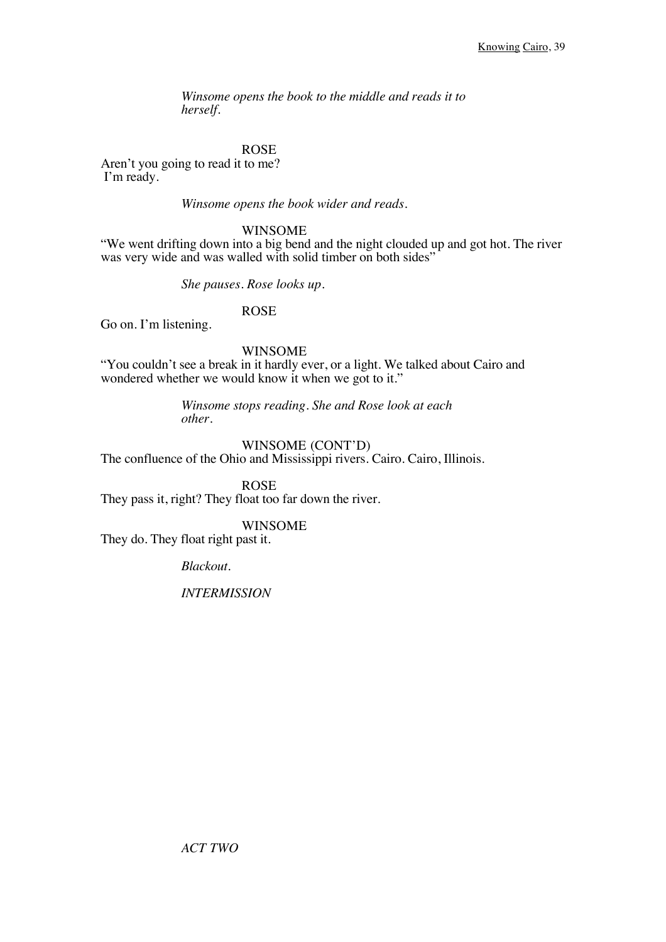*Winsome opens the book to the middle and reads it to herself.*

### ROSE

Aren't you going to read it to me? I'm ready.

*Winsome opens the book wider and reads.*

### WINSOME

"We went drifting down into a big bend and the night clouded up and got hot. The river was very wide and was walled with solid timber on both sides"

*She pauses. Rose looks up.*

ROSE

Go on. I'm listening.

#### WINSOME

"You couldn't see a break in it hardly ever, or a light. We talked about Cairo and wondered whether we would know it when we got to it."

> *Winsome stops reading. She and Rose look at each other.*

### WINSOME (CONT'D)

The confluence of the Ohio and Mississippi rivers. Cairo. Cairo, Illinois.

ROSE They pass it, right? They float too far down the river.

### WINSOME

They do. They float right past it.

*Blackout.* 

*INTERMISSION*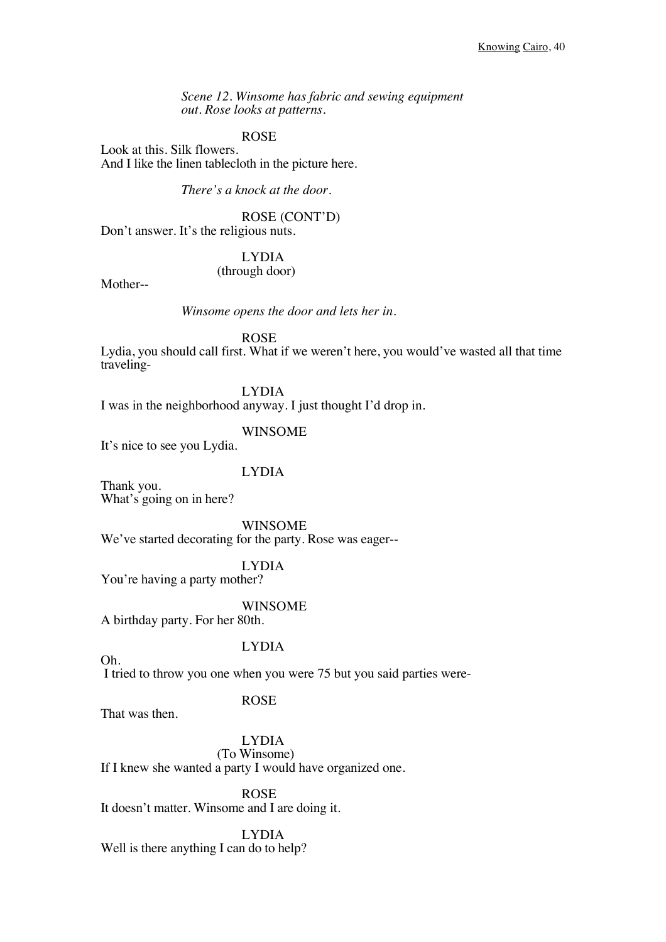*Scene 12. Winsome has fabric and sewing equipment out. Rose looks at patterns.*

ROSE

Look at this. Silk flowers. And I like the linen tablecloth in the picture here.

*There's a knock at the door.*

ROSE (CONT'D) Don't answer. It's the religious nuts.

> LYDIA (through door)

Mother--

*Winsome opens the door and lets her in.* 

ROSE

Lydia, you should call first. What if we weren't here, you would've wasted all that time traveling-

LYDIA

I was in the neighborhood anyway. I just thought I'd drop in.

WINSOME

It's nice to see you Lydia.

LYDIA

Thank you. What's going on in here?

WINSOME

We've started decorating for the party. Rose was eager--

LYDIA

You're having a party mother?

WINSOME

A birthday party. For her 80th.

### LYDIA

I tried to throw you one when you were 75 but you said parties were-

### ROSE

That was then.

Oh.

LYDIA (To Winsome) If I knew she wanted a party I would have organized one.

ROSE It doesn't matter. Winsome and I are doing it.

LYDIA Well is there anything I can do to help?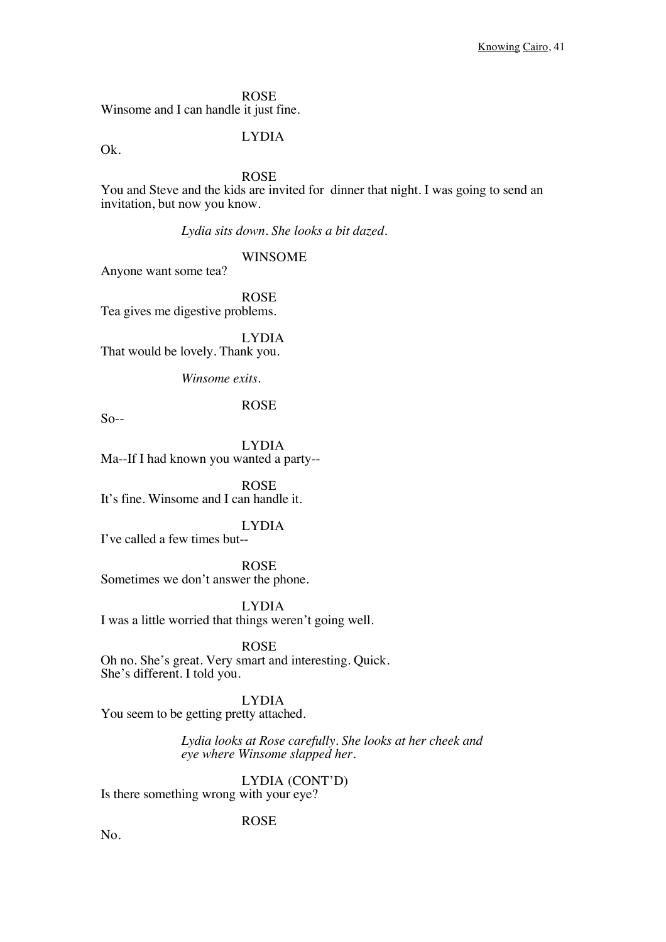ROSE Winsome and I can handle it just fine.

Ok.

LYDIA

ROSE

You and Steve and the kids are invited for dinner that night. I was going to send an invitation, but now you know.

*Lydia sits down. She looks a bit dazed.*

WINSOME

Anyone want some tea?

ROSE Tea gives me digestive problems.

LYDIA That would be lovely. Thank you.

*Winsome exits.*

ROSE

 $So-$ 

LYDIA Ma--If I had known you wanted a party--

ROSE It's fine. Winsome and I can handle it.

LYDIA

I've called a few times but--

ROSE

Sometimes we don't answer the phone.

LYDIA I was a little worried that things weren't going well.

ROSE Oh no. She's great. Very smart and interesting. Quick. She's different. I told you.

LYDIA You seem to be getting pretty attached.

> *Lydia looks at Rose carefully. She looks at her cheek and eye where Winsome slapped her.*

> > LYDIA (CONT'D)

Is there something wrong with your eye?

ROSE

No.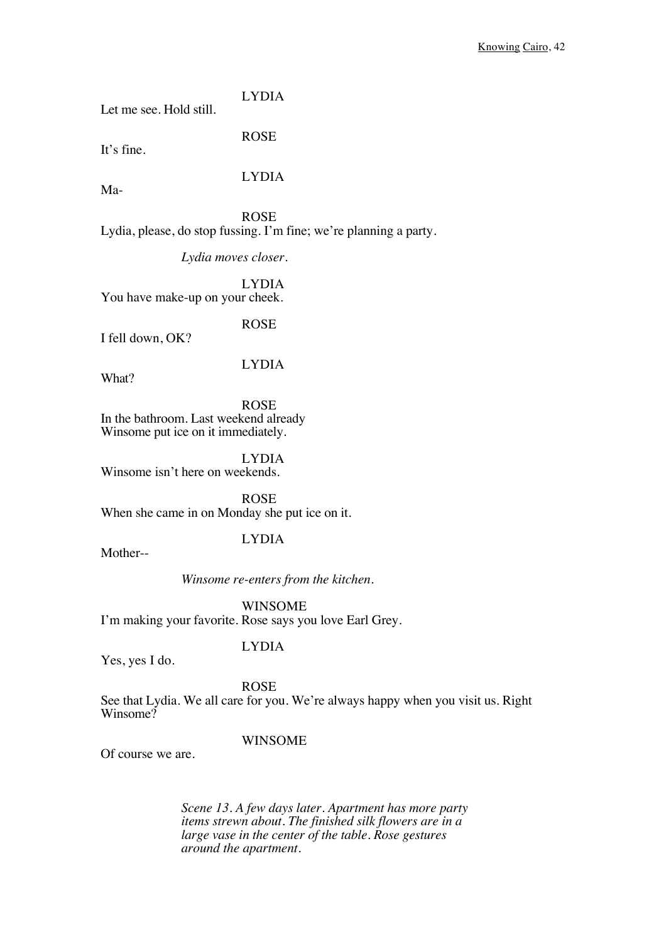LYDIA Let me see. Hold still.

It's fine.

LYDIA

ROSE

Ma-

ROSE Lydia, please, do stop fussing. I'm fine; we're planning a party.

*Lydia moves closer.*

LYDIA You have make-up on your cheek.

ROSE

I fell down, OK?

LYDIA

What?

ROSE In the bathroom. Last weekend already Winsome put ice on it immediately.

LYDIA Winsome isn't here on weekends.

ROSE When she came in on Monday she put ice on it.

### LYDIA

Mother--

*Winsome re-enters from the kitchen.*

WINSOME I'm making your favorite. Rose says you love Earl Grey.

Yes, yes I do.

LYDIA

ROSE

See that Lydia. We all care for you. We're always happy when you visit us. Right Winsome?

### WINSOME

Of course we are.

*Scene 13. A few days later. Apartment has more party items strewn about. The finished silk flowers are in a large vase in the center of the table. Rose gestures around the apartment.*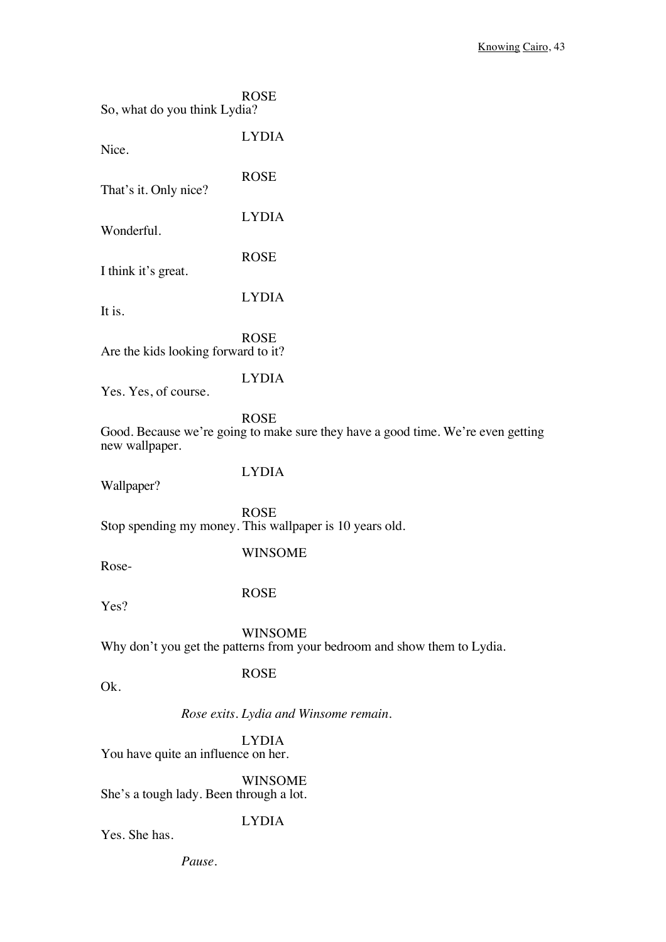| So, what do you think Lydia?            | <b>ROSE</b>                                                                                     |
|-----------------------------------------|-------------------------------------------------------------------------------------------------|
| Nice.                                   | <b>LYDIA</b>                                                                                    |
| That's it. Only nice?                   | <b>ROSE</b>                                                                                     |
| Wonderful.                              | <b>LYDIA</b>                                                                                    |
| I think it's great.                     | <b>ROSE</b>                                                                                     |
| It is.                                  | <b>LYDIA</b>                                                                                    |
| Are the kids looking forward to it?     | <b>ROSE</b>                                                                                     |
| Yes. Yes, of course.                    | <b>LYDIA</b>                                                                                    |
| new wallpaper.                          | <b>ROSE</b><br>Good. Because we're going to make sure they have a good time. We're even getting |
| Wallpaper?                              | <b>LYDIA</b>                                                                                    |
|                                         | <b>ROSE</b><br>Stop spending my money. This wallpaper is 10 years old.                          |
| Rose-                                   | <b>WINSOME</b>                                                                                  |
| Yes?                                    | <b>ROSE</b>                                                                                     |
|                                         | <b>WINSOME</b><br>Why don't you get the patterns from your bedroom and show them to Lydia.      |
| Ok.                                     | <b>ROSE</b>                                                                                     |
|                                         | Rose exits. Lydia and Winsome remain.                                                           |
| You have quite an influence on her.     | <b>LYDIA</b>                                                                                    |
| She's a tough lady. Been through a lot. | <b>WINSOME</b>                                                                                  |
|                                         | <b>LYDIA</b>                                                                                    |

Yes. She has.

*Pause.*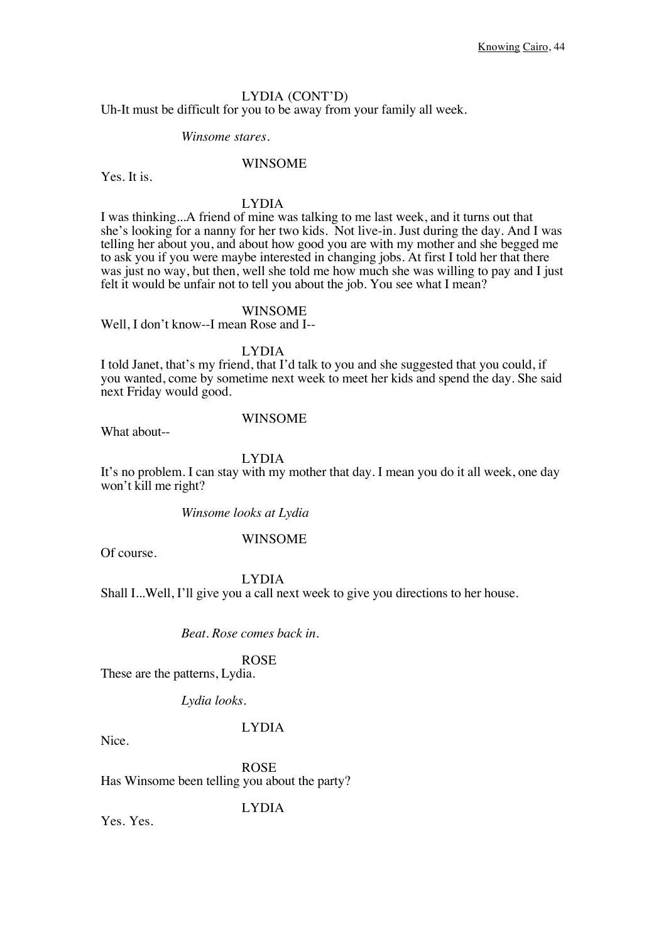### LYDIA (CONT'D)

Uh-It must be difficult for you to be away from your family all week.

### *Winsome stares.*

### WINSOME

Yes. It is.

### LYDIA

I was thinking...A friend of mine was talking to me last week, and it turns out that she's looking for a nanny for her two kids. Not live-in. Just during the day. And I was telling her about you, and about how good you are with my mother and she begged me to ask you if you were maybe interested in changing jobs. At first I told her that there was just no way, but then, well she told me how much she was willing to pay and I just felt it would be unfair not to tell you about the job. You see what I mean?

### WINSOME

Well, I don't know--I mean Rose and I--

LYDIA

I told Janet, that's my friend, that I'd talk to you and she suggested that you could, if you wanted, come by sometime next week to meet her kids and spend the day. She said next Friday would good.

What about--

### WINSOME

LYDIA

It's no problem. I can stay with my mother that day. I mean you do it all week, one day won't kill me right?

*Winsome looks at Lydia*

### WINSOME

Of course.

#### LYDIA

Shall I...Well, I'll give you a call next week to give you directions to her house.

### *Beat. Rose comes back in.*

ROSE

These are the patterns, Lydia.

*Lydia looks.*

### LYDIA

Nice.

ROSE Has Winsome been telling you about the party?

LYDIA

Yes. Yes.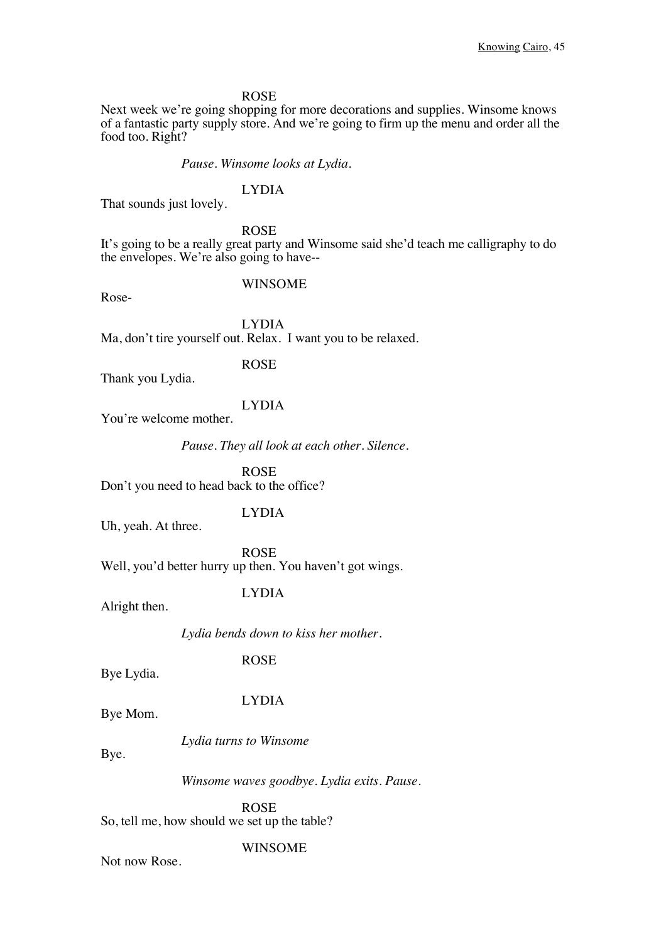Next week we're going shopping for more decorations and supplies. Winsome knows of a fantastic party supply store. And we're going to firm up the menu and order all the food too. Right?

*Pause. Winsome looks at Lydia.*

### LYDIA

That sounds just lovely.

ROSE

It's going to be a really great party and Winsome said she'd teach me calligraphy to do the envelopes. We're also going to have--

#### WINSOME

Rose-

LYDIA Ma, don't tire yourself out. Relax. I want you to be relaxed.

ROSE

Thank you Lydia.

#### LYDIA

You're welcome mother.

*Pause. They all look at each other. Silence.* 

ROSE Don't you need to head back to the office?

Uh, yeah. At three.

LYDIA

ROSE Well, you'd better hurry up then. You haven't got wings.

Alright then.

LYDIA

*Lydia bends down to kiss her mother.*

ROSE

Bye Lydia.

#### LYDIA

Bye Mom.

*Lydia turns to Winsome*

Bye.

*Winsome waves goodbye. Lydia exits. Pause.*

ROSE So, tell me, how should we set up the table?

### WINSOME

Not now Rose.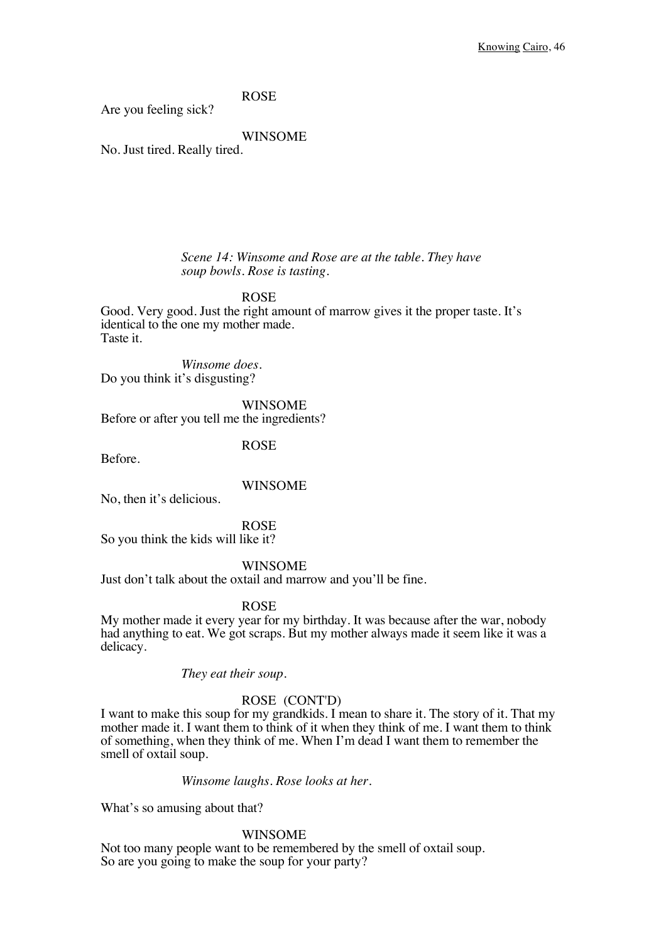Are you feeling sick?

WINSOME

No. Just tired. Really tired.

#### *Scene 14: Winsome and Rose are at the table. They have soup bowls. Rose is tasting.*

ROSE

Good. Very good. Just the right amount of marrow gives it the proper taste. It's identical to the one my mother made. Taste it.

*Winsome does.* Do you think it's disgusting?

WINSOME Before or after you tell me the ingredients?

ROSE

Before.

### WINSOME

No, then it's delicious.

ROSE

So you think the kids will like it?

### WINSOME

Just don't talk about the oxtail and marrow and you'll be fine.

#### ROSE

My mother made it every year for my birthday. It was because after the war, nobody had anything to eat. We got scraps. But my mother always made it seem like it was a delicacy.

*They eat their soup.*

### ROSE (CONT'D)

I want to make this soup for my grandkids. I mean to share it. The story of it. That my mother made it. I want them to think of it when they think of me. I want them to think of something, when they think of me. When I'm dead I want them to remember the smell of oxtail soup.

#### *Winsome laughs. Rose looks at her.*

What's so amusing about that?

#### WINSOME

Not too many people want to be remembered by the smell of oxtail soup. So are you going to make the soup for your party?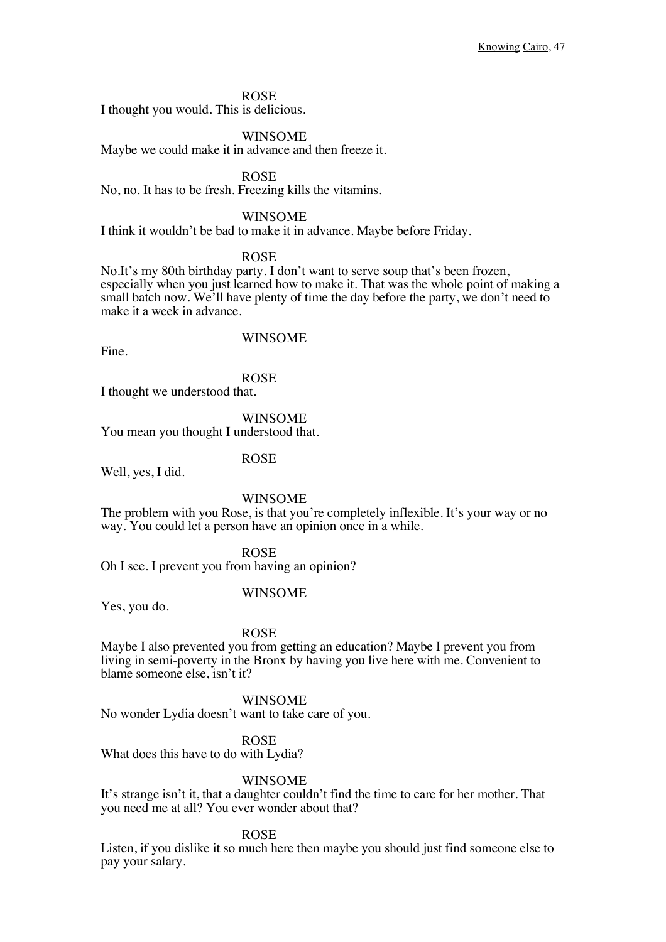I thought you would. This is delicious.

#### WINSOME

Maybe we could make it in advance and then freeze it.

ROSE

No, no. It has to be fresh. Freezing kills the vitamins.

#### WINSOME

I think it wouldn't be bad to make it in advance. Maybe before Friday.

#### ROSE

No.It's my 80th birthday party. I don't want to serve soup that's been frozen, especially when you just learned how to make it. That was the whole point of making a small batch now. We'll have plenty of time the day before the party, we don't need to make it a week in advance.

Fine.

### WINSOME

ROSE I thought we understood that.

WINSOME You mean you thought I understood that.

### ROSE

Well, yes, I did.

#### WINSOME

The problem with you Rose, is that you're completely inflexible. It's your way or no way. You could let a person have an opinion once in a while.

#### ROSE

Oh I see. I prevent you from having an opinion?

#### WINSOME

Yes, you do.

#### ROSE

Maybe I also prevented you from getting an education? Maybe I prevent you from living in semi-poverty in the Bronx by having you live here with me. Convenient to blame someone else, isn't it?

#### WINSOME

No wonder Lydia doesn't want to take care of you.

#### ROSE

What does this have to do with Lydia?

#### WINSOME

It's strange isn't it, that a daughter couldn't find the time to care for her mother. That you need me at all? You ever wonder about that?

#### ROSE

Listen, if you dislike it so much here then maybe you should just find someone else to pay your salary.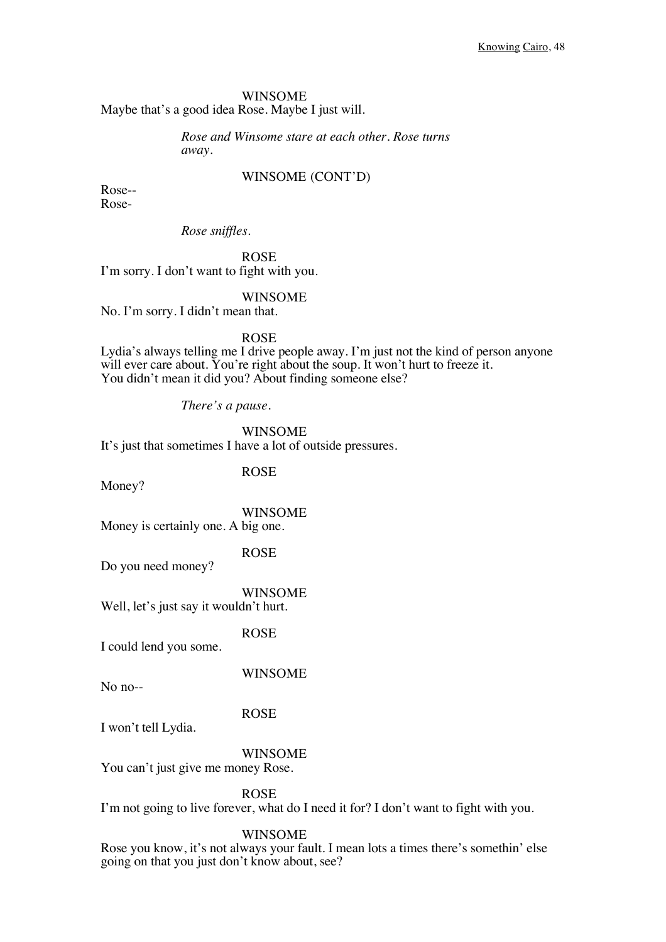### WINSOME

Maybe that's a good idea Rose. Maybe I just will.

### *Rose and Winsome stare at each other. Rose turns away.*

### WINSOME (CONT'D)

Rose-- Rose-

*Rose sniffles.*

ROSE I'm sorry. I don't want to fight with you.

#### WINSOME

No. I'm sorry. I didn't mean that.

ROSE

Lydia's always telling me I drive people away. I'm just not the kind of person anyone will ever care about. You're right about the soup. It won't hurt to freeze it. You didn't mean it did you? About finding someone else?

*There's a pause.*

WINSOME

It's just that sometimes I have a lot of outside pressures.

Money?

ROSE

WINSOME Money is certainly one. A big one.

ROSE

Do you need money?

WINSOME Well, let's just say it wouldn't hurt.

ROSE

I could lend you some.

WINSOME

No no--

ROSE

I won't tell Lydia.

### WINSOME

You can't just give me money Rose.

ROSE

I'm not going to live forever, what do I need it for? I don't want to fight with you.

#### WINSOME

Rose you know, it's not always your fault. I mean lots a times there's somethin' else going on that you just don't know about, see?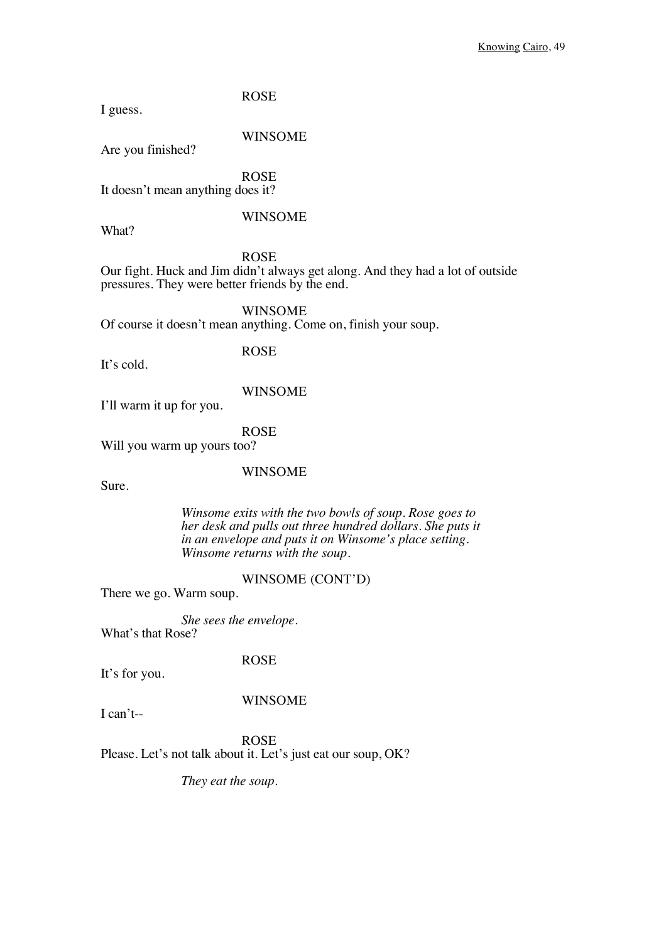I guess.

Are you finished?

WINSOME

ROSE It doesn't mean anything does it?

### WINSOME

What?

ROSE

Our fight. Huck and Jim didn't always get along. And they had a lot of outside pressures. They were better friends by the end.

WINSOME

Of course it doesn't mean anything. Come on, finish your soup.

It's cold.

ROSE

I'll warm it up for you.

ROSE

Will you warm up yours too?

WINSOME

WINSOME

Sure.

*Winsome exits with the two bowls of soup. Rose goes to her desk and pulls out three hundred dollars. She puts it in an envelope and puts it on Winsome's place setting. Winsome returns with the soup.*

### WINSOME (CONT'D)

There we go. Warm soup.

*She sees the envelope.* What's that Rose?

ROSE

It's for you.

### WINSOME

I can't--

ROSE

Please. Let's not talk about it. Let's just eat our soup, OK?

*They eat the soup.*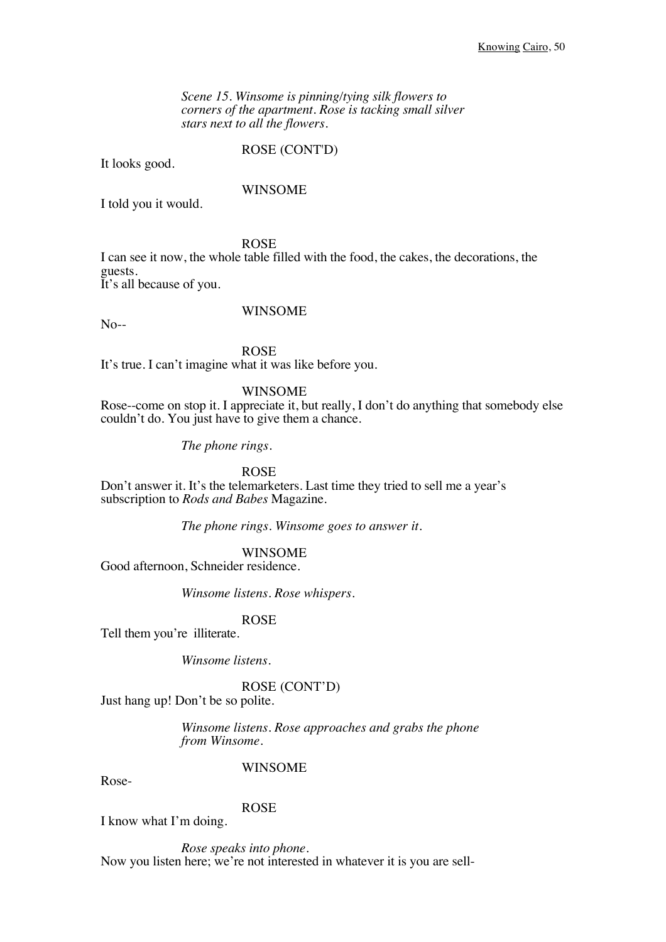*Scene 15. Winsome is pinning/tying silk flowers to corners of the apartment. Rose is tacking small silver stars next to all the flowers.*

### ROSE (CONT'D)

It looks good.

### WINSOME

I told you it would.

ROSE

I can see it now, the whole table filled with the food, the cakes, the decorations, the guests. It's all because of you.

No--

### WINSOME

ROSE It's true. I can't imagine what it was like before you.

#### WINSOME

Rose--come on stop it. I appreciate it, but really, I don't do anything that somebody else couldn't do. You just have to give them a chance.

*The phone rings.*

ROSE

Don't answer it. It's the telemarketers. Last time they tried to sell me a year's subscription to *Rods and Babes* Magazine.

*The phone rings. Winsome goes to answer it.*

### WINSOME

Good afternoon, Schneider residence.

*Winsome listens. Rose whispers.*

### ROSE

Tell them you're illiterate.

*Winsome listens.*

ROSE (CONT'D)

Just hang up! Don't be so polite.

*Winsome listens. Rose approaches and grabs the phone from Winsome.*

Rose-

### WINSOME

ROSE

I know what I'm doing.

*Rose speaks into phone.* Now you listen here; we're not interested in whatever it is you are sell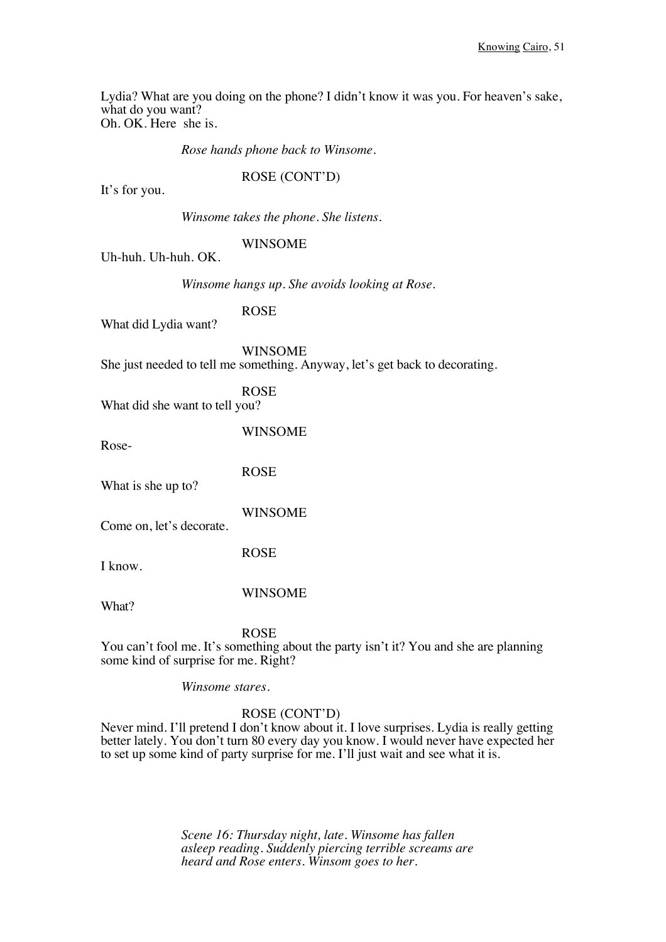Lydia? What are you doing on the phone? I didn't know it was you. For heaven's sake, what do you want? Oh. OK. Here she is.

*Rose hands phone back to Winsome.*

ROSE (CONT'D)

It's for you.

*Winsome takes the phone. She listens.*

### WINSOME

Uh-huh. Uh-huh. OK.

*Winsome hangs up. She avoids looking at Rose.*

ROSE

What did Lydia want?

WINSOME She just needed to tell me something. Anyway, let's get back to decorating.

ROSE What did she want to tell you?

Rose-

WINSOME

ROSE What is she up to?

WINSOME

Come on, let's decorate.

ROSE

I know.

WINSOME

What?

### ROSE

You can't fool me. It's something about the party isn't it? You and she are planning some kind of surprise for me. Right?

*Winsome stares.*

### ROSE (CONT'D)

Never mind. I'll pretend I don't know about it. I love surprises. Lydia is really getting better lately. You don't turn 80 every day you know. I would never have expected her to set up some kind of party surprise for me. I'll just wait and see what it is.

> *Scene 16: Thursday night, late. Winsome has fallen asleep reading. Suddenly piercing terrible screams are heard and Rose enters. Winsom goes to her.*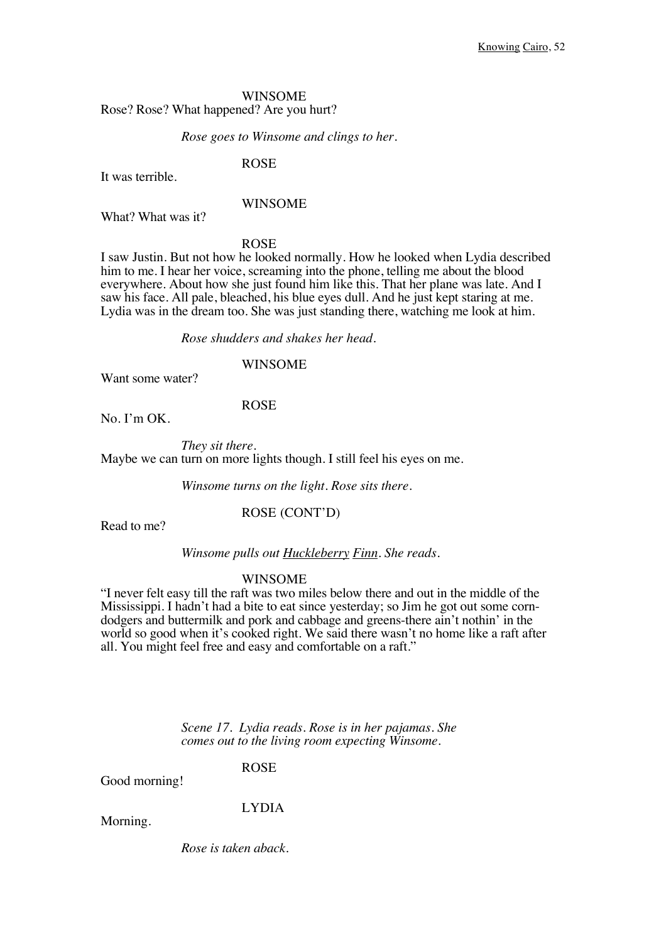### WINSOME Rose? Rose? What happened? Are you hurt?

#### *Rose goes to Winsome and clings to her.*

ROSE

It was terrible.

### WINSOME

What? What was it?

ROSE

I saw Justin. But not how he looked normally. How he looked when Lydia described him to me. I hear her voice, screaming into the phone, telling me about the blood everywhere. About how she just found him like this. That her plane was late. And I saw his face. All pale, bleached, his blue eyes dull. And he just kept staring at me. Lydia was in the dream too. She was just standing there, watching me look at him.

*Rose shudders and shakes her head.*

### WINSOME

Want some water?

#### ROSE

No. I'm OK.

*They sit there.* Maybe we can turn on more lights though. I still feel his eyes on me.

*Winsome turns on the light. Rose sits there.* 

Read to me?

ROSE (CONT'D)

*Winsome pulls out Huckleberry Finn. She reads.*

#### WINSOME

"I never felt easy till the raft was two miles below there and out in the middle of the Mississippi. I hadn't had a bite to eat since yesterday; so Jim he got out some corndodgers and buttermilk and pork and cabbage and greens-there ain't nothin' in the world so good when it's cooked right. We said there wasn't no home like a raft after all. You might feel free and easy and comfortable on a raft."

> *Scene 17. Lydia reads. Rose is in her pajamas. She comes out to the living room expecting Winsome.*

> > ROSE

Good morning!

LYDIA

Morning.

*Rose is taken aback.*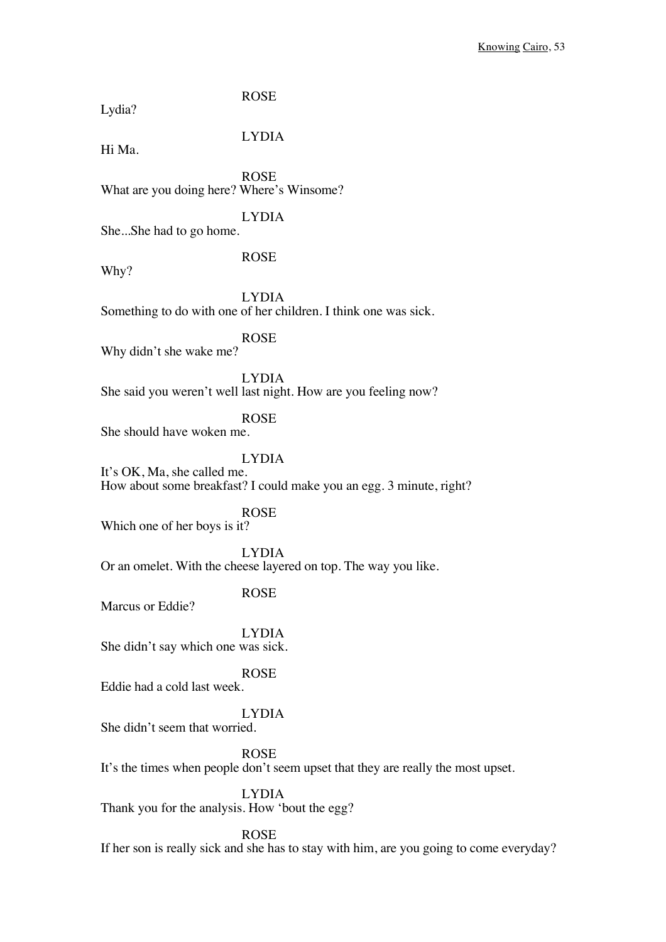| Lydia?                                         | <b>ROSE</b>                                                                                     |
|------------------------------------------------|-------------------------------------------------------------------------------------------------|
| Hi Ma.                                         | <b>LYDIA</b>                                                                                    |
| What are you doing here? Where's Winsome?      | <b>ROSE</b>                                                                                     |
| SheShe had to go home.                         | <b>LYDIA</b>                                                                                    |
| Why?                                           | <b>ROSE</b>                                                                                     |
|                                                | <b>LYDIA</b><br>Something to do with one of her children. I think one was sick.                 |
| Why didn't she wake me?                        | <b>ROSE</b>                                                                                     |
|                                                | <b>LYDIA</b><br>She said you weren't well last night. How are you feeling now?                  |
| She should have woken me.                      | <b>ROSE</b>                                                                                     |
| It's OK, Ma, she called me.                    | <b>LYDIA</b><br>How about some breakfast? I could make you an egg. 3 minute, right?             |
| Which one of her boys is it?                   | <b>ROSE</b>                                                                                     |
|                                                | <b>LYDIA</b><br>Or an omelet. With the cheese layered on top. The way you like.                 |
| Marcus or Eddie?                               | <b>ROSE</b>                                                                                     |
| She didn't say which one was sick.             | <b>LYDIA</b>                                                                                    |
| Eddie had a cold last week.                    | <b>ROSE</b>                                                                                     |
| She didn't seem that worried.                  | <b>LYDIA</b>                                                                                    |
|                                                | <b>ROSE</b><br>It's the times when people don't seem upset that they are really the most upset. |
| Thank you for the analysis. How 'bout the egg? | <b>LYDIA</b>                                                                                    |
|                                                | <b>ROSE</b>                                                                                     |

If her son is really sick and she has to stay with him, are you going to come everyday?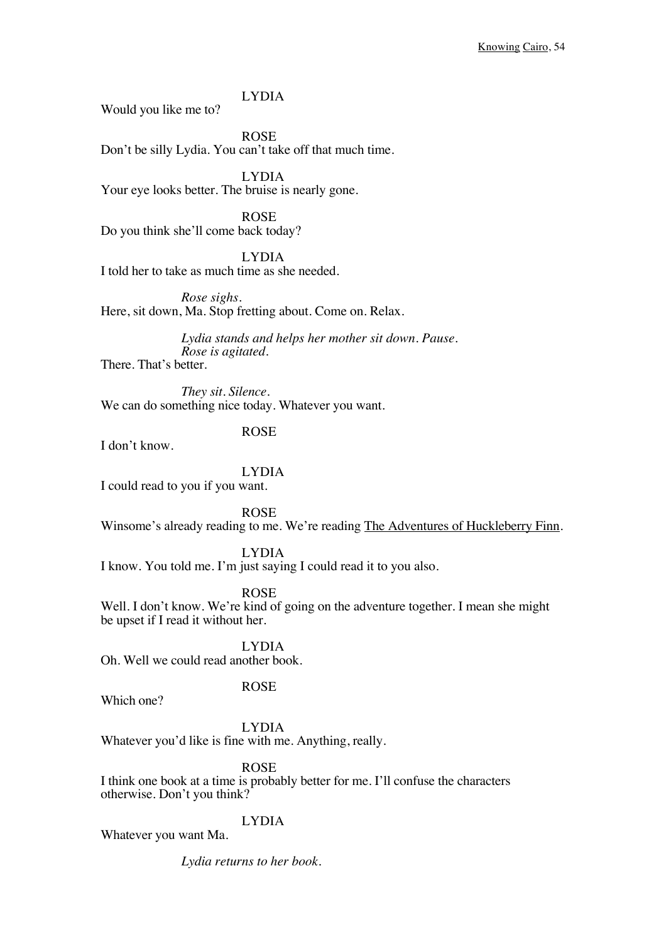LYDIA

Would you like me to?

ROSE Don't be silly Lydia. You can't take off that much time.

LYDIA Your eye looks better. The bruise is nearly gone.

ROSE Do you think she'll come back today?

LYDIA I told her to take as much time as she needed.

*Rose sighs.* Here, sit down, Ma. Stop fretting about. Come on. Relax.

> *Lydia stands and helps her mother sit down. Pause. Rose is agitated.*

There. That's better.

*They sit. Silence.* We can do something nice today. Whatever you want.

I don't know.

ROSE

LYDIA

I could read to you if you want.

ROSE

Winsome's already reading to me. We're reading The Adventures of Huckleberry Finn.

LYDIA

I know. You told me. I'm just saying I could read it to you also.

ROSE

Well. I don't know. We're kind of going on the adventure together. I mean she might be upset if I read it without her.

LYDIA Oh. Well we could read another book.

Which one?

ROSE

LYDIA

Whatever you'd like is fine with me. Anything, really.

ROSE

I think one book at a time is probably better for me. I'll confuse the characters otherwise. Don't you think?

### LYDIA

Whatever you want Ma.

*Lydia returns to her book.*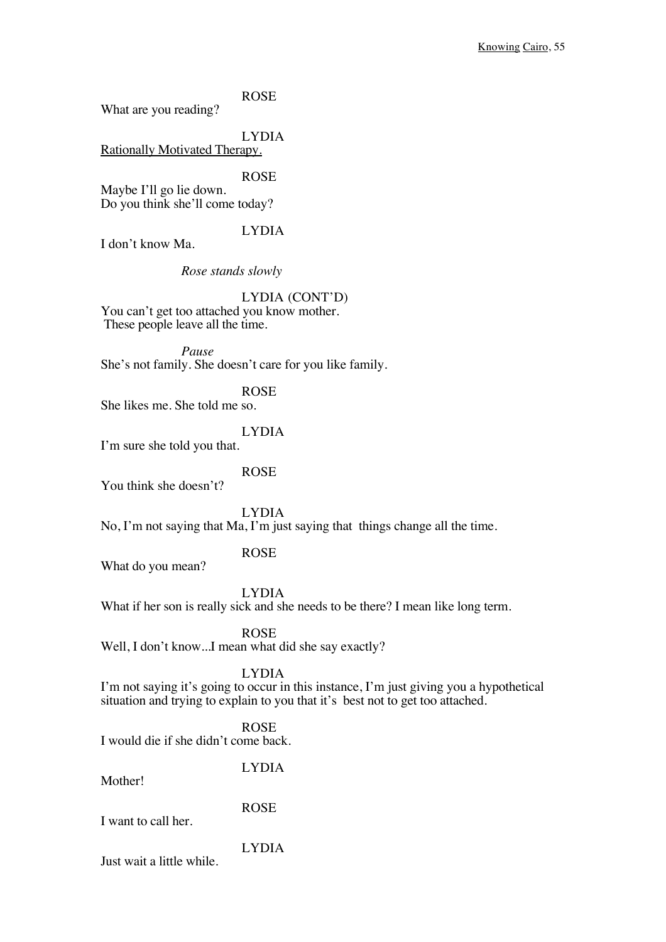What are you reading?

LYDIA

Rationally Motivated Therapy.

ROSE

Maybe I'll go lie down. Do you think she'll come today?

LYDIA

I don't know Ma.

*Rose stands slowly*

### LYDIA (CONT'D)

You can't get too attached you know mother. These people leave all the time.

*Pause* She's not family. She doesn't care for you like family.

ROSE

She likes me. She told me so.

LYDIA

I'm sure she told you that.

ROSE

You think she doesn't?

LYDIA

No, I'm not saying that Ma, I'm just saying that things change all the time.

ROSE

What do you mean?

LYDIA

What if her son is really sick and she needs to be there? I mean like long term.

ROSE

Well, I don't know...I mean what did she say exactly?

LYDIA

I'm not saying it's going to occur in this instance, I'm just giving you a hypothetical situation and trying to explain to you that it's best not to get too attached.

# ROSE

I would die if she didn't come back.

LYDIA Mother! ROSE I want to call her. LYDIA Just wait a little while.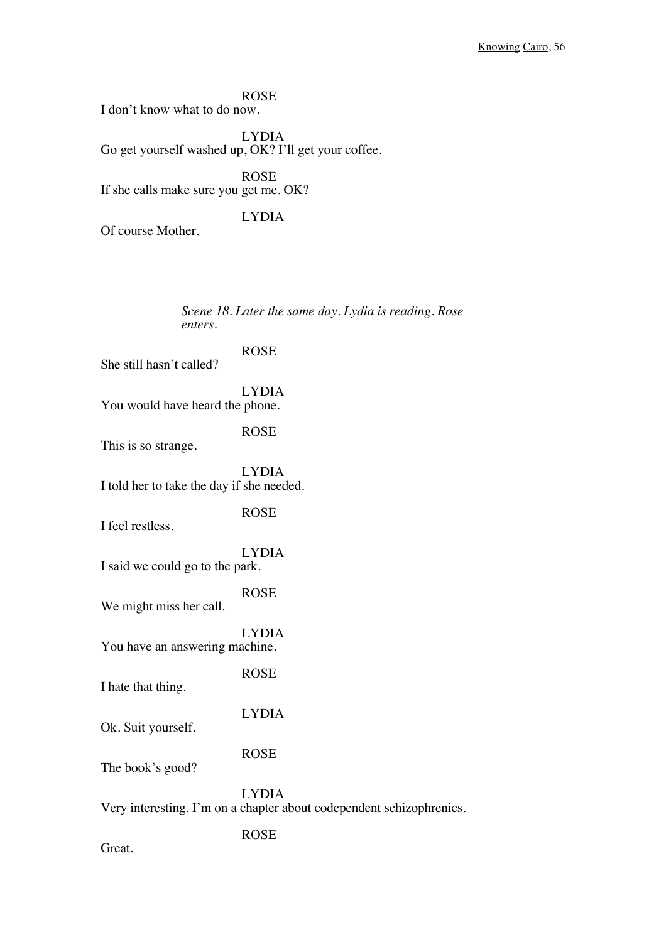ROSE I don't know what to do now.

LYDIA Go get yourself washed up, OK? I'll get your coffee.

ROSE If she calls make sure you get me. OK?

LYDIA

Of course Mother.

*Scene 18. Later the same day. Lydia is reading. Rose enters.* ROSE She still hasn't called? LYDIA You would have heard the phone. ROSE This is so strange. LYDIA I told her to take the day if she needed. ROSE I feel restless. LYDIA I said we could go to the park. ROSE We might miss her call. LYDIA You have an answering machine. ROSE I hate that thing. LYDIA Ok. Suit yourself. ROSE The book's good? LYDIA Very interesting. I'm on a chapter about codependent schizophrenics. ROSE Great.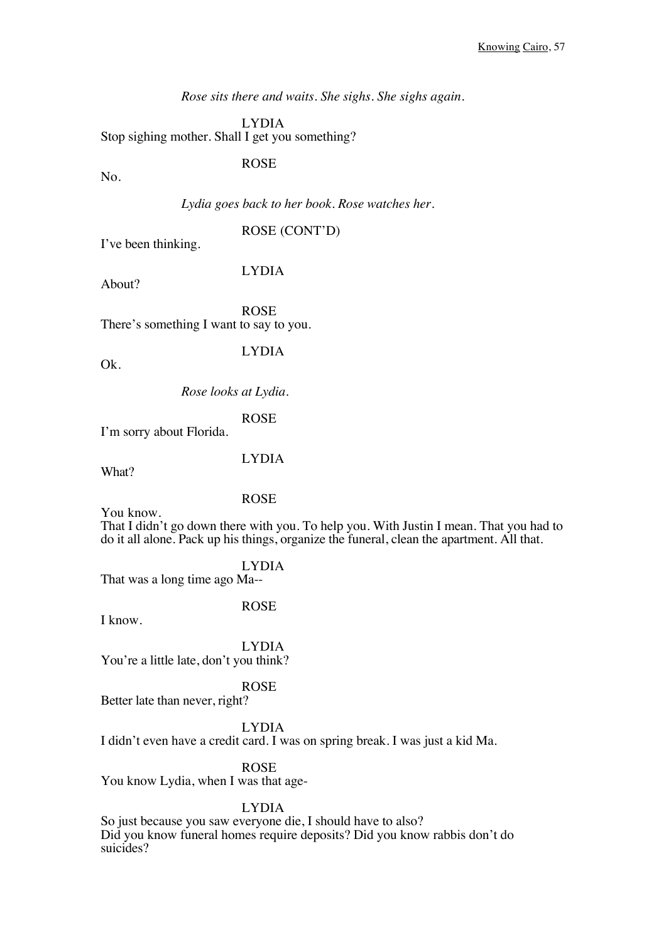*Rose sits there and waits. She sighs. She sighs again.*

LYDIA Stop sighing mother. Shall I get you something?

ROSE

No.

*Lydia goes back to her book. Rose watches her.*

ROSE (CONT'D)

I've been thinking.

About?

LYDIA

ROSE There's something I want to say to you.

Ok.

LYDIA

*Rose looks at Lydia.*

ROSE

I'm sorry about Florida.

LYDIA

What?

ROSE

You know.

That I didn't go down there with you. To help you. With Justin I mean. That you had to do it all alone. Pack up his things, organize the funeral, clean the apartment. All that.

LYDIA

That was a long time ago Ma--

I know.

ROSE

LYDIA You're a little late, don't you think?

### ROSE

Better late than never, right?

### LYDIA

I didn't even have a credit card. I was on spring break. I was just a kid Ma.

ROSE

You know Lydia, when I was that age-

### LYDIA

So just because you saw everyone die, I should have to also? Did you know funeral homes require deposits? Did you know rabbis don't do suicides?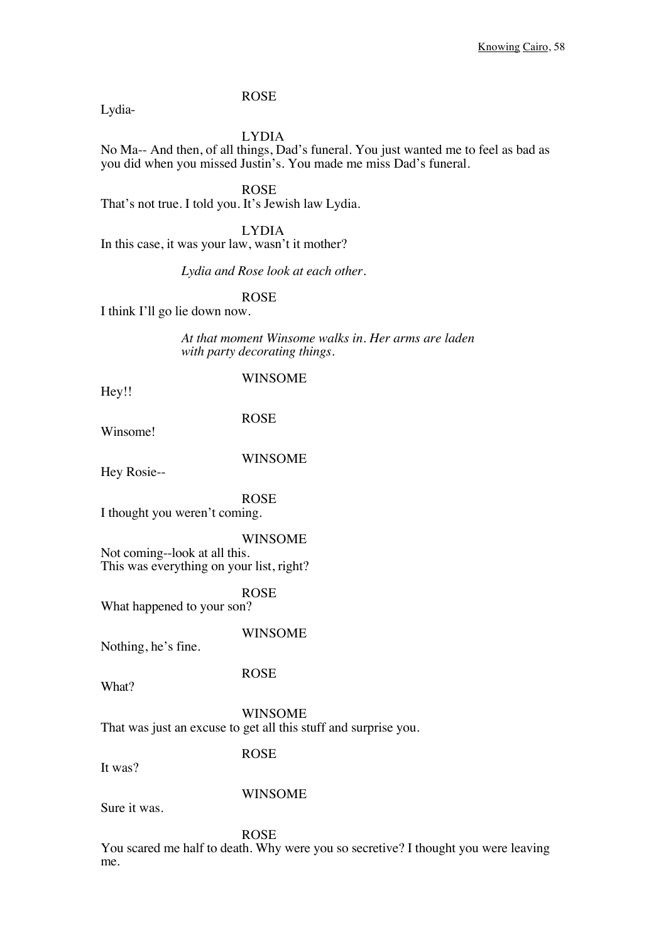LYDIA No Ma-- And then, of all things, Dad's funeral. You just wanted me to feel as bad as you did when you missed Justin's. You made me miss Dad's funeral.

ROSE That's not true. I told you. It's Jewish law Lydia.

LYDIA In this case, it was your law, wasn't it mother?

*Lydia and Rose look at each other.*

ROSE

I think I'll go lie down now.

*At that moment Winsome walks in. Her arms are laden with party decorating things.*

Hey!!

Lydia-

### WINSOME

Winsome!

WINSOME

ROSE

Hey Rosie--

ROSE I thought you weren't coming.

WINSOME Not coming--look at all this. This was everything on your list, right?

ROSE What happened to your son?

WINSOME

Nothing, he's fine.

ROSE

What?

WINSOME That was just an excuse to get all this stuff and surprise you.

ROSE

It was?

WINSOME

Sure it was.

ROSE

You scared me half to death. Why were you so secretive? I thought you were leaving me.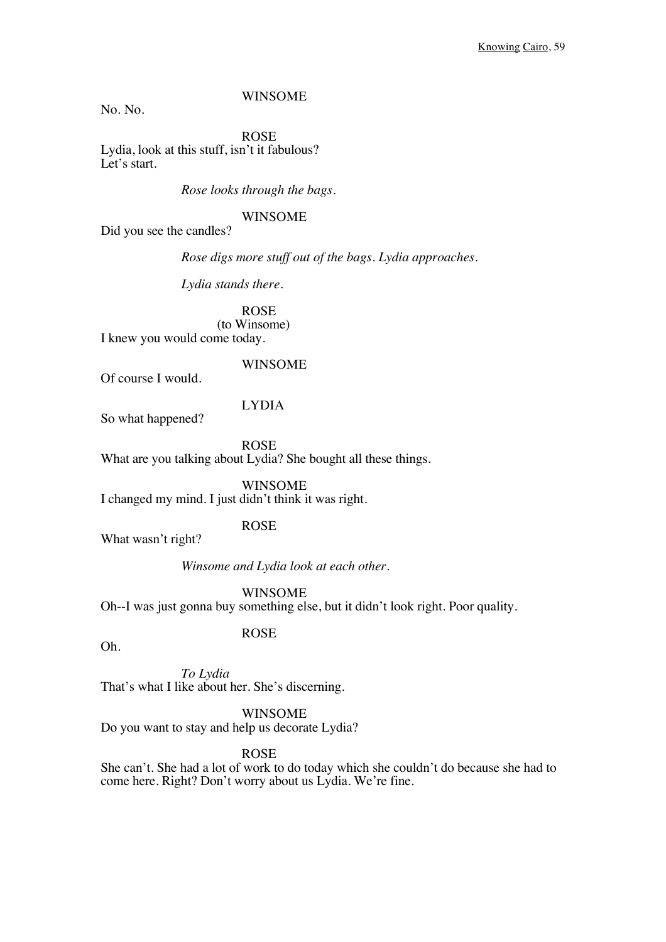### WINSOME

No. No.

ROSE Lydia, look at this stuff, isn't it fabulous? Let's start.

*Rose looks through the bags.* 

WINSOME

Did you see the candles?

*Rose digs more stuff out of the bags. Lydia approaches.*

*Lydia stands there.*

ROSE (to Winsome) I knew you would come today.

#### WINSOME

Of course I would.

### LYDIA

So what happened?

ROSE What are you talking about Lydia? She bought all these things.

WINSOME I changed my mind. I just didn't think it was right.

### ROSE

ROSE

What wasn't right?

*Winsome and Lydia look at each other.*

WINSOME

Oh--I was just gonna buy something else, but it didn't look right. Poor quality.

Oh.

*To Lydia* That's what I like about her. She's discerning.

WINSOME

Do you want to stay and help us decorate Lydia?

ROSE

She can't. She had a lot of work to do today which she couldn't do because she had to come here. Right? Don't worry about us Lydia. We're fine.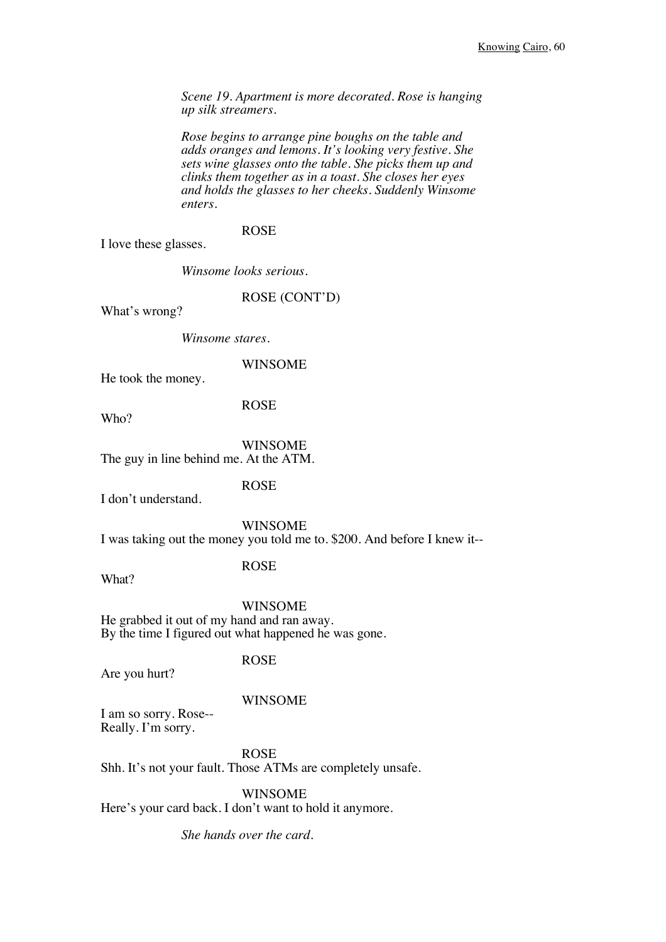*Scene 19. Apartment is more decorated. Rose is hanging up silk streamers.*

*Rose begins to arrange pine boughs on the table and adds oranges and lemons. It's looking very festive. She sets wine glasses onto the table. She picks them up and clinks them together as in a toast. She closes her eyes and holds the glasses to her cheeks. Suddenly Winsome enters.* 

### ROSE

I love these glasses.

*Winsome looks serious.*

ROSE (CONT'D)

What's wrong?

*Winsome stares.*

#### WINSOME

He took the money.

ROSE

Who?

WINSOME

The guy in line behind me. At the ATM.

ROSE

I don't understand.

WINSOME

I was taking out the money you told me to. \$200. And before I knew it--

What?

### ROSE

WINSOME

He grabbed it out of my hand and ran away. By the time I figured out what happened he was gone.

### ROSE

Are you hurt?

#### WINSOME

I am so sorry. Rose-- Really. I'm sorry.

ROSE Shh. It's not your fault. Those ATMs are completely unsafe.

WINSOME

Here's your card back. I don't want to hold it anymore.

*She hands over the card.*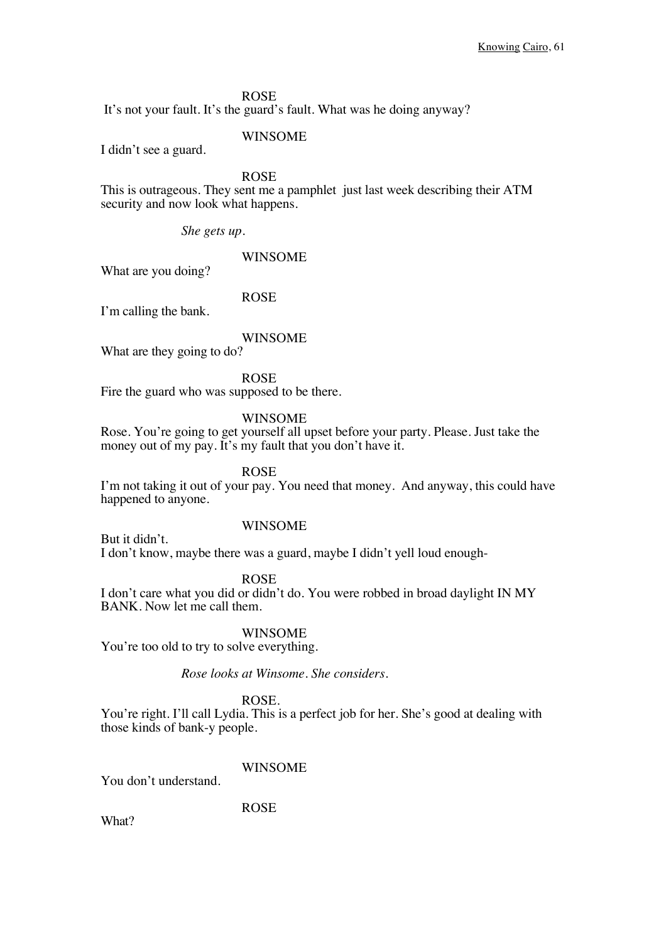It's not your fault. It's the guard's fault. What was he doing anyway?

WINSOME

I didn't see a guard.

ROSE

This is outrageous. They sent me a pamphlet just last week describing their ATM security and now look what happens.

*She gets up.*

### WINSOME

What are you doing?

ROSE

I'm calling the bank.

### WINSOME

What are they going to do?

ROSE

Fire the guard who was supposed to be there.

### WINSOME

Rose. You're going to get yourself all upset before your party. Please. Just take the money out of my pay. It's my fault that you don't have it.

ROSE

I'm not taking it out of your pay. You need that money. And anyway, this could have happened to anyone.

### WINSOME

But it didn't.

I don't know, maybe there was a guard, maybe I didn't yell loud enough-

ROSE

I don't care what you did or didn't do. You were robbed in broad daylight IN MY BANK. Now let me call them.

WINSOME

You're too old to try to solve everything.

*Rose looks at Winsome. She considers.*

### ROSE.

You're right. I'll call Lydia. This is a perfect job for her. She's good at dealing with those kinds of bank-y people.

### **WINSOME**

You don't understand.

ROSE

What?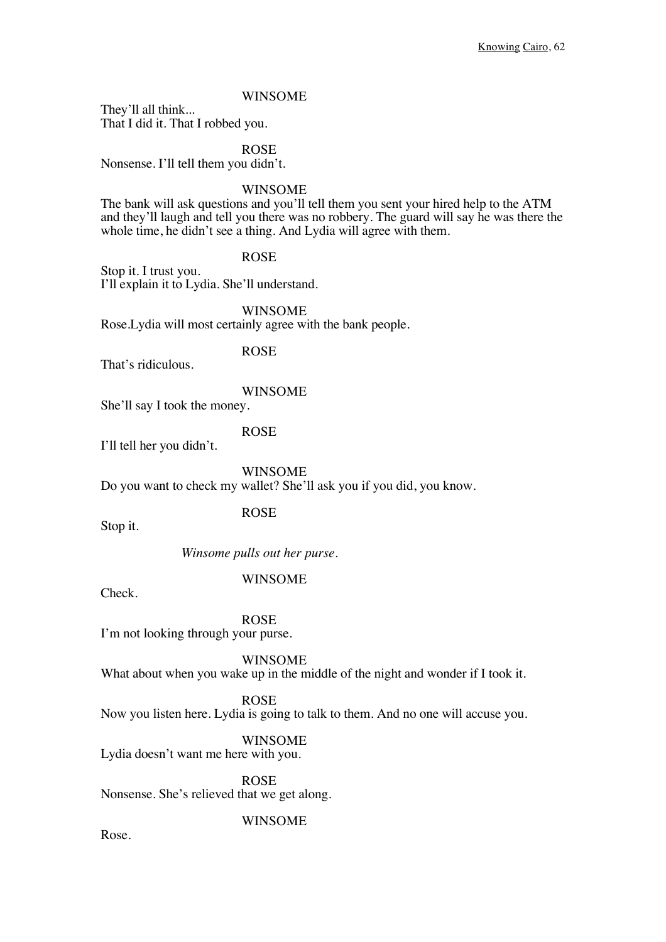### WINSOME

They'll all think... That I did it. That I robbed you.

ROSE

Nonsense. I'll tell them you didn't.

WINSOME

The bank will ask questions and you'll tell them you sent your hired help to the ATM and they'll laugh and tell you there was no robbery. The guard will say he was there the whole time, he didn't see a thing. And Lydia will agree with them.

### ROSE

Stop it. I trust you. I'll explain it to Lydia. She'll understand.

WINSOME

Rose.Lydia will most certainly agree with the bank people.

That's ridiculous.

ROSE

WINSOME She'll say I took the money.

I'll tell her you didn't.

ROSE

WINSOME Do you want to check my wallet? She'll ask you if you did, you know.

ROSE

Stop it.

*Winsome pulls out her purse.*

### WINSOME

Check.

ROSE

I'm not looking through your purse.

WINSOME

What about when you wake up in the middle of the night and wonder if I took it.

### ROSE

Now you listen here. Lydia is going to talk to them. And no one will accuse you.

### WINSOME

Lydia doesn't want me here with you.

ROSE Nonsense. She's relieved that we get along.

### WINSOME

Rose.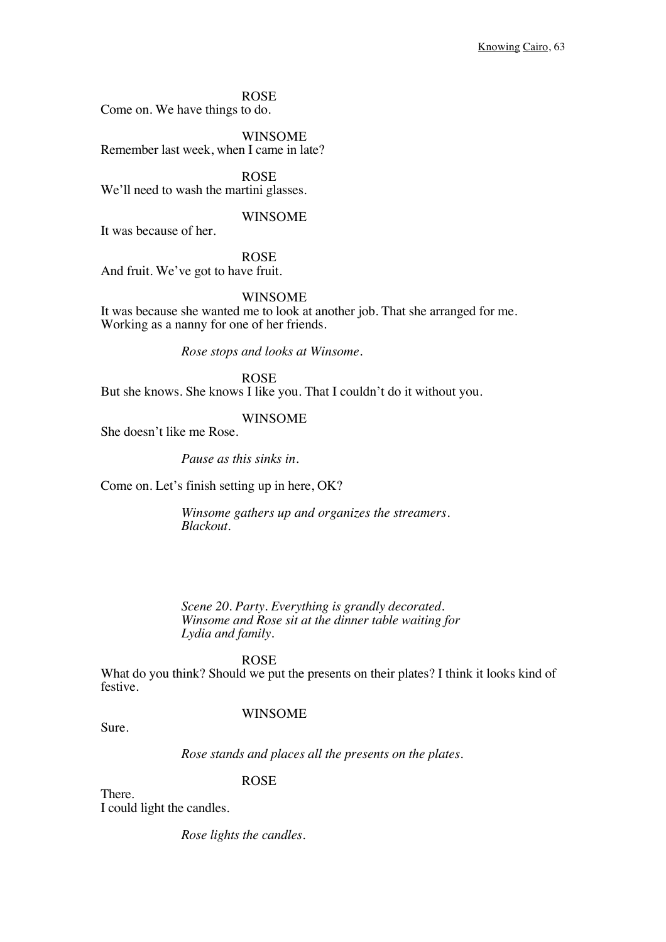ROSE Come on. We have things to do.

WINSOME Remember last week, when I came in late?

ROSE We'll need to wash the martini glasses.

### WINSOME

It was because of her.

ROSE And fruit. We've got to have fruit.

WINSOME

It was because she wanted me to look at another job. That she arranged for me. Working as a nanny for one of her friends.

*Rose stops and looks at Winsome.*

ROSE But she knows. She knows I like you. That I couldn't do it without you.

### WINSOME

She doesn't like me Rose.

*Pause as this sinks in.* 

Come on. Let's finish setting up in here, OK?

*Winsome gathers up and organizes the streamers. Blackout.* 

*Scene 20. Party. Everything is grandly decorated. Winsome and Rose sit at the dinner table waiting for Lydia and family.*

### ROSE

What do you think? Should we put the presents on their plates? I think it looks kind of festive.

### WINSOME

Sure.

*Rose stands and places all the presents on the plates.*

### ROSE

There. I could light the candles.

*Rose lights the candles.*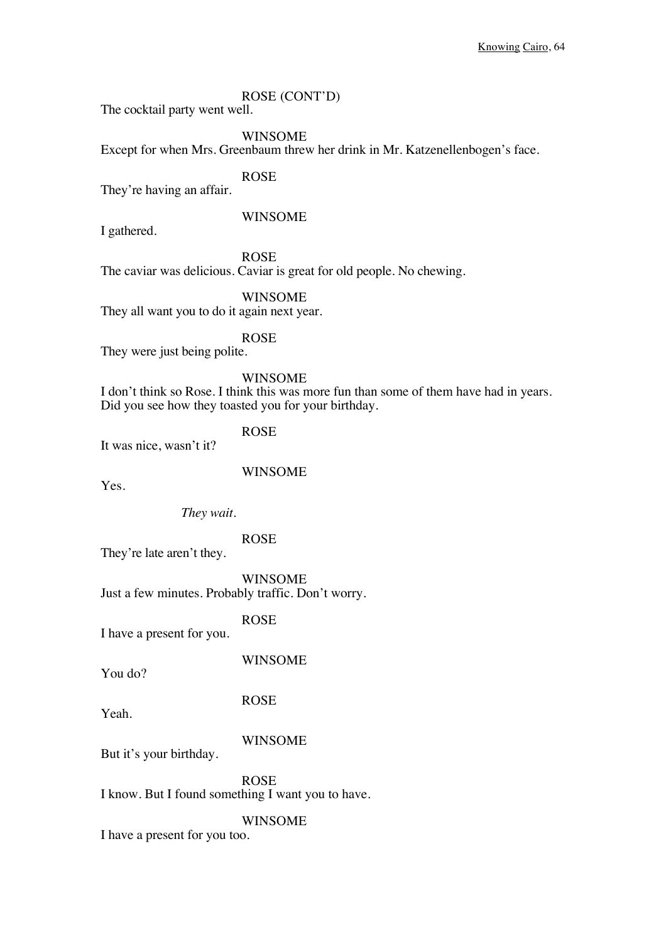### ROSE (CONT'D)

The cocktail party went well.

### WINSOME

Except for when Mrs. Greenbaum threw her drink in Mr. Katzenellenbogen's face.

ROSE

They're having an affair.

### WINSOME

I gathered.

ROSE

The caviar was delicious. Caviar is great for old people. No chewing.

WINSOME

They all want you to do it again next year.

ROSE

They were just being polite.

### WINSOME

I don't think so Rose. I think this was more fun than some of them have had in years. Did you see how they toasted you for your birthday.

ROSE

It was nice, wasn't it?

WINSOME

Yes.

*They wait.*

ROSE

They're late aren't they.

WINSOME Just a few minutes. Probably traffic. Don't worry.

ROSE

I have a present for you.

You do?

WINSOME

ROSE

Yeah.

#### WINSOME

But it's your birthday.

ROSE

I know. But I found something I want you to have.

### WINSOME

I have a present for you too.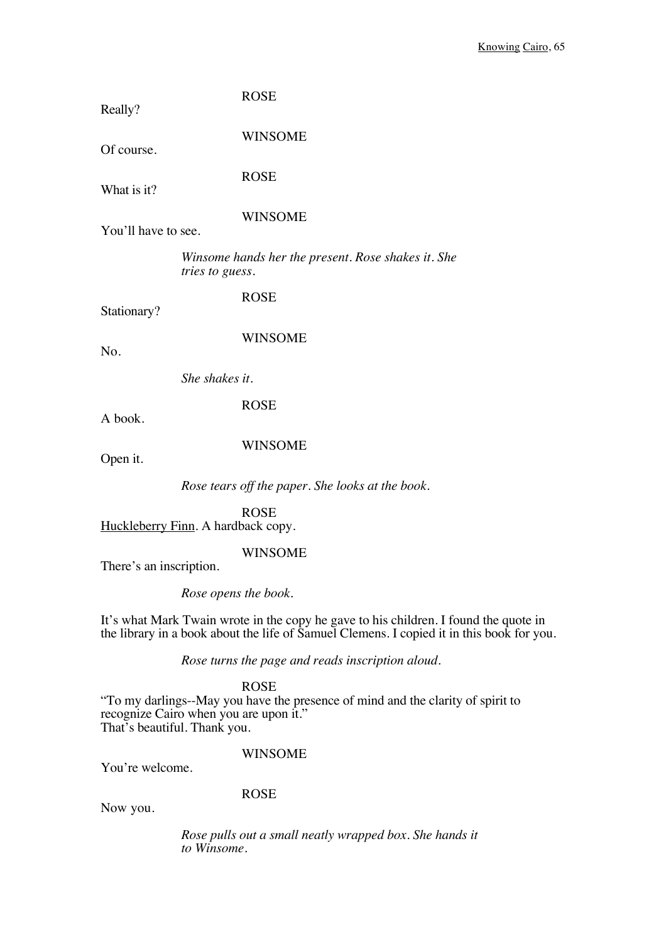| Really?                 | <b>ROSE</b>                                                                                                                                                                       |
|-------------------------|-----------------------------------------------------------------------------------------------------------------------------------------------------------------------------------|
| Of course.              | <b>WINSOME</b>                                                                                                                                                                    |
| What is it?             | <b>ROSE</b>                                                                                                                                                                       |
| You'll have to see.     | <b>WINSOME</b>                                                                                                                                                                    |
|                         | Winsome hands her the present. Rose shakes it. She<br>tries to guess.                                                                                                             |
| Stationary?             | <b>ROSE</b>                                                                                                                                                                       |
| No.                     | <b>WINSOME</b>                                                                                                                                                                    |
|                         | She shakes it.                                                                                                                                                                    |
| A book.                 | <b>ROSE</b>                                                                                                                                                                       |
| Open it.                | <b>WINSOME</b>                                                                                                                                                                    |
|                         | Rose tears off the paper. She looks at the book.                                                                                                                                  |
|                         | <b>ROSE</b><br>Huckleberry Finn. A hardback copy.                                                                                                                                 |
| There's an inscription. | <b>WINSOME</b>                                                                                                                                                                    |
|                         | Rose opens the book.                                                                                                                                                              |
|                         | It's what Mark Twain wrote in the copy he gave to his children. I found the quote in<br>the library in a book about the life of Samuel Clemens. I copied it in this book for you. |
|                         | Rose turns the page and reads inscription aloud.                                                                                                                                  |
|                         | <b>ROSE</b><br>"To my darlings--May you have the presence of mind and the clarity of spirit to<br>recognize Cairo when you are upon it."                                          |

That's beautiful. Thank you.

## WINSOME

You're welcome.

## ROSE

Now you.

*Rose pulls out a small neatly wrapped box. She hands it to Winsome.*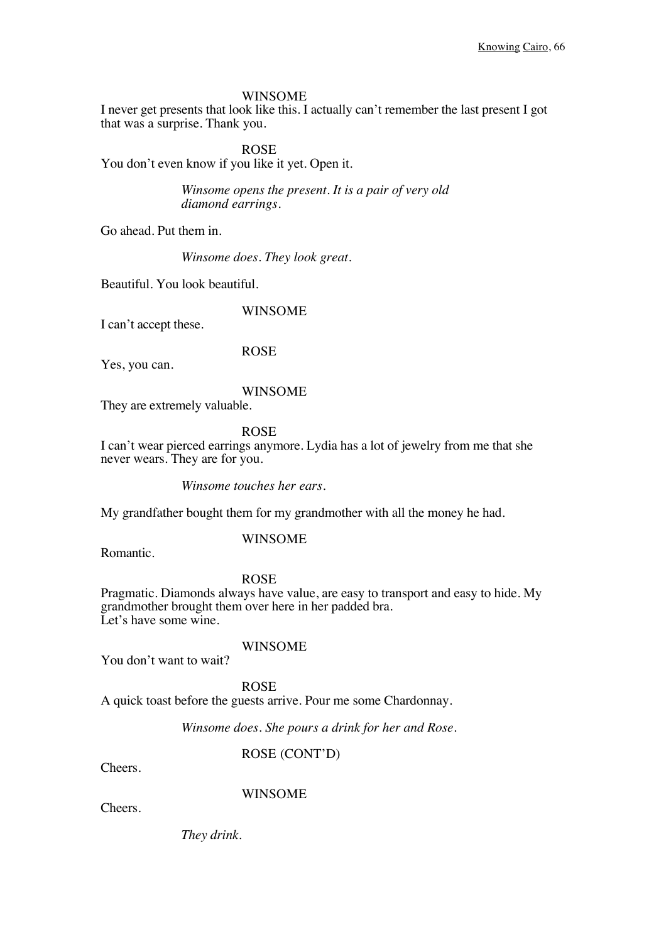#### WINSOME

I never get presents that look like this. I actually can't remember the last present I got that was a surprise. Thank you.

ROSE You don't even know if you like it yet. Open it.

> *Winsome opens the present. It is a pair of very old diamond earrings.*

Go ahead. Put them in.

*Winsome does. They look great.*

Beautiful. You look beautiful.

WINSOME

I can't accept these.

ROSE

Yes, you can.

#### WINSOME

They are extremely valuable.

### ROSE

I can't wear pierced earrings anymore. Lydia has a lot of jewelry from me that she never wears. They are for you.

*Winsome touches her ears.*

My grandfather bought them for my grandmother with all the money he had.

### WINSOME

Romantic.

#### ROSE

Pragmatic. Diamonds always have value, are easy to transport and easy to hide. My grandmother brought them over here in her padded bra. Let's have some wine.

You don't want to wait?

# WINSOME

ROSE A quick toast before the guests arrive. Pour me some Chardonnay.

*Winsome does. She pours a drink for her and Rose.*

ROSE (CONT'D)

Cheers.

### WINSOME

Cheers.

*They drink.*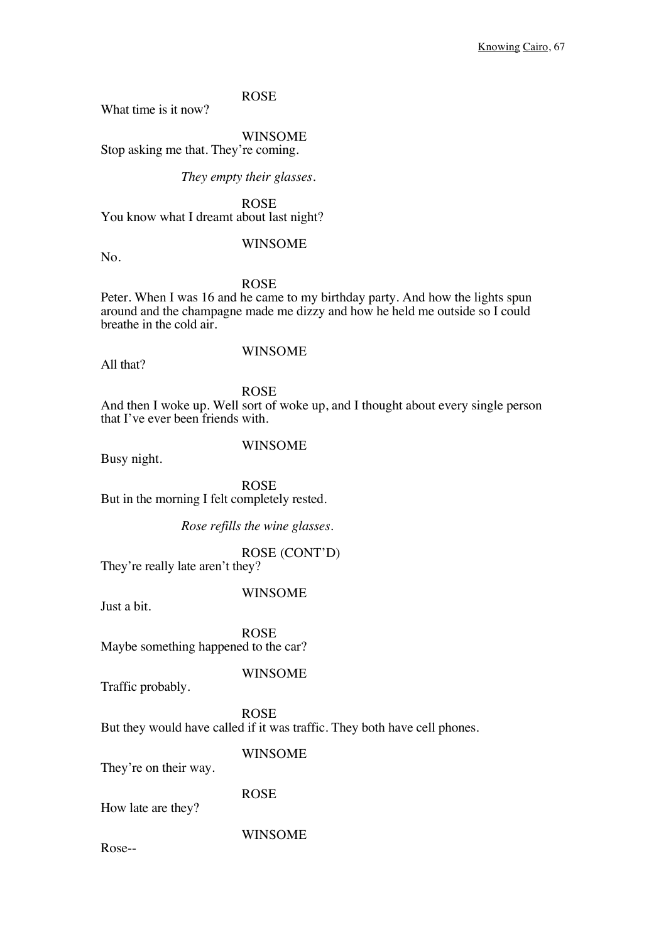What time is it now?

WINSOME

Stop asking me that. They're coming.

*They empty their glasses.*

ROSE You know what I dreamt about last night?

WINSOME

No.

### ROSE

Peter. When I was 16 and he came to my birthday party. And how the lights spun around and the champagne made me dizzy and how he held me outside so I could breathe in the cold air.

All that?

### WINSOME

ROSE

And then I woke up. Well sort of woke up, and I thought about every single person that I've ever been friends with.

### WINSOME

Busy night.

ROSE But in the morning I felt completely rested.

*Rose refills the wine glasses.*

ROSE (CONT'D)

They're really late aren't they?

### WINSOME

Just a bit.

ROSE Maybe something happened to the car?

WINSOME

Traffic probably.

ROSE But they would have called if it was traffic. They both have cell phones.

WINSOME

They're on their way.

ROSE

How late are they?

WINSOME

Rose--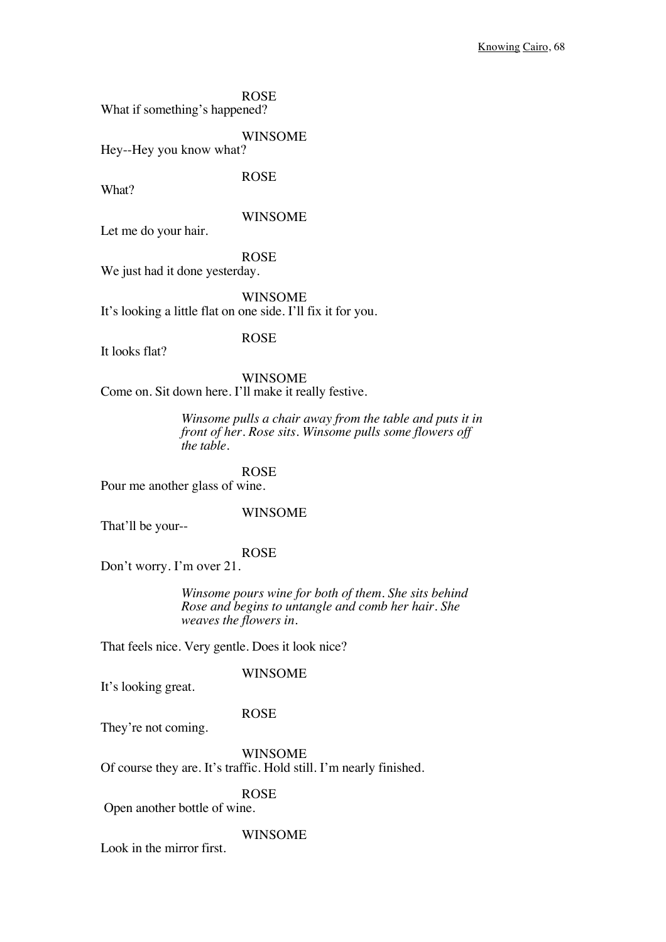ROSE What if something's happened?

WINSOME Hey--Hey you know what?

What?

### WINSOME

Let me do your hair.

## ROSE

ROSE

We just had it done yesterday.

WINSOME It's looking a little flat on one side. I'll fix it for you.

### ROSE

It looks flat?

WINSOME Come on. Sit down here. I'll make it really festive.

> *Winsome pulls a chair away from the table and puts it in front of her. Rose sits. Winsome pulls some flowers off the table.*

ROSE Pour me another glass of wine.

### WINSOME

That'll be your--

### ROSE

Don't worry. I'm over 21.

*Winsome pours wine for both of them. She sits behind Rose and begins to untangle and comb her hair. She weaves the flowers in.*

That feels nice. Very gentle. Does it look nice?

### WINSOME

It's looking great.

### ROSE

They're not coming.

WINSOME Of course they are. It's traffic. Hold still. I'm nearly finished.

### ROSE

Open another bottle of wine.

#### WINSOME

Look in the mirror first.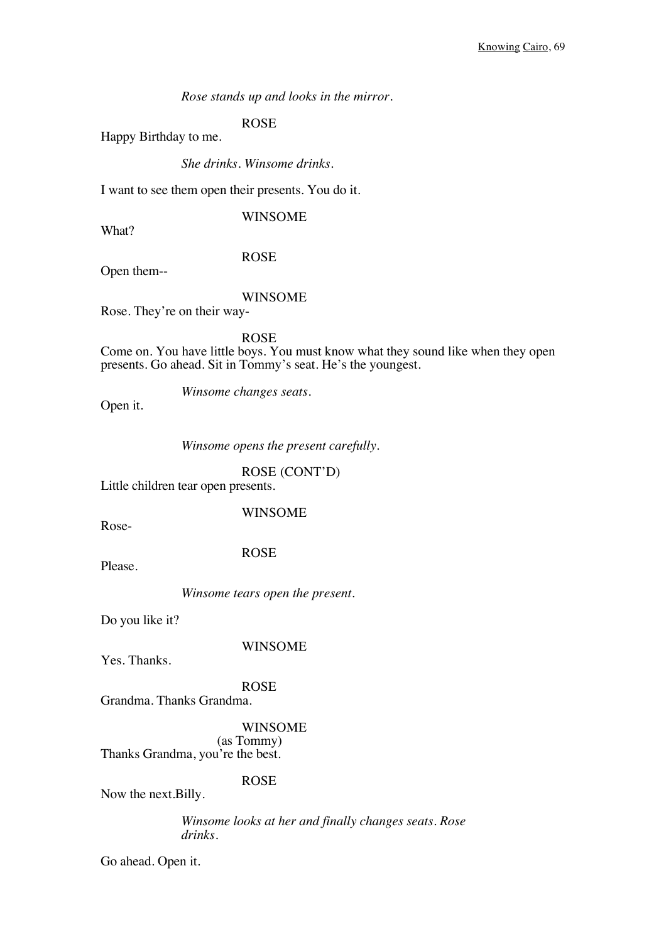*Rose stands up and looks in the mirror.* 

ROSE

Happy Birthday to me.

*She drinks. Winsome drinks.*

I want to see them open their presents. You do it.

WINSOME

What?

ROSE

Open them--

### WINSOME

Rose. They're on their way-

ROSE Come on. You have little boys. You must know what they sound like when they open presents. Go ahead. Sit in Tommy's seat. He's the youngest.

*Winsome changes seats.*

Open it.

*Winsome opens the present carefully.*

ROSE (CONT'D)

Little children tear open presents.

WINSOME

Rose-

ROSE

Please.

*Winsome tears open the present.*

Do you like it?

WINSOME

Yes. Thanks.

ROSE

Grandma. Thanks Grandma.

WINSOME

(as Tommy) Thanks Grandma, you're the best.

ROSE

Now the next.Billy.

*Winsome looks at her and finally changes seats. Rose drinks.*

Go ahead. Open it.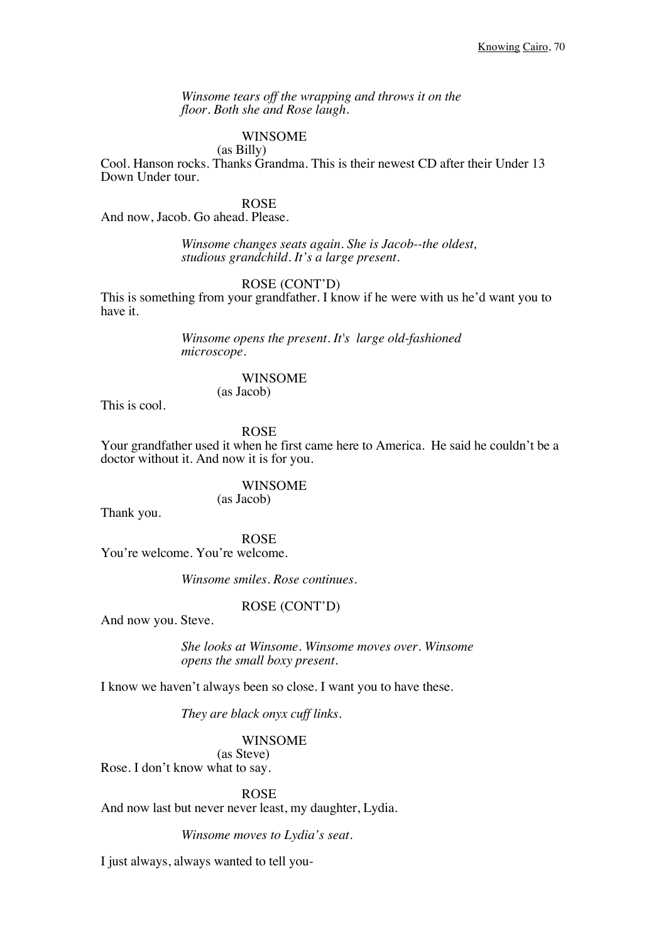*Winsome tears off the wrapping and throws it on the floor. Both she and Rose laugh.*

### WINSOME

### (as Billy)

Cool. Hanson rocks. Thanks Grandma. This is their newest CD after their Under 13 Down Under tour.

ROSE

And now, Jacob. Go ahead. Please.

*Winsome changes seats again. She is Jacob--the oldest, studious grandchild. It's a large present.*

ROSE (CONT'D)

This is something from your grandfather. I know if he were with us he'd want you to have it.

> *Winsome opens the present. It's large old-fashioned microscope.*

### WINSOME

(as Jacob)

This is cool.

ROSE

Your grandfather used it when he first came here to America. He said he couldn't be a doctor without it. And now it is for you.

WINSOME

(as Jacob)

Thank you.

ROSE You're welcome. You're welcome.

*Winsome smiles. Rose continues.*

### ROSE (CONT'D)

And now you. Steve.

*She looks at Winsome. Winsome moves over. Winsome opens the small boxy present.*

I know we haven't always been so close. I want you to have these.

*They are black onyx cuff links.* 

#### WINSOME

(as Steve) Rose. I don't know what to say.

ROSE

And now last but never never least, my daughter, Lydia.

*Winsome moves to Lydia's seat.*

I just always, always wanted to tell you-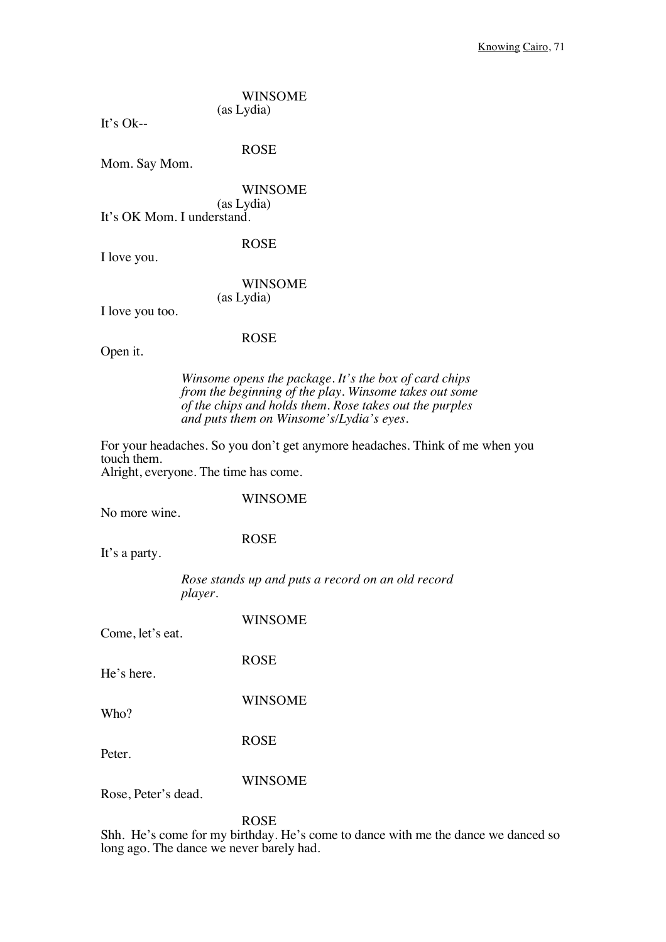WINSOME (as Lydia)

It's  $Ok-$ 

ROSE

Mom. Say Mom.

WINSOME (as Lydia) It's OK Mom. I understand.

ROSE

I love you.

WINSOME (as Lydia)

I love you too.

#### ROSE

Open it.

*Winsome opens the package. It's the box of card chips from the beginning of the play. Winsome takes out some of the chips and holds them. Rose takes out the purples and puts them on Winsome's/Lydia's eyes.*

For your headaches. So you don't get anymore headaches. Think of me when you touch them.

Alright, everyone. The time has come.

#### WINSOME

No more wine.

#### ROSE

It's a party.

*Rose stands up and puts a record on an old record player.* 

Come, let's eat.

WINSOME

ROSE

He's here.

WINSOME Who?

Peter.

ROSE

WINSOME

Rose, Peter's dead.

ROSE

Shh. He's come for my birthday. He's come to dance with me the dance we danced so long ago. The dance we never barely had.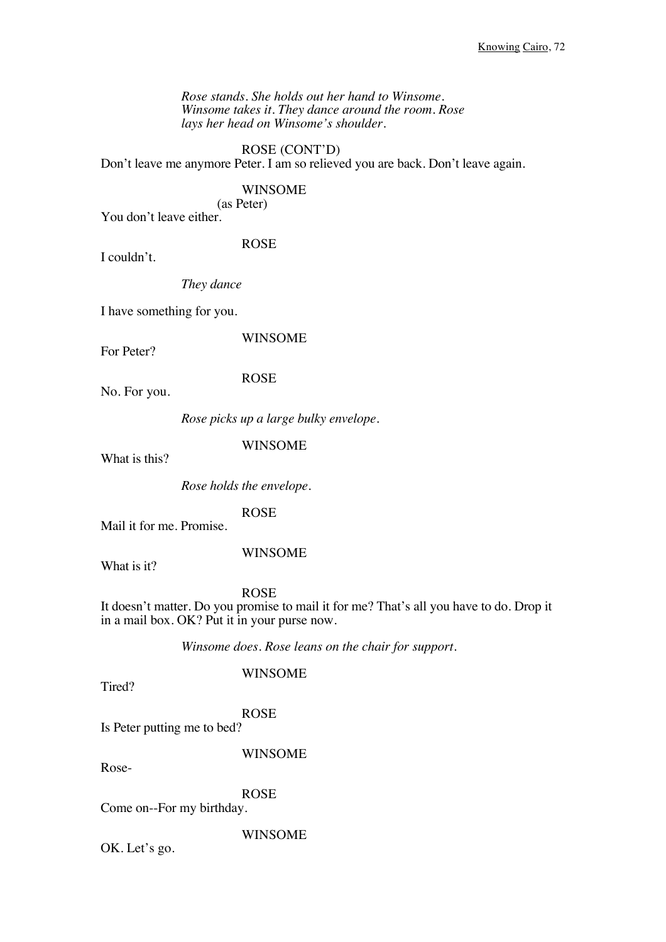*Rose stands. She holds out her hand to Winsome. Winsome takes it. They dance around the room. Rose lays her head on Winsome's shoulder.*

ROSE (CONT'D) Don't leave me anymore Peter. I am so relieved you are back. Don't leave again.

### WINSOME

(as Peter)

You don't leave either.

ROSE

I couldn't.

*They dance*

I have something for you.

WINSOME

For Peter?

ROSE

No. For you.

*Rose picks up a large bulky envelope.*

WINSOME

What is this?

*Rose holds the envelope.*

ROSE

Mail it for me. Promise.

WINSOME

What is it?

# ROSE

It doesn't matter. Do you promise to mail it for me? That's all you have to do. Drop it in a mail box. OK? Put it in your purse now.

*Winsome does. Rose leans on the chair for support.* 

Tired?

WINSOME

ROSE

Is Peter putting me to bed?

WINSOME

Rose-

ROSE

Come on--For my birthday.

WINSOME

OK. Let's go.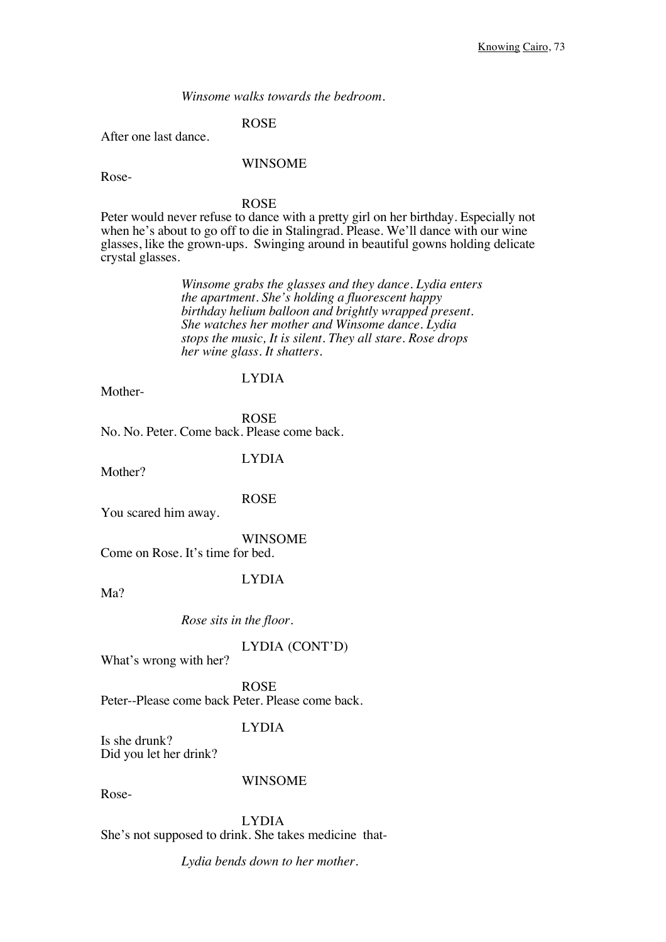*Winsome walks towards the bedroom.*

# ROSE

After one last dance.

#### WINSOME

Rose-

#### ROSE

Peter would never refuse to dance with a pretty girl on her birthday. Especially not when he's about to go off to die in Stalingrad. Please. We'll dance with our wine glasses, like the grown-ups. Swinging around in beautiful gowns holding delicate crystal glasses.

> *Winsome grabs the glasses and they dance. Lydia enters the apartment. She's holding a fluorescent happy birthday helium balloon and brightly wrapped present. She watches her mother and Winsome dance. Lydia stops the music, It is silent. They all stare. Rose drops her wine glass. It shatters.*

### Mother-

#### LYDIA

ROSE No. No. Peter. Come back. Please come back.

## LYDIA

Mother?

#### ROSE

You scared him away.

### WINSOME

Come on Rose. It's time for bed.

#### LYDIA

Ma?

#### *Rose sits in the floor.*

### LYDIA (CONT'D)

What's wrong with her?

ROSE Peter--Please come back Peter. Please come back.

# LYDIA

Is she drunk? Did you let her drink?

## WINSOME

Rose-

LYDIA She's not supposed to drink. She takes medicine that-

*Lydia bends down to her mother.*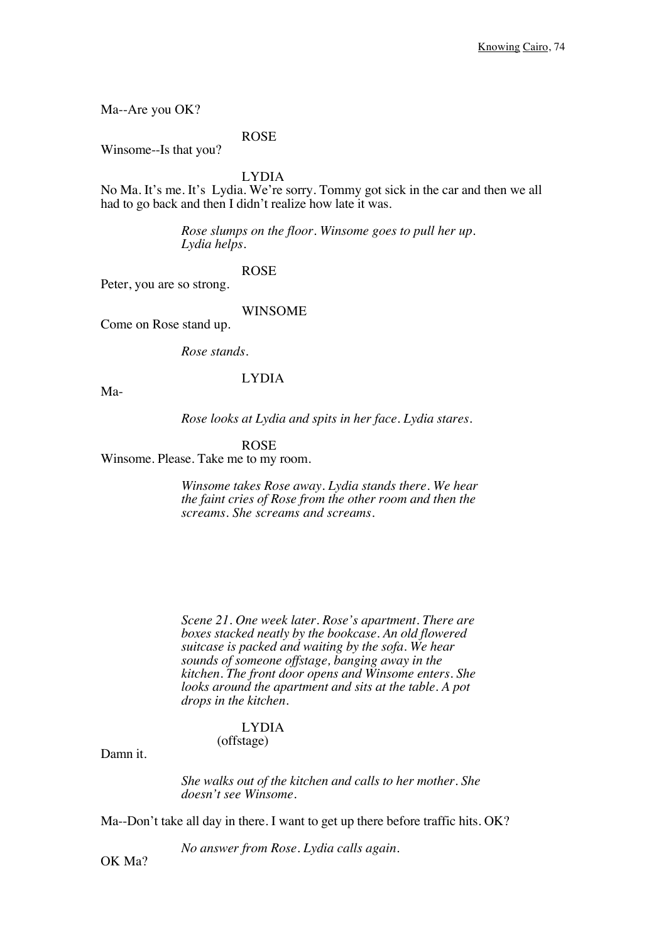Ma--Are you OK?

ROSE

Winsome--Is that you?

LYDIA

No Ma. It's me. It's Lydia. We're sorry. Tommy got sick in the car and then we all had to go back and then I didn't realize how late it was.

> *Rose slumps on the floor. Winsome goes to pull her up. Lydia helps.*

### ROSE

Peter, you are so strong.

### WINSOME

Come on Rose stand up.

*Rose stands.* 

## LYDIA

Ma-

*Rose looks at Lydia and spits in her face. Lydia stares.*

#### ROSE

Winsome. Please. Take me to my room.

*Winsome takes Rose away. Lydia stands there. We hear the faint cries of Rose from the other room and then the screams. She screams and screams.* 

*Scene 21. One week later. Rose's apartment. There are boxes stacked neatly by the bookcase. An old flowered suitcase is packed and waiting by the sofa. We hear sounds of someone offstage, banging away in the kitchen. The front door opens and Winsome enters. She looks around the apartment and sits at the table. A pot drops in the kitchen.*

### LYDIA (offstage)

Damn it.

*She walks out of the kitchen and calls to her mother. She doesn't see Winsome.*

Ma--Don't take all day in there. I want to get up there before traffic hits. OK?

*No answer from Rose. Lydia calls again.*

OK Ma?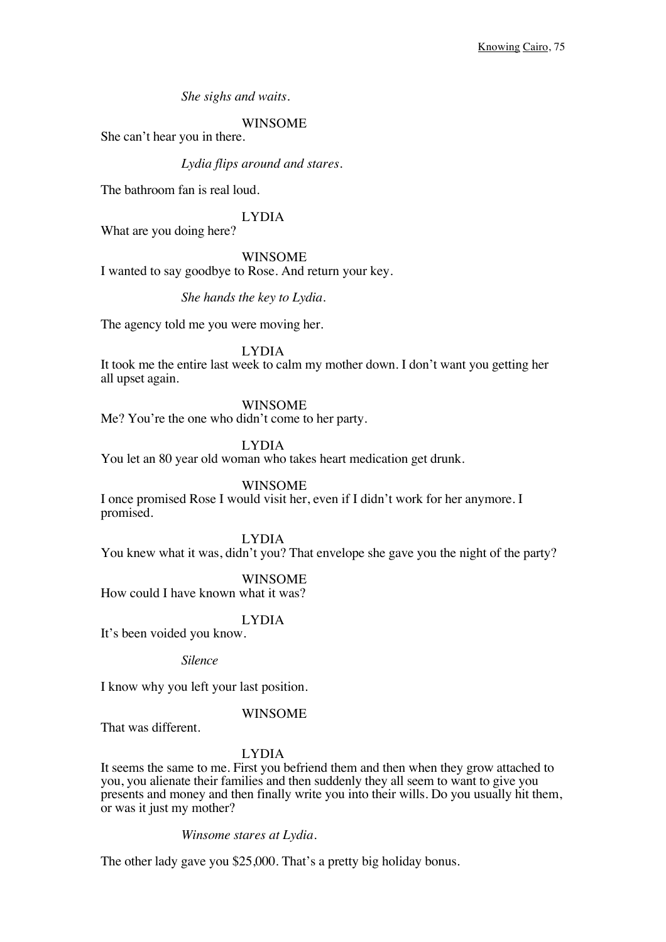*She sighs and waits.*

### WINSOME

She can't hear you in there.

#### *Lydia flips around and stares.*

The bathroom fan is real loud.

# LYDIA

What are you doing here?

#### WINSOME

I wanted to say goodbye to Rose. And return your key.

#### *She hands the key to Lydia.*

The agency told me you were moving her.

#### LYDIA

It took me the entire last week to calm my mother down. I don't want you getting her all upset again.

#### WINSOME

Me? You're the one who didn't come to her party.

#### LYDIA

You let an 80 year old woman who takes heart medication get drunk.

### WINSOME

I once promised Rose I would visit her, even if I didn't work for her anymore. I promised.

LYDIA

You knew what it was, didn't you? That envelope she gave you the night of the party?

### WINSOME

How could I have known what it was?

### LYDIA

It's been voided you know.

*Silence*

I know why you left your last position.

### WINSOME

That was different.

### LYDIA

It seems the same to me. First you befriend them and then when they grow attached to you, you alienate their families and then suddenly they all seem to want to give you presents and money and then finally write you into their wills. Do you usually hit them, or was it just my mother?

#### *Winsome stares at Lydia.*

The other lady gave you \$25,000. That's a pretty big holiday bonus.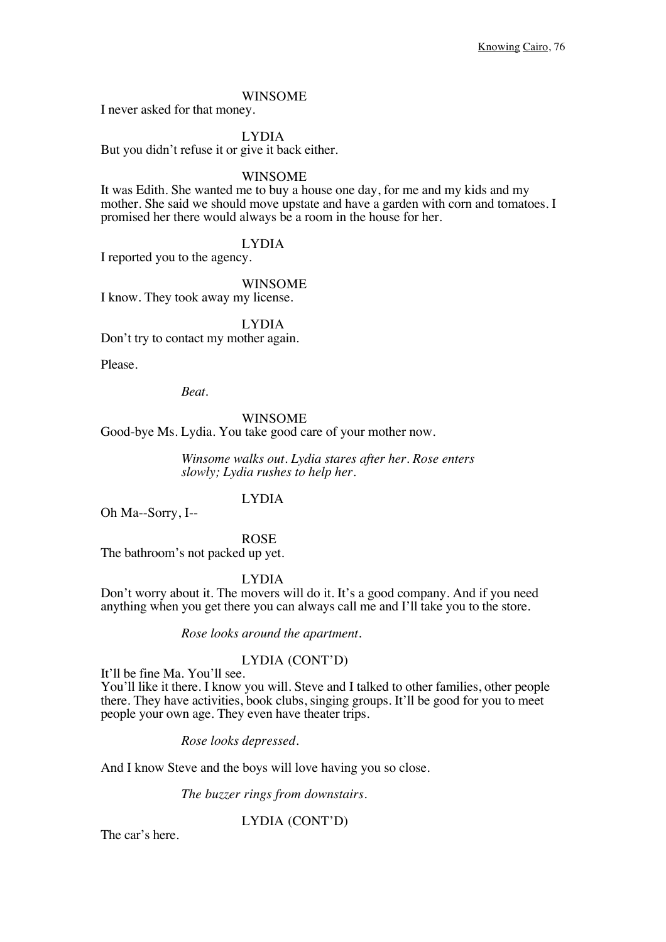#### WINSOME

I never asked for that money.

LYDIA

But you didn't refuse it or give it back either.

#### WINSOME

It was Edith. She wanted me to buy a house one day, for me and my kids and my mother. She said we should move upstate and have a garden with corn and tomatoes. I promised her there would always be a room in the house for her.

LYDIA

I reported you to the agency.

WINSOME

I know. They took away my license.

LYDIA Don't try to contact my mother again.

Please.

*Beat.*

### WINSOME

Good-bye Ms. Lydia. You take good care of your mother now.

*Winsome walks out. Lydia stares after her. Rose enters slowly; Lydia rushes to help her.*

# LYDIA

Oh Ma--Sorry, I--

ROSE

The bathroom's not packed up yet.

LYDIA

Don't worry about it. The movers will do it. It's a good company. And if you need anything when you get there you can always call me and I'll take you to the store.

*Rose looks around the apartment.* 

### LYDIA (CONT'D)

It'll be fine Ma. You'll see.

You'll like it there. I know you will. Steve and I talked to other families, other people there. They have activities, book clubs, singing groups. It'll be good for you to meet people your own age. They even have theater trips.

*Rose looks depressed.*

And I know Steve and the boys will love having you so close.

*The buzzer rings from downstairs.*

LYDIA (CONT'D)

The car's here.